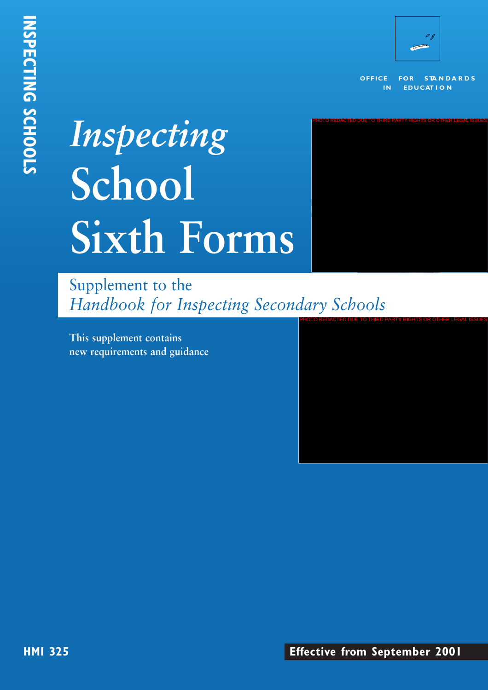**OFFICE FOR STANDARDS IN EDUCATION**

PHOTO REDACTED DUE TO THIRD PARTY RIGHTS OR OTHER LEGAL ISSUES

# *Inspecting* **School Sixth Forms**

Supplement to the *Handbook for Inspecting Secondary Schools*

**This supplement contains new requirements and guidance** 

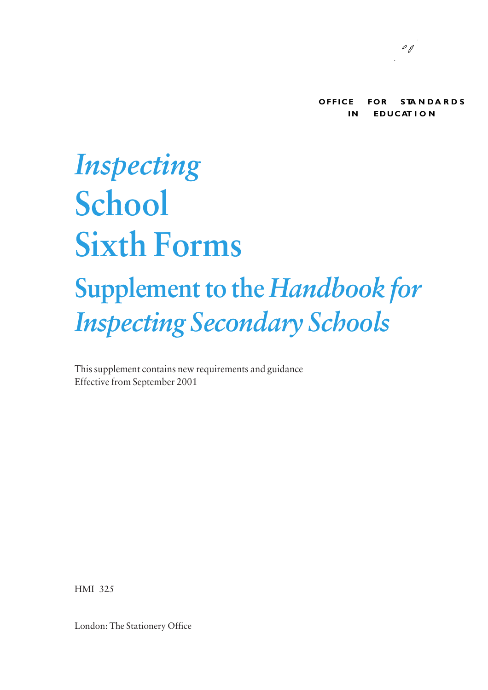

**OFFICE FOR STANDARDS IN EDUCATION**

## *Inspecting* **School Sixth Forms Supplement to the** *Handbook for Inspecting Secondary Schools*

This supplement contains new requirements and guidance Effective from September 2001

HMI 325

London: The Stationery Office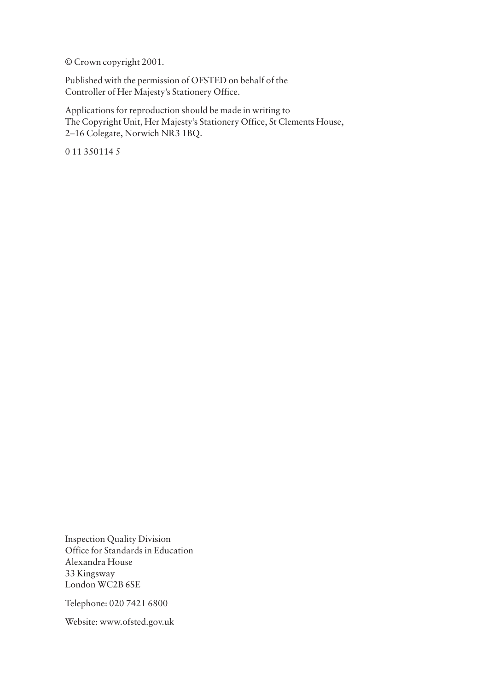© Crown copyright 2001.

Published with the permission of OFSTED on behalf of the Controller of Her Majesty's Stationery Office.

Applications for reproduction should be made in writing to The Copyright Unit, Her Majesty's Stationery Office, St Clements House, 2–16 Colegate, Norwich NR3 1BQ.

0 11 350114 5

Inspection Quality Division Office for Standards in Education Alexandra House 33 Kingsway London WC2B 6SE

Telephone: 020 7421 6800

Website: www.ofsted.gov.uk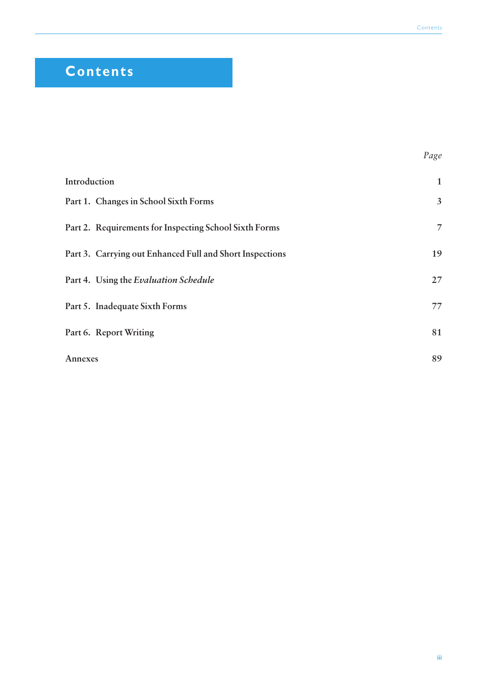*Page*

## **Contents**

| Introduction                                             | $\mathbf{1}$   |
|----------------------------------------------------------|----------------|
| Part 1. Changes in School Sixth Forms                    | 3              |
| Part 2. Requirements for Inspecting School Sixth Forms   | $\overline{7}$ |
| Part 3. Carrying out Enhanced Full and Short Inspections | 19             |
| Part 4. Using the Evaluation Schedule                    | 27             |
| Part 5. Inadequate Sixth Forms                           | 77             |
| Part 6. Report Writing                                   | 81             |
| <b>Annexes</b>                                           | 89             |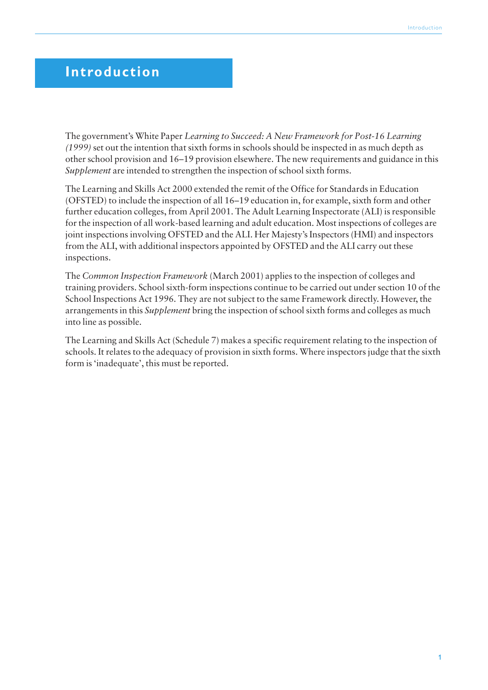## **Introduction**

The government's White Paper *Learning to Succeed: A New Framework for Post-16 Learning (1999)* set out the intention that sixth forms in schools should be inspected in as much depth as other school provision and 16–19 provision elsewhere. The new requirements and guidance in this *Supplement* are intended to strengthen the inspection of school sixth forms.

The Learning and Skills Act 2000 extended the remit of the Office for Standards in Education (OFSTED) to include the inspection of all 16–19 education in, for example, sixth form and other further education colleges, from April 2001. The Adult Learning Inspectorate (ALI) is responsible for the inspection of all work-based learning and adult education. Most inspections of colleges are joint inspections involving OFSTED and the ALI. Her Majesty's Inspectors (HMI) and inspectors from the ALI, with additional inspectors appointed by OFSTED and the ALI carry out these inspections.

The *Common Inspection Framework* (March 2001) applies to the inspection of colleges and training providers. School sixth-form inspections continue to be carried out under section 10 of the School Inspections Act 1996*.* They are not subject to the same Framework directly. However, the arrangements in this *Supplement* bring the inspection of school sixth forms and colleges as much into line as possible.

The Learning and Skills Act (Schedule 7) makes a specific requirement relating to the inspection of schools. It relates to the adequacy of provision in sixth forms. Where inspectors judge that the sixth form is 'inadequate', this must be reported.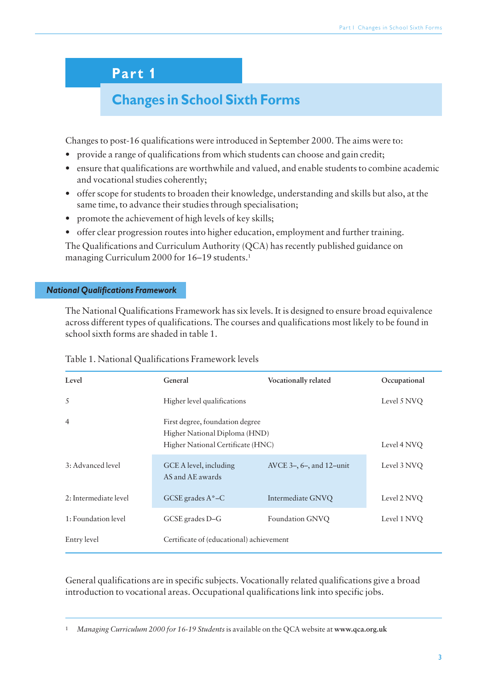## **Part 1**

## **Changes in School Sixth Forms**

Changes to post-16 qualifications were introduced in September 2000. The aims were to:

- provide a range of qualifications from which students can choose and gain credit;
- ensure that qualifications are worthwhile and valued, and enable students to combine academic and vocational studies coherently;
- offer scope for students to broaden their knowledge, understanding and skills but also, at the same time, to advance their studies through specialisation;
- promote the achievement of high levels of key skills;
- offer clear progression routes into higher education, employment and further training.

The Qualifications and Curriculum Authority (QCA) has recently published guidance on managing Curriculum 2000 for 16–19 students.<sup>1</sup>

#### *National Qualifications Framework*

The National Qualifications Framework has six levels. It is designed to ensure broad equivalence across different types of qualifications. The courses and qualifications most likely to be found in school sixth forms are shaded in table 1.

| Level                 | General<br>Vocationally related                                                                       |                                   | Occupational |  |  |
|-----------------------|-------------------------------------------------------------------------------------------------------|-----------------------------------|--------------|--|--|
| 5                     | Higher level qualifications                                                                           |                                   | Level 5 NVQ  |  |  |
| $\overline{4}$        | First degree, foundation degree<br>Higher National Diploma (HND)<br>Higher National Certificate (HNC) | Level 4 NVQ                       |              |  |  |
| 3: Advanced level     | GCE A level, including<br>AS and AE awards                                                            | AVCE $3-$ , $6-$ , and $12-$ unit | Level 3 NVQ  |  |  |
| 2: Intermediate level | GCSE grades $A^*-C$                                                                                   | Intermediate GNVQ                 | Level 2 NVQ  |  |  |
| 1: Foundation level   | GCSE grades D–G                                                                                       | Foundation GNVQ                   | Level 1 NVQ  |  |  |
| Entry level           | Certificate of (educational) achievement                                                              |                                   |              |  |  |

#### Table 1. National Qualifications Framework levels

General qualifications are in specific subjects. Vocationally related qualifications give a broad introduction to vocational areas. Occupational qualifications link into specific jobs.

<sup>1</sup> *Managing Curriculum 2000 for 16-19 Students*is available on the QCA website at **www.qca.org.uk**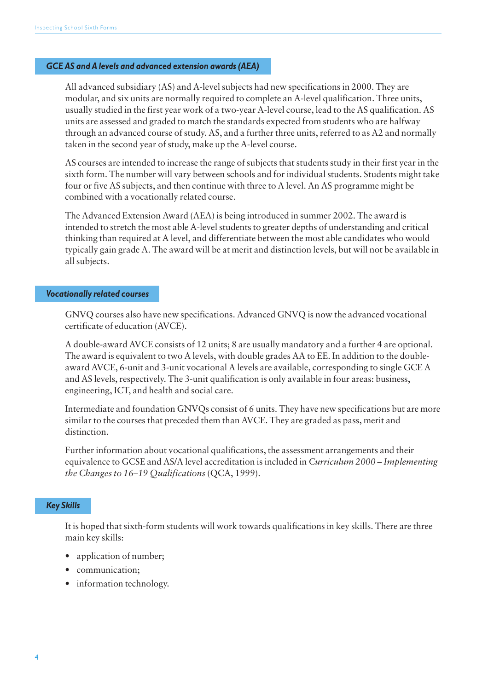#### *GCE AS and A levels and advanced extension awards (AEA)*

All advanced subsidiary (AS) and A-level subjects had new specifications in 2000. They are modular, and six units are normally required to complete an A-level qualification. Three units, usually studied in the first year work of a two-year A-level course, lead to the AS qualification. AS units are assessed and graded to match the standards expected from students who are halfway through an advanced course of study. AS, and a further three units, referred to as A2 and normally taken in the second year of study, make up the A-level course.

AS courses are intended to increase the range of subjects that students study in their first year in the sixth form. The number will vary between schools and for individual students. Students might take four or five AS subjects, and then continue with three to A level. An AS programme might be combined with a vocationally related course.

The Advanced Extension Award (AEA) is being introduced in summer 2002. The award is intended to stretch the most able A-level students to greater depths of understanding and critical thinking than required at A level, and differentiate between the most able candidates who would typically gain grade A. The award will be at merit and distinction levels, but will not be available in all subjects.

#### *Vocationally related courses*

GNVQ courses also have new specifications. Advanced GNVQ is now the advanced vocational certificate of education (AVCE).

A double-award AVCE consists of 12 units; 8 are usually mandatory and a further 4 are optional. The award is equivalent to two A levels, with double grades AA to EE. In addition to the doubleaward AVCE, 6-unit and 3-unit vocational A levels are available, corresponding to single GCE A and AS levels, respectively. The 3-unit qualification is only available in four areas: business, engineering, ICT, and health and social care.

Intermediate and foundation GNVQs consist of 6 units. They have new specifications but are more similar to the courses that preceded them than AVCE. They are graded as pass, merit and distinction.

Further information about vocational qualifications, the assessment arrangements and their equivalence to GCSE and AS/A level accreditation is included in *Curriculum 2000 – Implementing the Changes to 16–19 Qualifications* (QCA, 1999).

#### *Key Skills*

It is hoped that sixth-form students will work towards qualifications in key skills. There are three main key skills:

- application of number;
- communication;
- information technology.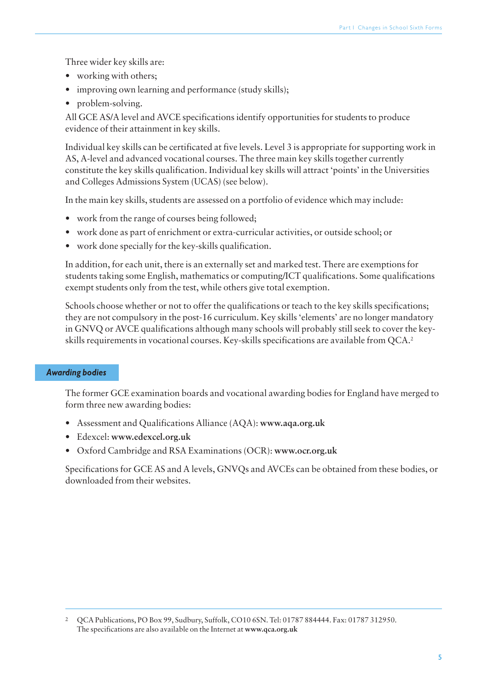Three wider key skills are:

- working with others;
- improving own learning and performance (study skills);
- problem-solving.

All GCE AS/A level and AVCE specifications identify opportunities for students to produce evidence of their attainment in key skills.

Individual key skills can be certificated at five levels. Level 3 is appropriate for supporting work in AS, A-level and advanced vocational courses. The three main key skills together currently constitute the key skills qualification. Individual key skills will attract 'points' in the Universities and Colleges Admissions System (UCAS) (see below).

In the main key skills, students are assessed on a portfolio of evidence which may include:

- work from the range of courses being followed;
- work done as part of enrichment or extra-curricular activities, or outside school; or
- work done specially for the key-skills qualification.

In addition, for each unit, there is an externally set and marked test. There are exemptions for students taking some English, mathematics or computing/ICT qualifications. Some qualifications exempt students only from the test, while others give total exemption.

Schools choose whether or not to offer the qualifications or teach to the key skills specifications; they are not compulsory in the post-16 curriculum. Key skills 'elements' are no longer mandatory in GNVQ or AVCE qualifications although many schools will probably still seek to cover the keyskills requirements in vocational courses. Key-skills specifications are available from QCA.2

#### *Awarding bodies*

The former GCE examination boards and vocational awarding bodies for England have merged to form three new awarding bodies:

- Assessment and Qualifications Alliance (AQA): **www.aqa.org.uk**
- Edexcel: **www.edexcel.org.uk**
- Oxford Cambridge and RSA Examinations (OCR): **www.ocr.org.uk**

Specifications for GCE AS and A levels, GNVQs and AVCEs can be obtained from these bodies, or downloaded from their websites.

<sup>2</sup> QCA Publications, PO Box 99, Sudbury, Suffolk, CO10 6SN. Tel: 01787 884444. Fax: 01787 312950. The specifications are also available on the Internet at **www.qca.org.uk**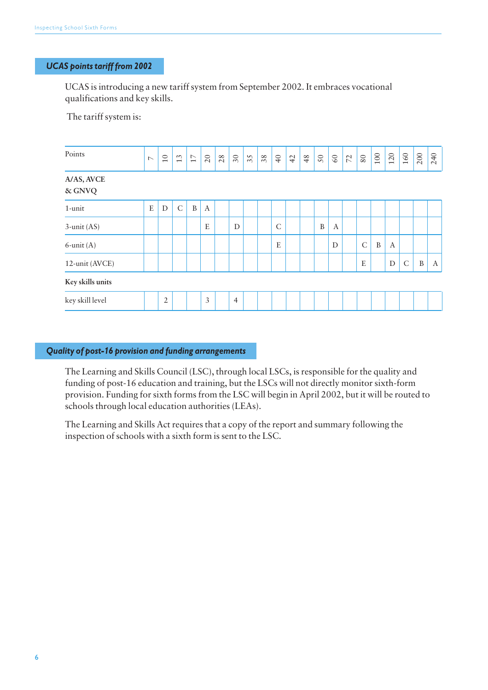#### *UCAS points tariff from 2002*

UCAS is introducing a new tariff system from September 2002. It embraces vocational qualifications and key skills.

The tariff system is:

| Points               | $\overline{\phantom{0}}$ | 10             | 13            | $17\,$ | 20               | 28 | $30\,$         | 35 | 38 | $\overline{40}$ | 42 | 48 | 50           | 60 | $\overline{z}$ | $\rm 80$     | 100          | 120 | 160          | 200          | 240              |
|----------------------|--------------------------|----------------|---------------|--------|------------------|----|----------------|----|----|-----------------|----|----|--------------|----|----------------|--------------|--------------|-----|--------------|--------------|------------------|
| A/AS, AVCE<br>& GNVQ |                          |                |               |        |                  |    |                |    |    |                 |    |    |              |    |                |              |              |     |              |              |                  |
| 1-unit               | E                        | $\mathbf D$    | $\mathcal{C}$ | B      | $\boldsymbol{A}$ |    |                |    |    |                 |    |    |              |    |                |              |              |     |              |              |                  |
| 3-unit (AS)          |                          |                |               |        | E                |    | D              |    |    | $\mathsf{C}$    |    |    | $\, {\bf B}$ | A  |                |              |              |     |              |              |                  |
| $6$ -unit (A)        |                          |                |               |        |                  |    |                |    |    | ${\bf E}$       |    |    |              | D  |                | $\mathsf{C}$ | $\mathbf{B}$ | A   |              |              |                  |
| 12-unit (AVCE)       |                          |                |               |        |                  |    |                |    |    |                 |    |    |              |    |                | E            |              | D   | $\mathsf{C}$ | $\, {\bf B}$ | $\boldsymbol{A}$ |
| Key skills units     |                          |                |               |        |                  |    |                |    |    |                 |    |    |              |    |                |              |              |     |              |              |                  |
| key skill level      |                          | $\overline{2}$ |               |        | 3                |    | $\overline{4}$ |    |    |                 |    |    |              |    |                |              |              |     |              |              |                  |

#### *Quality of post-16 provision and funding arrangements*

The Learning and Skills Council (LSC), through local LSCs, is responsible for the quality and funding of post-16 education and training, but the LSCs will not directly monitor sixth-form provision. Funding for sixth forms from the LSC will begin in April 2002, but it will be routed to schools through local education authorities (LEAs).

The Learning and Skills Act requires that a copy of the report and summary following the inspection of schools with a sixth form is sent to the LSC.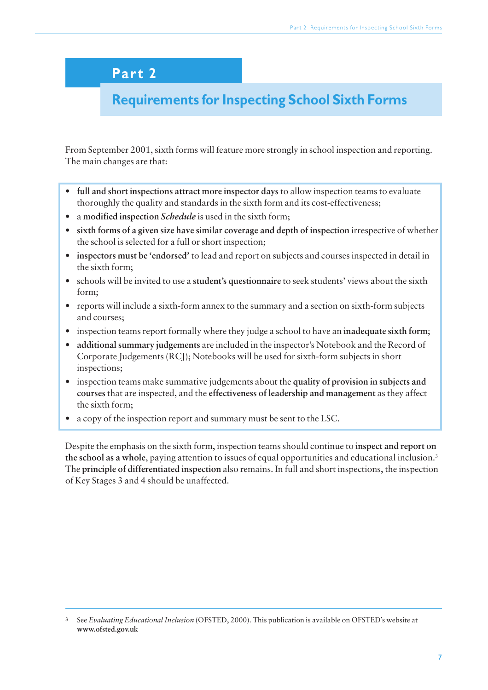## **Part 2**

## **Requirements for Inspecting School Sixth Forms**

From September 2001, sixth forms will feature more strongly in school inspection and reporting. The main changes are that:

- **full and short inspections attract more inspector days** to allow inspection teams to evaluate thoroughly the quality and standards in the sixth form and its cost-effectiveness;
- a modified inspection *Schedule* is used in the sixth form;
- **sixth forms of a given size have similar coverage and depth of inspection** irrespective of whether the school is selected for a full or short inspection;
- **inspectors must be 'endorsed'** to lead and report on subjects and courses inspected in detail in the sixth form;
- schools will be invited to use a **student's questionnaire** to seek students' views about the sixth form;
- reports will include a sixth-form annex to the summary and a section on sixth-form subjects and courses;
- inspection teams report formally where they judge a school to have an **inadequate sixth form**;
- **additional summary judgements** are included in the inspector's Notebook and the Record of Corporate Judgements (RCJ); Notebooks will be used for sixth-form subjects in short inspections;
- inspection teams make summative judgements about the **quality of provision in subjects and courses**that are inspected, and the **effectiveness of leadership and management** as they affect the sixth form;
- a copy of the inspection report and summary must be sent to the LSC.

Despite the emphasis on the sixth form, inspection teams should continue to **inspect and report on the school as a whole**, paying attention to issues of equal opportunities and educational inclusion.3 The **principle of differentiated inspection** also remains. In full and short inspections, the inspection of Key Stages 3 and 4 should be unaffected.

<sup>3</sup> See *Evaluating Educational Inclusion* (OFSTED, 2000). This publication is available on OFSTED's website at **www.ofsted.gov.uk**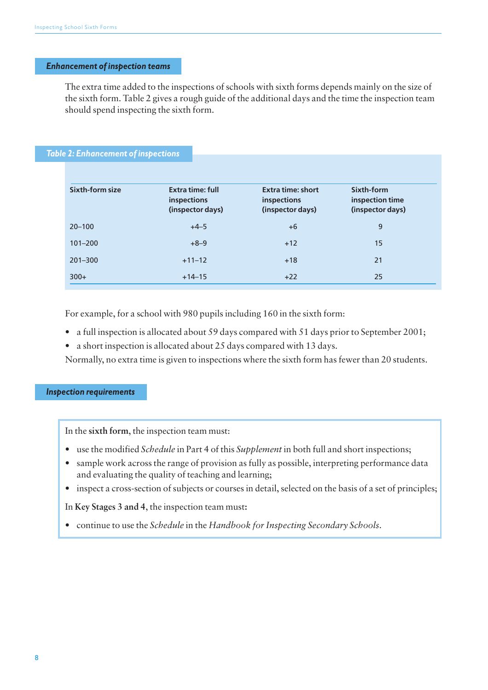#### *Enhancement of inspection teams*

The extra time added to the inspections of schools with sixth forms depends mainly on the size of the sixth form. Table 2 gives a rough guide of the additional days and the time the inspection team should spend inspecting the sixth form.

| Sixth-form size | <b>Extra time: full</b><br>inspections<br>(inspector days) | <b>Extra time: short</b><br>inspections<br>(inspector days) | Sixth-form<br>inspection time<br>(inspector days) |
|-----------------|------------------------------------------------------------|-------------------------------------------------------------|---------------------------------------------------|
| $20 - 100$      | $+4-5$                                                     | $+6$                                                        | 9                                                 |
| $101 - 200$     | $+8-9$                                                     | $+12$                                                       | 15                                                |
| $201 - 300$     | $+11-12$                                                   | $+18$                                                       | 21                                                |
| $300+$          | $+14-15$                                                   | $+22$                                                       | 25                                                |

For example, for a school with 980 pupils including 160 in the sixth form:

- a full inspection is allocated about 59 days compared with 51 days prior to September 2001;
- a short inspection is allocated about 25 days compared with 13 days.

Normally, no extra time is given to inspections where the sixth form has fewer than 20 students.

#### *Inspection requirements*

In the **sixth form**, the inspection team must:

- use the modified *Schedule* in Part 4 of this *Supplement* in both full and short inspections;
- sample work across the range of provision as fully as possible, interpreting performance data and evaluating the quality of teaching and learning;
- inspect a cross-section of subjects or courses in detail, selected on the basis of a set of principles;

In **Key Stages 3 and 4**, the inspection team must**:**

• continue to use the *Schedule* in the *Handbook for Inspecting Secondary Schools*.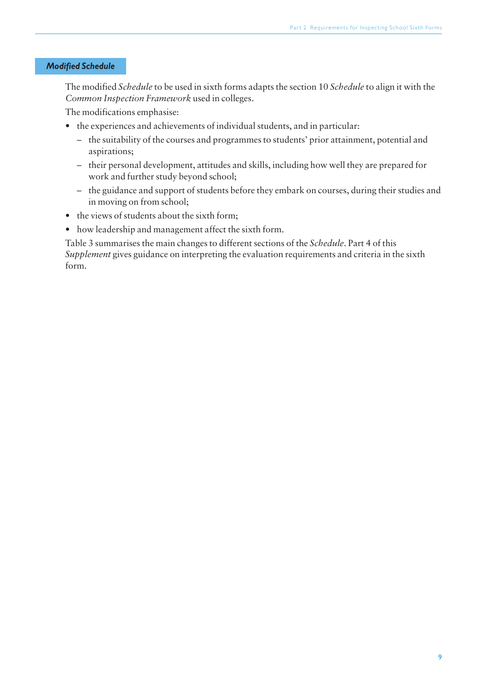#### *Modified Schedule*

The modified *Schedule* to be used in sixth forms adapts the section 10 *Schedule* to align it with the *Common Inspection Framework* used in colleges.

The modifications emphasise:

- the experiences and achievements of individual students, and in particular:
	- the suitability of the courses and programmes to students' prior attainment, potential and aspirations;
	- their personal development, attitudes and skills, including how well they are prepared for work and further study beyond school;
	- the guidance and support of students before they embark on courses, during their studies and in moving on from school;
- the views of students about the sixth form;
- how leadership and management affect the sixth form.

Table 3 summarises the main changes to different sections of the *Schedule*. Part 4 of this *Supplement* gives guidance on interpreting the evaluation requirements and criteria in the sixth form.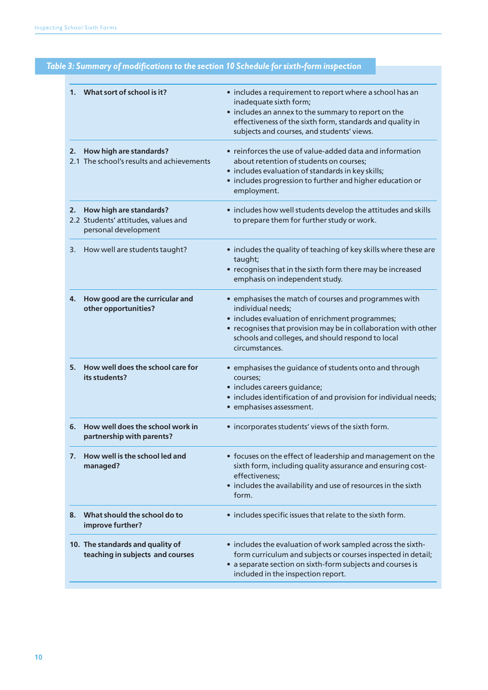| 1. What sort of school is it?                                                                | • includes a requirement to report where a school has an<br>inadequate sixth form;<br>• includes an annex to the summary to report on the<br>effectiveness of the sixth form, standards and quality in<br>subjects and courses, and students' views.                   |
|----------------------------------------------------------------------------------------------|------------------------------------------------------------------------------------------------------------------------------------------------------------------------------------------------------------------------------------------------------------------------|
| How high are standards?<br>2.<br>2.1 The school's results and achievements                   | • reinforces the use of value-added data and information<br>about retention of students on courses;<br>• includes evaluation of standards in key skills;<br>• includes progression to further and higher education or<br>employment.                                   |
| How high are standards?<br>2.<br>2.2 Students' attitudes, values and<br>personal development | • includes how well students develop the attitudes and skills<br>to prepare them for further study or work.                                                                                                                                                            |
| How well are students taught?<br>3.                                                          | • includes the quality of teaching of key skills where these are<br>taught;<br>• recognises that in the sixth form there may be increased<br>emphasis on independent study.                                                                                            |
| How good are the curricular and<br>4.<br>other opportunities?                                | • emphasises the match of courses and programmes with<br>individual needs;<br>• includes evaluation of enrichment programmes;<br>• recognises that provision may be in collaboration with other<br>schools and colleges, and should respond to local<br>circumstances. |
| 5. How well does the school care for<br>its students?                                        | • emphasises the guidance of students onto and through<br>courses;<br>• includes careers guidance;<br>• includes identification of and provision for individual needs;<br>· emphasises assessment.                                                                     |
| 6. How well does the school work in<br>partnership with parents?                             | • incorporates students' views of the sixth form.                                                                                                                                                                                                                      |
| How well is the school led and<br>7.<br>managed?                                             | • focuses on the effect of leadership and management on the<br>sixth form, including quality assurance and ensuring cost-<br>effectiveness;<br>• includes the availability and use of resources in the sixth<br>form.                                                  |
| What should the school do to<br>8.<br>improve further?                                       | • includes specific issues that relate to the sixth form.                                                                                                                                                                                                              |
| 10. The standards and quality of<br>teaching in subjects and courses                         | • includes the evaluation of work sampled across the sixth-<br>form curriculum and subjects or courses inspected in detail;<br>• a separate section on sixth-form subjects and courses is<br>included in the inspection report.                                        |

## *Table 3: Summary of modifications to the section 10 Schedule for sixth-form inspection*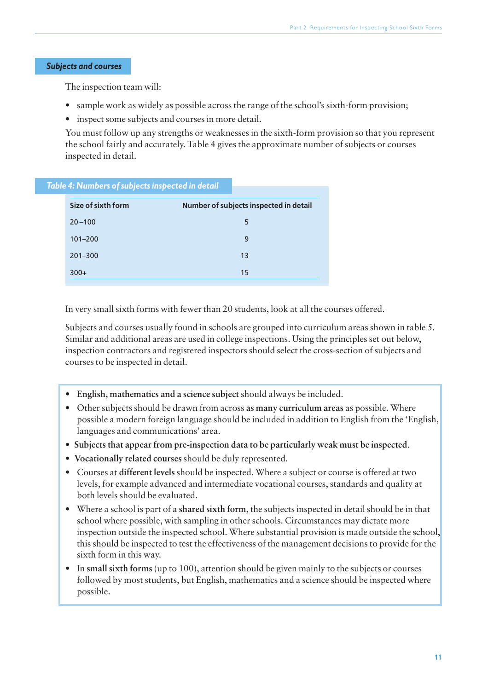#### *Subjects and courses*

The inspection team will:

- sample work as widely as possible across the range of the school's sixth-form provision;
- inspect some subjects and courses in more detail.

You must follow up any strengths or weaknesses in the sixth-form provision so that you represent the school fairly and accurately. Table 4 gives the approximate number of subjects or courses inspected in detail.

| <b>Table 4: Numbers of subjects inspected in detail</b> |                                        |
|---------------------------------------------------------|----------------------------------------|
| Size of sixth form                                      | Number of subjects inspected in detail |
| $20 - 100$                                              | 5                                      |
| $101 - 200$                                             | 9                                      |
| $201 - 300$                                             | 13                                     |
| $300+$                                                  | 15                                     |

In very small sixth forms with fewer than 20 students, look at all the courses offered.

Subjects and courses usually found in schools are grouped into curriculum areas shown in table 5. Similar and additional areas are used in college inspections. Using the principles set out below, inspection contractors and registered inspectors should select the cross-section of subjects and courses to be inspected in detail.

- **English, mathematics and a science subject**should always be included.
- Other subjects should be drawn from across **as many curriculum areas** as possible. Where possible a modern foreign language should be included in addition to English from the 'English, languages and communications' area.
- **Subjects that appear from pre-inspection data to be particularly weak must be inspected**.
- **Vocationally related courses** should be duly represented.
- Courses at **different levels** should be inspected. Where a subject or course is offered at two levels, for example advanced and intermediate vocational courses, standards and quality at both levels should be evaluated.
- Where a school is part of a **shared sixth form**, the subjects inspected in detail should be in that school where possible, with sampling in other schools. Circumstances may dictate more inspection outside the inspected school. Where substantial provision is made outside the school, this should be inspected to test the effectiveness of the management decisions to provide for the sixth form in this way.
- In **small sixth forms**(up to 100), attention should be given mainly to the subjects or courses followed by most students, but English, mathematics and a science should be inspected where possible.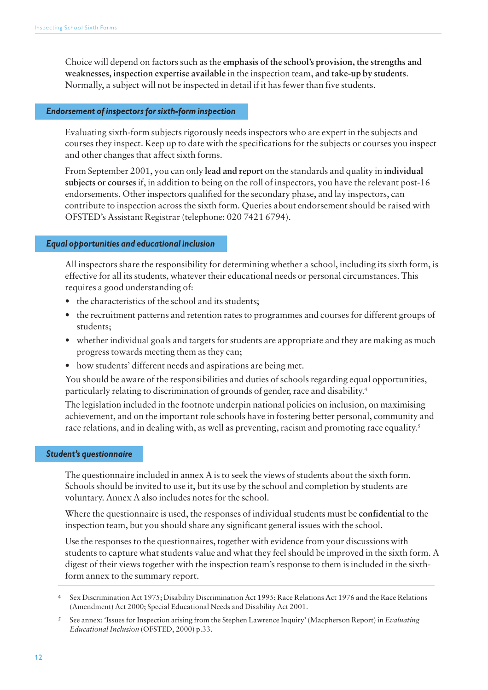Choice will depend on factors such as the **emphasis of the school's provision, the strengths and weaknesses, inspection expertise available** in the inspection team, **and take-up by students**. Normally, a subject will not be inspected in detail if it has fewer than five students.

#### *Endorsement of inspectors for sixth-form inspection*

Evaluating sixth-form subjects rigorously needs inspectors who are expert in the subjects and courses they inspect. Keep up to date with the specifications for the subjects or courses you inspect and other changes that affect sixth forms.

From September 2001, you can only **lead and report** on the standards and quality in **individual subjects or courses**if, in addition to being on the roll of inspectors, you have the relevant post-16 endorsements. Other inspectors qualified for the secondary phase, and lay inspectors, can contribute to inspection across the sixth form. Queries about endorsement should be raised with OFSTED's Assistant Registrar (telephone: 020 7421 6794).

#### *Equal opportunities and educational inclusion*

All inspectors share the responsibility for determining whether a school, including its sixth form, is effective for all its students, whatever their educational needs or personal circumstances. This requires a good understanding of:

- the characteristics of the school and its students;
- the recruitment patterns and retention rates to programmes and courses for different groups of students;
- whether individual goals and targets for students are appropriate and they are making as much progress towards meeting them as they can;
- how students' different needs and aspirations are being met.

You should be aware of the responsibilities and duties of schools regarding equal opportunities, particularly relating to discrimination of grounds of gender, race and disability.4

The legislation included in the footnote underpin national policies on inclusion, on maximising achievement, and on the important role schools have in fostering better personal, community and race relations, and in dealing with, as well as preventing, racism and promoting race equality.<sup>5</sup>

#### *Student's questionnaire*

The questionnaire included in annex A is to seek the views of students about the sixth form. Schools should be invited to use it, but its use by the school and completion by students are voluntary. Annex A also includes notes for the school.

Where the questionnaire is used, the responses of individual students must be **confidential** to the inspection team, but you should share any significant general issues with the school.

Use the responses to the questionnaires, together with evidence from your discussions with students to capture what students value and what they feel should be improved in the sixth form. A digest of their views together with the inspection team's response to them is included in the sixthform annex to the summary report.

- 4 Sex Discrimination Act 1975; Disability Discrimination Act 1995; Race Relations Act 1976 and the Race Relations (Amendment) Act 2000; Special Educational Needs and Disability Act 2001.
- <sup>5</sup> See annex: 'Issues for Inspection arising from the Stephen Lawrence Inquiry' (Macpherson Report) in *Evaluating Educational Inclusion* (OFSTED, 2000) p.33.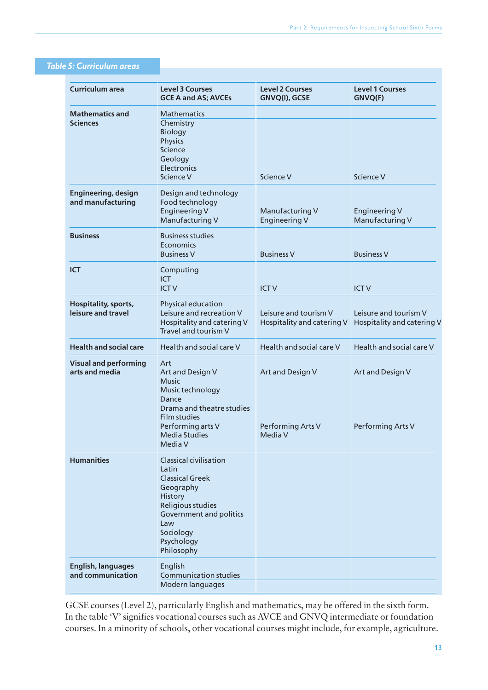| Curriculum area                                 | <b>Level 3 Courses</b><br><b>GCE A and AS; AVCEs</b>                                                                                                                                     | <b>Level 2 Courses</b><br>GNVQ(I), GCSE             | <b>Level 1 Courses</b><br>GNVQ(F)                   |
|-------------------------------------------------|------------------------------------------------------------------------------------------------------------------------------------------------------------------------------------------|-----------------------------------------------------|-----------------------------------------------------|
| <b>Mathematics and</b><br><b>Sciences</b>       | <b>Mathematics</b><br>Chemistry<br><b>Biology</b><br>Physics<br>Science<br>Geology<br>Electronics<br>Science V                                                                           | Science V                                           | Science V                                           |
| <b>Engineering, design</b><br>and manufacturing | Design and technology<br>Food technology<br><b>Engineering V</b><br>Manufacturing V                                                                                                      | Manufacturing V<br><b>Engineering V</b>             | <b>Engineering V</b><br><b>Manufacturing V</b>      |
| <b>Business</b>                                 | <b>Business studies</b><br>Economics<br><b>Business V</b>                                                                                                                                | <b>Business V</b>                                   | <b>Business V</b>                                   |
| <b>ICT</b>                                      | Computing<br><b>ICT</b><br><b>ICTV</b>                                                                                                                                                   | <b>ICTV</b>                                         | <b>ICTV</b>                                         |
| Hospitality, sports,<br>leisure and travel      | Physical education<br>Leisure and recreation V<br>Hospitality and catering V<br>Travel and tourism V                                                                                     | Leisure and tourism V<br>Hospitality and catering V | Leisure and tourism V<br>Hospitality and catering V |
| <b>Health and social care</b>                   | Health and social care V                                                                                                                                                                 | Health and social care V                            | Health and social care V                            |
| <b>Visual and performing</b><br>arts and media  | Art<br>Art and Design V<br><b>Music</b><br>Music technology<br>Dance<br>Drama and theatre studies<br><b>Film studies</b><br>Performing arts V<br><b>Media Studies</b><br>Media V         | Art and Design V<br>Performing Arts V<br>Media V    | Art and Design V<br>Performing Arts V               |
| <b>Humanities</b>                               | <b>Classical civilisation</b><br>Latin<br><b>Classical Greek</b><br>Geography<br>History<br>Religious studies<br>Government and politics<br>Law<br>Sociology<br>Psychology<br>Philosophy |                                                     |                                                     |
| <b>English, languages</b><br>and communication  | English<br><b>Communication studies</b><br>Modern languages                                                                                                                              |                                                     |                                                     |

#### *Table 5: Curriculum areas*

GCSE courses (Level 2), particularly English and mathematics, may be offered in the sixth form. In the table 'V' signifies vocational courses such as AVCE and GNVQ intermediate or foundation courses. In a minority of schools, other vocational courses might include, for example, agriculture.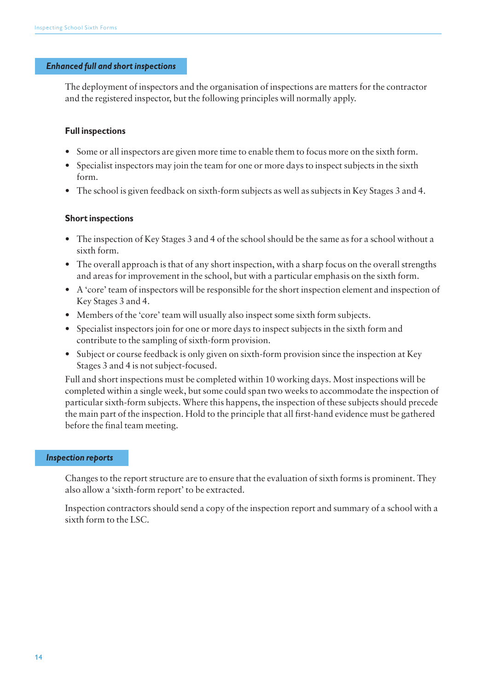#### *Enhanced full and short inspections*

The deployment of inspectors and the organisation of inspections are matters for the contractor and the registered inspector, but the following principles will normally apply.

#### **Full inspections**

- Some or all inspectors are given more time to enable them to focus more on the sixth form.
- Specialist inspectors may join the team for one or more days to inspect subjects in the sixth form.
- The school is given feedback on sixth-form subjects as well as subjects in Key Stages 3 and 4.

#### **Short inspections**

- The inspection of Key Stages 3 and 4 of the school should be the same as for a school without a sixth form.
- The overall approach is that of any short inspection, with a sharp focus on the overall strengths and areas for improvement in the school, but with a particular emphasis on the sixth form.
- A 'core' team of inspectors will be responsible for the short inspection element and inspection of Key Stages 3 and 4.
- Members of the 'core' team will usually also inspect some sixth form subjects.
- Specialist inspectors join for one or more days to inspect subjects in the sixth form and contribute to the sampling of sixth-form provision.
- Subject or course feedback is only given on sixth-form provision since the inspection at Key Stages 3 and 4 is not subject-focused.

Full and short inspections must be completed within 10 working days. Most inspections will be completed within a single week, but some could span two weeks to accommodate the inspection of particular sixth-form subjects. Where this happens, the inspection of these subjects should precede the main part of the inspection. Hold to the principle that all first-hand evidence must be gathered before the final team meeting.

#### *Inspection reports*

Changes to the report structure are to ensure that the evaluation of sixth forms is prominent. They also allow a 'sixth-form report' to be extracted.

Inspection contractors should send a copy of the inspection report and summary of a school with a sixth form to the LSC.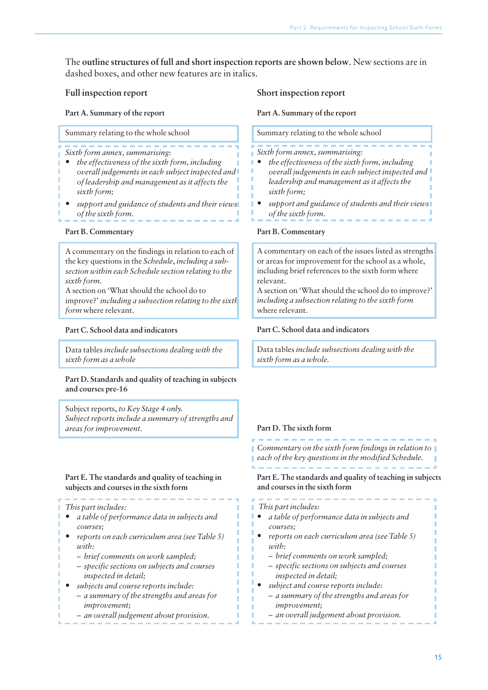The **outline structures of full and short inspection reports are shown below**. New sections are in dashed boxes, and other new features are in italics.

#### **Full inspection report**

#### **Part A. Summary of the report**

Summary relating to the whole school

- *Sixth form annex, summarising:*
- *the effectiveness of the sixth form, including overall judgements in each subject inspected and of leadership and management as it affects the sixth form;*
- *support and guidance of students and their views of the sixth form.*

#### **Part B. Commentary**

A commentary on the findings in relation to each of the key questions in the *Schedule*, *including a subsection within each Schedule section relating to the sixth form.*

A section on 'What should the school do to improve?' *including a subsection relating to the sixth form* where relevant.

#### **Part C. School data and indicators**

Data tables *include subsections dealing with the sixth form as a whole*

#### **Part D. Standards and quality of teaching in subjects and courses pre-16**

Subject reports, *to Key Stage 4 only. Subject reports include a summary of strengths and areas for improvement.*

#### **Part E. The standards and quality of teaching in subjects and courses in the sixth form**

#### *This part includes:*

- *a table of performance data in subjects and courses;*
- *reports on each curriculum area (see Table 5) with:*
	- *brief comments on work sampled;*
	- *specific sections on subjects and courses inspected in detail;*
- *subjects and course reports include: – a summary of the strengths and areas for improvement;*
- *an overall judgement about provision.*

#### **Short inspection report**

#### **Part A. Summary of the report**

Summary relating to the whole school

#### *Sixth form annex, summarising:*

- *the effectiveness of the sixth form, including overall judgements in each subject inspected and leadership and management as it affects the sixth form;*
- *support and guidance of students and their views of the sixth form.*

#### **Part B. Commentary**

A commentary on each of the issues listed as strengths or areas for improvement for the school as a whole, including brief references to the sixth form where relevant.

A section on 'What should the school do to improve?' *including a subsection relating to the sixth form* where relevant.

#### **Part C. School data and indicators**

Data tables *include subsections dealing with the sixth form as a whole.*

#### **Part D. The sixth form**

*Commentary on the sixth form findings in relation to each of the key questions in the modified Schedule.* . <u>. . . . . . . . . . . . . . . . .</u> . .

#### **Part E. The standards and quality of teaching in subjects and courses in the sixth form**

#### *This part includes:*

- *a table of performance data in subjects and courses;*
- *reports on each curriculum area (see Table 5) with:*
	- *brief comments on work sampled;*
	- *specific sections on subjects and courses inspected in detail;*
	- *subject and course reports include: – a summary of the strengths and areas for* 
		- *improvement;*
		- *an overall judgement about provision.*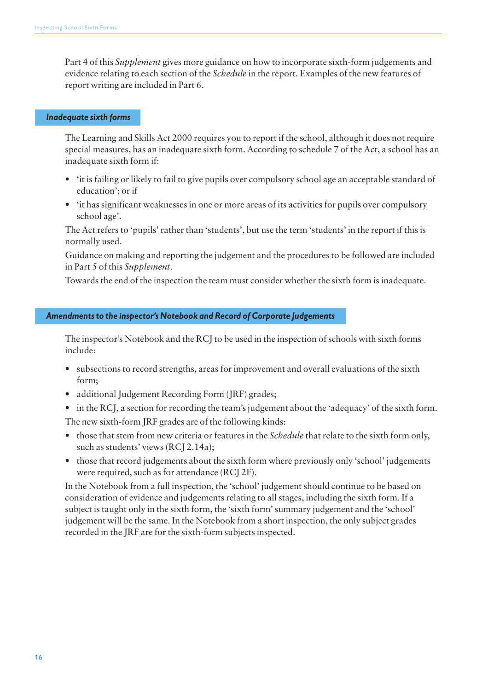Part 4 of this *Supplement* gives more guidance on how to incorporate sixth-form judgements and evidence relating to each section of the *Schedule* in the report. Examples of the new features of report writing are included in Part 6.

#### *Inadequate sixth forms*

The Learning and Skills Act 2000 requires you to report if the school, although it does not require special measures, has an inadequate sixth form. According to schedule 7 of the Act, a school has an inadequate sixth form if:

- it is failing or likely to fail to give pupils over compulsory school age an acceptable standard of education'; or if
- 'it has significant weaknesses in one or more areas of its activities for pupils over compulsory school age'.

The Act refers to 'pupils' rather than 'students', but use the term 'students' in the report if this is normally used.

Guidance on making and reporting the judgement and the procedures to be followed are included in Part 5 of this *Supplement*.

Towards the end of the inspection the team must consider whether the sixth form is inadequate.

#### *Amendments to the inspector's Notebook and Record of Corporate Judgements*

The inspector's Notebook and the RCJ to be used in the inspection of schools with sixth forms include:

- subsections to record strengths, areas for improvement and overall evaluations of the sixth form;
- additional Judgement Recording Form (JRF) grades;
- in the RCJ, a section for recording the team's judgement about the 'adequacy' of the sixth form.

The new sixth-form JRF grades are of the following kinds:

- those that stem from new criteria or features in the *Schedule* that relate to the sixth form only, such as students' views (RCJ 2.14a);
- those that record judgements about the sixth form where previously only 'school' judgements were required, such as for attendance (RCJ 2F).

In the Notebook from a full inspection, the 'school' judgement should continue to be based on consideration of evidence and judgements relating to all stages, including the sixth form. If a subject is taught only in the sixth form, the 'sixth form' summary judgement and the 'school' judgement will be the same. In the Notebook from a short inspection, the only subject grades recorded in the JRF are for the sixth-form subjects inspected.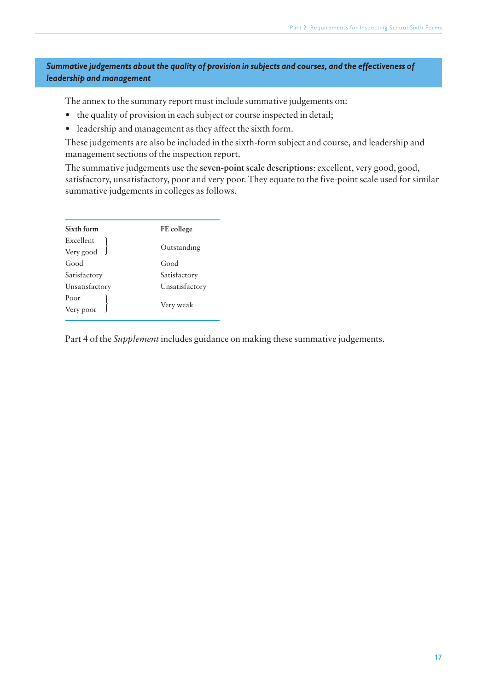*Summative judgements about the quality of provision in subjects and courses, and the effectiveness of leadership and management*

The annex to the summary report must include summative judgements on:

- the quality of provision in each subject or course inspected in detail;
- leadership and management as they affect the sixth form.

These judgements are also be included in the sixth-form subject and course, and leadership and management sections of the inspection report.

The summative judgements use the **seven-point scale descriptions**: excellent, very good, good, satisfactory, unsatisfactory, poor and very poor. They equate to the five-point scale used for similar summative judgements in colleges as follows.

| Sixth form             | FE college     |
|------------------------|----------------|
| Excellent<br>Very good | Outstanding    |
| Good                   | Good           |
| Satisfactory           | Satisfactory   |
| Unsatisfactory         | Unsatisfactory |
| Poor<br>Very poor      | Very weak      |

Part 4 of the *Supplement* includes guidance on making these summative judgements.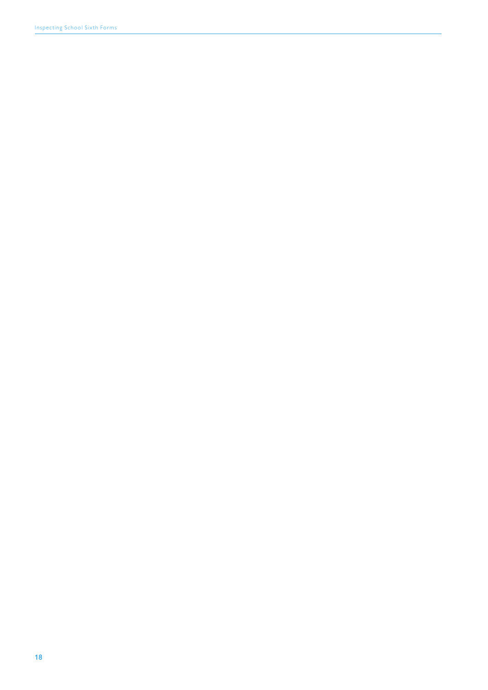Inspecting School Sixth Forms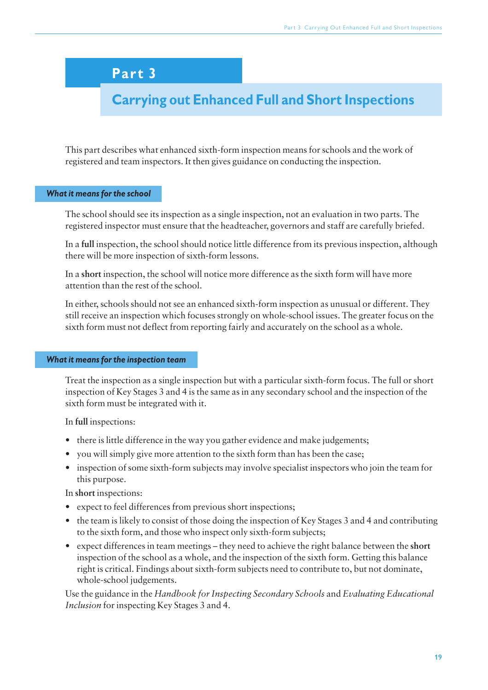**Part 3**

## **Carrying out Enhanced Full and Short Inspections**

This part describes what enhanced sixth-form inspection means for schools and the work of registered and team inspectors. It then gives guidance on conducting the inspection.

#### *What it means for the school*

The school should see its inspection as a single inspection, not an evaluation in two parts. The registered inspector must ensure that the headteacher, governors and staff are carefully briefed.

In a **full** inspection, the school should notice little difference from its previous inspection, although there will be more inspection of sixth-form lessons.

In a **short** inspection, the school will notice more difference as the sixth form will have more attention than the rest of the school.

In either, schools should not see an enhanced sixth-form inspection as unusual or different. They still receive an inspection which focuses strongly on whole-school issues. The greater focus on the sixth form must not deflect from reporting fairly and accurately on the school as a whole.

#### *What it means for the inspection team*

Treat the inspection as a single inspection but with a particular sixth-form focus. The full or short inspection of Key Stages 3 and 4 is the same as in any secondary school and the inspection of the sixth form must be integrated with it.

In **full** inspections:

- there is little difference in the way you gather evidence and make judgements;
- you will simply give more attention to the sixth form than has been the case;
- inspection of some sixth-form subjects may involve specialist inspectors who join the team for this purpose.

In **short** inspections:

- expect to feel differences from previous short inspections;
- the team is likely to consist of those doing the inspection of Key Stages 3 and 4 and contributing to the sixth form, and those who inspect only sixth-form subjects;
- expect differences in team meetings they need to achieve the right balance between the **short** inspection of the school as a whole, and the inspection of the sixth form. Getting this balance right is critical. Findings about sixth-form subjects need to contribute to, but not dominate, whole-school judgements.

Use the guidance in the *Handbook for Inspecting Secondary Schools* and *Evaluating Educational Inclusion* for inspecting Key Stages 3 and 4.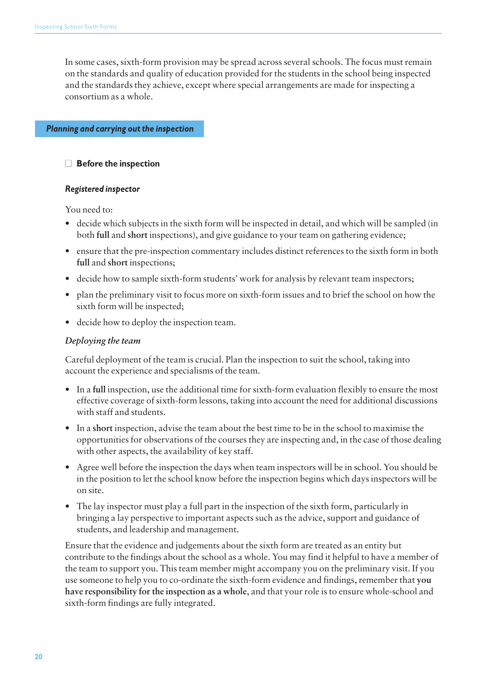In some cases, sixth-form provision may be spread across several schools. The focus must remain on the standards and quality of education provided for the students in the school being inspected and the standards they achieve, except where special arrangements are made for inspecting a consortium as a whole.

*Planning and carrying out the inspection*

#### □ **Before the inspection**

#### *Registered inspector*

You need to:

- decide which subjects in the sixth form will be inspected in detail, and which will be sampled (in both **full** and **short** inspections), and give guidance to your team on gathering evidence;
- ensure that the pre-inspection commentary includes distinct references to the sixth form in both **full** and **short** inspections;
- decide how to sample sixth-form students' work for analysis by relevant team inspectors;
- plan the preliminary visit to focus more on sixth-form issues and to brief the school on how the sixth form will be inspected;
- decide how to deploy the inspection team.

#### *Deploying the team*

Careful deployment of the team is crucial. Plan the inspection to suit the school, taking into account the experience and specialisms of the team.

- In a **full** inspection, use the additional time for sixth-form evaluation flexibly to ensure the most effective coverage of sixth-form lessons, taking into account the need for additional discussions with staff and students.
- In a **short** inspection, advise the team about the best time to be in the school to maximise the opportunities for observations of the courses they are inspecting and, in the case of those dealing with other aspects, the availability of key staff.
- Agree well before the inspection the days when team inspectors will be in school. You should be in the position to let the school know before the inspection begins which days inspectors will be on site.
- The lay inspector must play a full part in the inspection of the sixth form, particularly in bringing a lay perspective to important aspects such as the advice, support and guidance of students, and leadership and management.

Ensure that the evidence and judgements about the sixth form are treated as an entity but contribute to the findings about the school as a whole. You may find it helpful to have a member of the team to support you. This team member might accompany you on the preliminary visit. If you use someone to help you to co-ordinate the sixth-form evidence and findings, remember that **you have responsibility for the inspection as a whole**, and that your role is to ensure whole-school and sixth-form findings are fully integrated.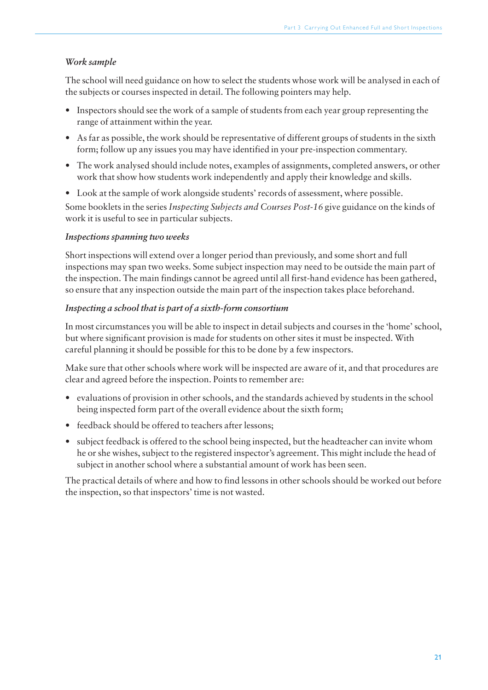#### *Work sample*

The school will need guidance on how to select the students whose work will be analysed in each of the subjects or courses inspected in detail. The following pointers may help.

- Inspectors should see the work of a sample of students from each year group representing the range of attainment within the year.
- As far as possible, the work should be representative of different groups of students in the sixth form; follow up any issues you may have identified in your pre-inspection commentary.
- The work analysed should include notes, examples of assignments, completed answers, or other work that show how students work independently and apply their knowledge and skills.
- Look at the sample of work alongside students' records of assessment, where possible.

Some booklets in the series *Inspecting Subjects and Courses Post-16* give guidance on the kinds of work it is useful to see in particular subjects.

#### *Inspections spanning two weeks*

Short inspections will extend over a longer period than previously, and some short and full inspections may span two weeks. Some subject inspection may need to be outside the main part of the inspection. The main findings cannot be agreed until all first-hand evidence has been gathered, so ensure that any inspection outside the main part of the inspection takes place beforehand.

#### *Inspecting a school that is part of a sixth-form consortium*

In most circumstances you will be able to inspect in detail subjects and courses in the 'home' school, but where significant provision is made for students on other sites it must be inspected. With careful planning it should be possible for this to be done by a few inspectors.

Make sure that other schools where work will be inspected are aware of it, and that procedures are clear and agreed before the inspection. Points to remember are:

- evaluations of provision in other schools, and the standards achieved by students in the school being inspected form part of the overall evidence about the sixth form;
- feedback should be offered to teachers after lessons:
- subject feedback is offered to the school being inspected, but the headteacher can invite whom he or she wishes, subject to the registered inspector's agreement. This might include the head of subject in another school where a substantial amount of work has been seen.

The practical details of where and how to find lessons in other schools should be worked out before the inspection, so that inspectors' time is not wasted.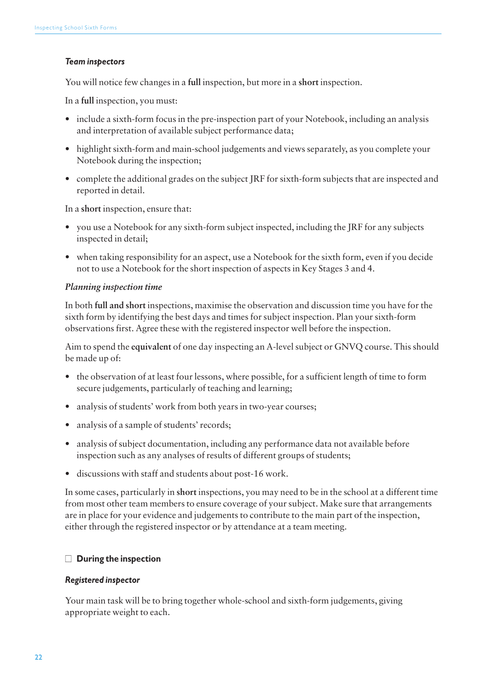#### *Team inspectors*

You will notice few changes in a **full** inspection, but more in a **short** inspection.

In a **full** inspection, you must:

- include a sixth-form focus in the pre-inspection part of your Notebook, including an analysis and interpretation of available subject performance data;
- highlight sixth-form and main-school judgements and views separately, as you complete your Notebook during the inspection;
- complete the additional grades on the subject JRF for sixth-form subjects that are inspected and reported in detail.

In a **short** inspection, ensure that:

- you use a Notebook for any sixth-form subject inspected, including the JRF for any subjects inspected in detail;
- when taking responsibility for an aspect, use a Notebook for the sixth form, even if you decide not to use a Notebook for the short inspection of aspects in Key Stages 3 and 4.

#### *Planning inspection time*

In both **full and short** inspections, maximise the observation and discussion time you have for the sixth form by identifying the best days and times for subject inspection. Plan your sixth-form observations first. Agree these with the registered inspector well before the inspection.

Aim to spend the **equivalent** of one day inspecting an A-level subject or GNVQ course. This should be made up of:

- the observation of at least four lessons, where possible, for a sufficient length of time to form secure judgements, particularly of teaching and learning;
- analysis of students' work from both years in two-year courses;
- analysis of a sample of students' records;
- analysis of subject documentation, including any performance data not available before inspection such as any analyses of results of different groups of students;
- discussions with staff and students about post-16 work.

In some cases, particularly in **short** inspections, you may need to be in the school at a different time from most other team members to ensure coverage of your subject. Make sure that arrangements are in place for your evidence and judgements to contribute to the main part of the inspection, either through the registered inspector or by attendance at a team meeting.

#### ■ **During the inspection**

#### *Registered inspector*

Your main task will be to bring together whole-school and sixth-form judgements, giving appropriate weight to each.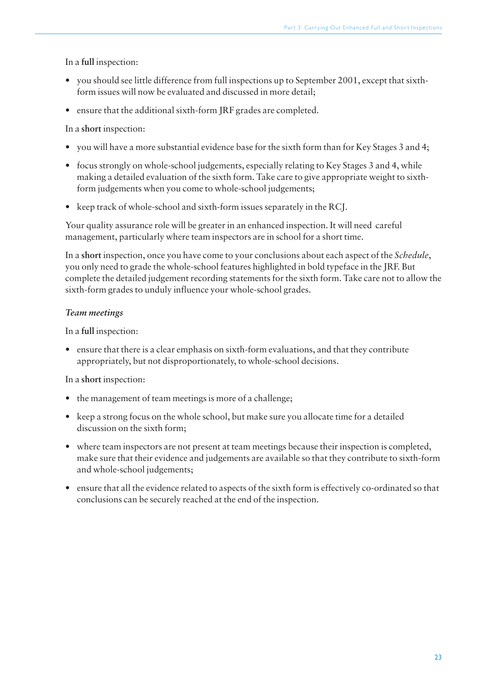In a **full** inspection:

- you should see little difference from full inspections up to September 2001, except that sixthform issues will now be evaluated and discussed in more detail;
- ensure that the additional sixth-form JRF grades are completed.

In a **short** inspection:

- you will have a more substantial evidence base for the sixth form than for Key Stages 3 and 4;
- focus strongly on whole-school judgements, especially relating to Key Stages 3 and 4, while making a detailed evaluation of the sixth form. Take care to give appropriate weight to sixthform judgements when you come to whole-school judgements;
- keep track of whole-school and sixth-form issues separately in the RCJ.

Your quality assurance role will be greater in an enhanced inspection. It will need careful management, particularly where team inspectors are in school for a short time.

In a **short** inspection, once you have come to your conclusions about each aspect of the *Schedule*, you only need to grade the whole-school features highlighted in bold typeface in the JRF. But complete the detailed judgement recording statements for the sixth form. Take care not to allow the sixth-form grades to unduly influence your whole-school grades.

#### *Team meetings*

In a **full** inspection:

• ensure that there is a clear emphasis on sixth-form evaluations, and that they contribute appropriately, but not disproportionately, to whole-school decisions.

#### In a **short** inspection:

- the management of team meetings is more of a challenge;
- keep a strong focus on the whole school, but make sure you allocate time for a detailed discussion on the sixth form;
- where team inspectors are not present at team meetings because their inspection is completed, make sure that their evidence and judgements are available so that they contribute to sixth-form and whole-school judgements;
- ensure that all the evidence related to aspects of the sixth form is effectively co-ordinated so that conclusions can be securely reached at the end of the inspection.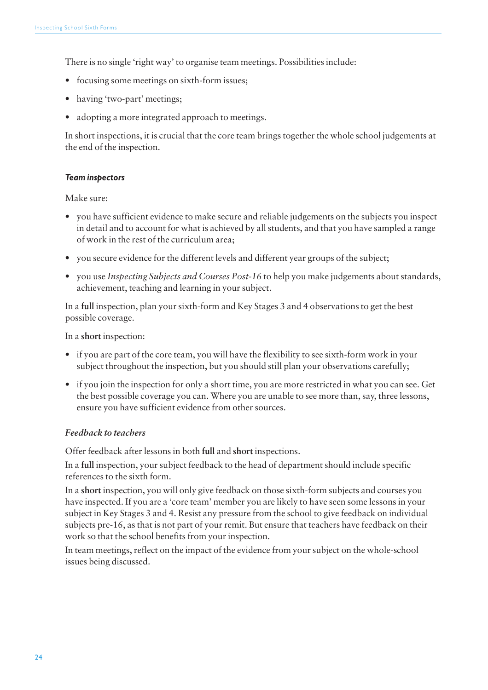There is no single 'right way' to organise team meetings. Possibilities include:

- focusing some meetings on sixth-form issues;
- having 'two-part' meetings;
- adopting a more integrated approach to meetings.

In short inspections, it is crucial that the core team brings together the whole school judgements at the end of the inspection.

#### *Team inspectors*

Make sure:

- you have sufficient evidence to make secure and reliable judgements on the subjects you inspect in detail and to account for what is achieved by all students, and that you have sampled a range of work in the rest of the curriculum area;
- you secure evidence for the different levels and different year groups of the subject;
- you use *Inspecting Subjects and Courses Post-16* to help you make judgements about standards, achievement, teaching and learning in your subject.

In a **full** inspection, plan your sixth-form and Key Stages 3 and 4 observations to get the best possible coverage.

In a **short** inspection:

- if you are part of the core team, you will have the flexibility to see sixth-form work in your subject throughout the inspection, but you should still plan your observations carefully;
- if you join the inspection for only a short time, you are more restricted in what you can see. Get the best possible coverage you can. Where you are unable to see more than, say, three lessons, ensure you have sufficient evidence from other sources.

#### *Feedback to teachers*

Offer feedback after lessons in both **full** and **short** inspections.

In a **full** inspection, your subject feedback to the head of department should include specific references to the sixth form.

In a **short** inspection, you will only give feedback on those sixth-form subjects and courses you have inspected. If you are a 'core team' member you are likely to have seen some lessons in your subject in Key Stages 3 and 4. Resist any pressure from the school to give feedback on individual subjects pre-16, as that is not part of your remit. But ensure that teachers have feedback on their work so that the school benefits from your inspection.

In team meetings, reflect on the impact of the evidence from your subject on the whole-school issues being discussed.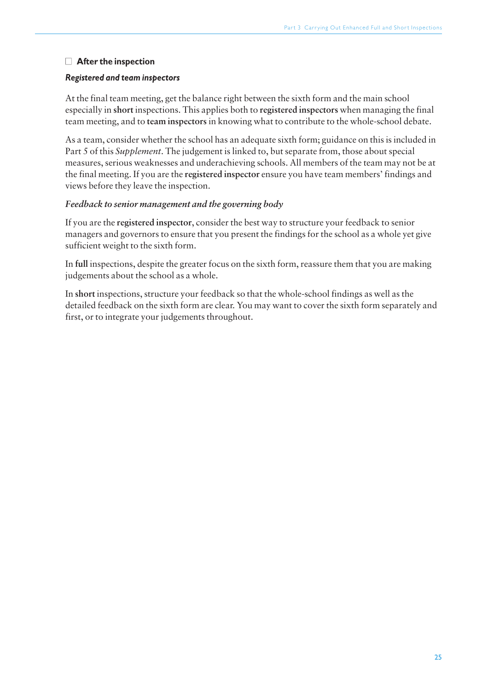#### □ After the inspection

#### *Registered and team inspectors*

At the final team meeting, get the balance right between the sixth form and the main school especially in **short** inspections. This applies both to **registered inspectors** when managing the final team meeting, and to **team inspectors**in knowing what to contribute to the whole-school debate.

As a team, consider whether the school has an adequate sixth form; guidance on this is included in Part 5 of this *Supplement*. The judgement is linked to, but separate from, those about special measures, serious weaknesses and underachieving schools. All members of the team may not be at the final meeting. If you are the **registered inspector** ensure you have team members' findings and views before they leave the inspection.

#### *Feedback to senior management and the governing body*

If you are the **registered inspector**, consider the best way to structure your feedback to senior managers and governors to ensure that you present the findings for the school as a whole yet give sufficient weight to the sixth form.

In **full** inspections, despite the greater focus on the sixth form, reassure them that you are making judgements about the school as a whole.

In **short** inspections, structure your feedback so that the whole-school findings as well as the detailed feedback on the sixth form are clear. You may want to cover the sixth form separately and first, or to integrate your judgements throughout.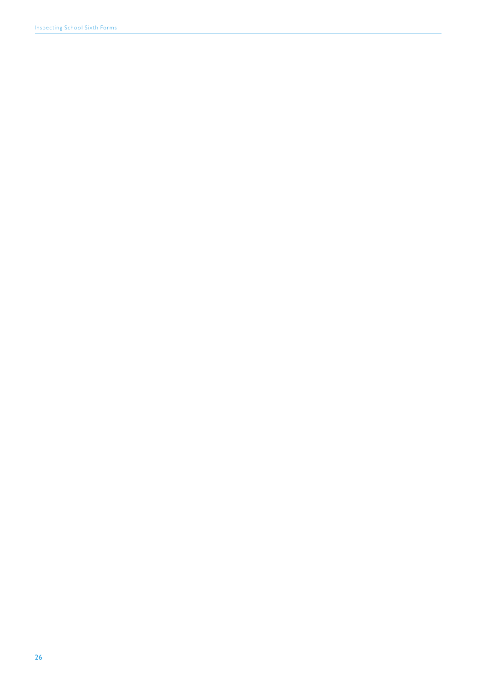Inspecting School Sixth Forms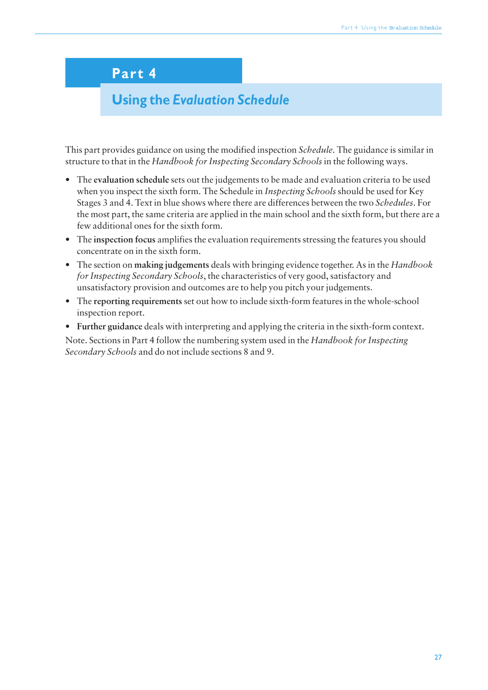## **Part 4**

## **Using the** *Evaluation Schedule*

This part provides guidance on using the modified inspection *Schedule.* The guidance is similar in structure to that in the *Handbook for Inspecting Secondary Schools*in the following ways.

- The **evaluation schedule** sets out the judgements to be made and evaluation criteria to be used when you inspect the sixth form. The Schedule in *Inspecting Schools*should be used for Key Stages 3 and 4. Text in blue shows where there are differences between the two *Schedules*. For the most part, the same criteria are applied in the main school and the sixth form, but there are a few additional ones for the sixth form.
- The **inspection focus** amplifies the evaluation requirements stressing the features you should concentrate on in the sixth form.
- The section on **making judgements** deals with bringing evidence together. As in the *Handbook for Inspecting Secondary Schools*, the characteristics of very good, satisfactory and unsatisfactory provision and outcomes are to help you pitch your judgements.
- The **reporting requirements** set out how to include sixth-form features in the whole-school inspection report.
- **Further guidance** deals with interpreting and applying the criteria in the sixth-form context.

Note. Sections in Part 4 follow the numbering system used in the *Handbook for Inspecting Secondary Schools* and do not include sections 8 and 9.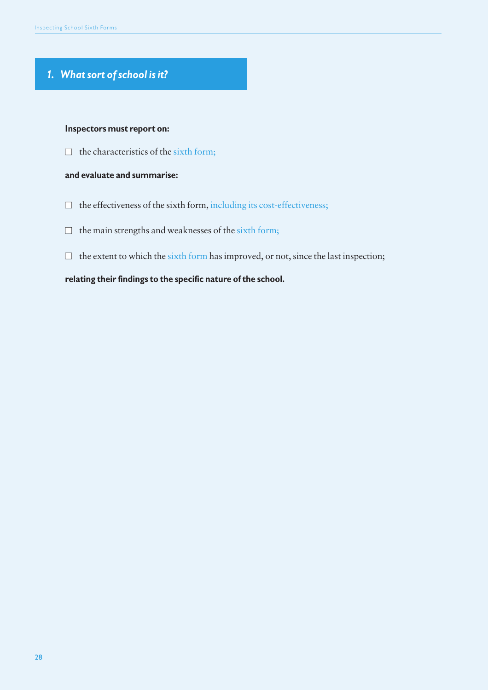### *1. What sort of school is it? .*

#### **Inspectors must report on:**

 $\Box$  the characteristics of the sixth form;

#### **and evaluate and summarise:**

- $\Box$  the effectiveness of the sixth form, including its cost-effectiveness;
- $\Box$  the main strengths and weaknesses of the sixth form;
- $\Box$  the extent to which the sixth form has improved, or not, since the last inspection;

#### **relating their findings to the specific nature of the school.**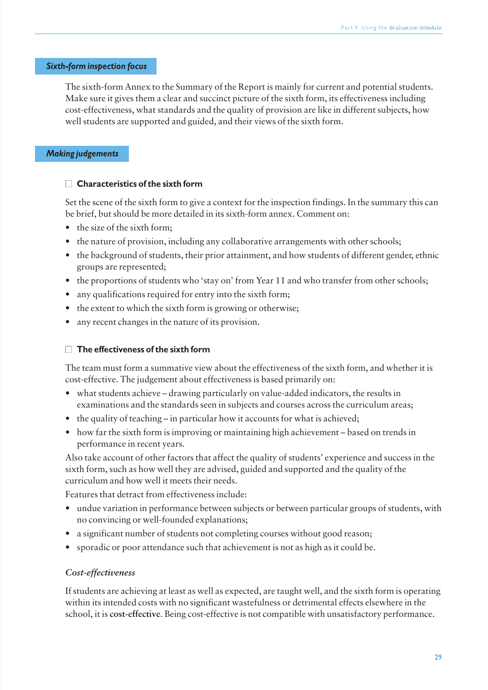#### *Sixth-form inspection focus*

The sixth-form Annex to the Summary of the Report is mainly for current and potential students. Make sure it gives them a clear and succinct picture of the sixth form, its effectiveness including cost-effectiveness, what standards and the quality of provision are like in different subjects, how well students are supported and guided, and their views of the sixth form.

#### *Making judgements*

#### ■ **Characteristics of the sixth form**

Set the scene of the sixth form to give a context for the inspection findings. In the summary this can be brief, but should be more detailed in its sixth-form annex. Comment on:

- the size of the sixth form:
- the nature of provision, including any collaborative arrangements with other schools;
- the background of students, their prior attainment, and how students of different gender, ethnic groups are represented;
- the proportions of students who 'stay on' from Year 11 and who transfer from other schools;
- any qualifications required for entry into the sixth form;
- the extent to which the sixth form is growing or otherwise;
- any recent changes in the nature of its provision.

#### ■ **The effectiveness of the sixth form**

The team must form a summative view about the effectiveness of the sixth form, and whether it is cost-effective. The judgement about effectiveness is based primarily on:

- what students achieve drawing particularly on value-added indicators, the results in examinations and the standards seen in subjects and courses across the curriculum areas;
- the quality of teaching in particular how it accounts for what is achieved:
- how far the sixth form is improving or maintaining high achievement based on trends in performance in recent years.

Also take account of other factors that affect the quality of students' experience and success in the sixth form, such as how well they are advised, guided and supported and the quality of the curriculum and how well it meets their needs.

Features that detract from effectiveness include:

- undue variation in performance between subjects or between particular groups of students, with no convincing or well-founded explanations;
- a significant number of students not completing courses without good reason;
- sporadic or poor attendance such that achievement is not as high as it could be.

#### *Cost-effectiveness*

If students are achieving at least as well as expected, are taught well, and the sixth form is operating within its intended costs with no significant wastefulness or detrimental effects elsewhere in the school, it is **cost-effective**. Being cost-effective is not compatible with unsatisfactory performance.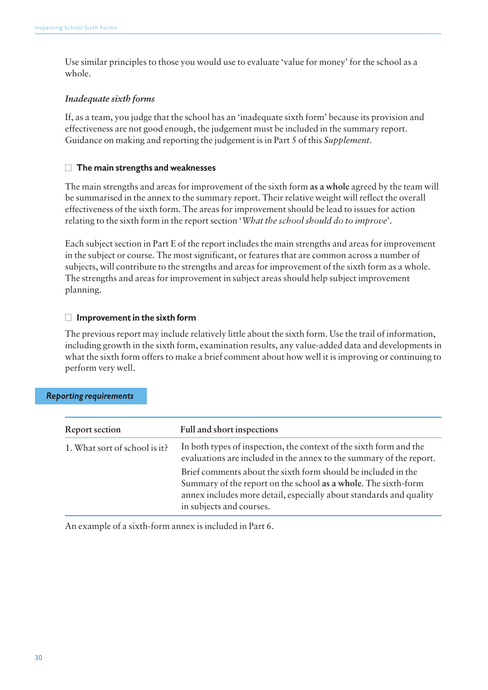Use similar principles to those you would use to evaluate 'value for money' for the school as a whole.

#### *Inadequate sixth forms*

If, as a team, you judge that the school has an 'inadequate sixth form' because its provision and effectiveness are not good enough, the judgement must be included in the summary report. Guidance on making and reporting the judgement is in Part 5 of this *Supplement*.

#### ■ **The main strengths and weaknesses**

The main strengths and areas for improvement of the sixth form **as a whole** agreed by the team will be summarised in the annex to the summary report. Their relative weight will reflect the overall effectiveness of the sixth form. The areas for improvement should be lead to issues for action relating to the sixth form in the report section '*What the school should do to improve*'.

Each subject section in Part E of the report includes the main strengths and areas for improvement in the subject or course. The most significant, or features that are common across a number of subjects, will contribute to the strengths and areas for improvement of the sixth form as a whole. The strengths and areas for improvement in subject areas should help subject improvement planning.

#### □ Improvement in the sixth form

The previous report may include relatively little about the sixth form. Use the trail of information, including growth in the sixth form, examination results, any value-added data and developments in what the sixth form offers to make a brief comment about how well it is improving or continuing to perform very well.

#### *Reporting requirements*

| <b>Report section</b>         | Full and short inspections                                                                                                                                                                                                                                                                                                                                                     |
|-------------------------------|--------------------------------------------------------------------------------------------------------------------------------------------------------------------------------------------------------------------------------------------------------------------------------------------------------------------------------------------------------------------------------|
| 1. What sort of school is it? | In both types of inspection, the context of the sixth form and the<br>evaluations are included in the annex to the summary of the report.<br>Brief comments about the sixth form should be included in the<br>Summary of the report on the school as a whole. The sixth-form<br>annex includes more detail, especially about standards and quality<br>in subjects and courses. |

An example of a sixth-form annex is included in Part 6.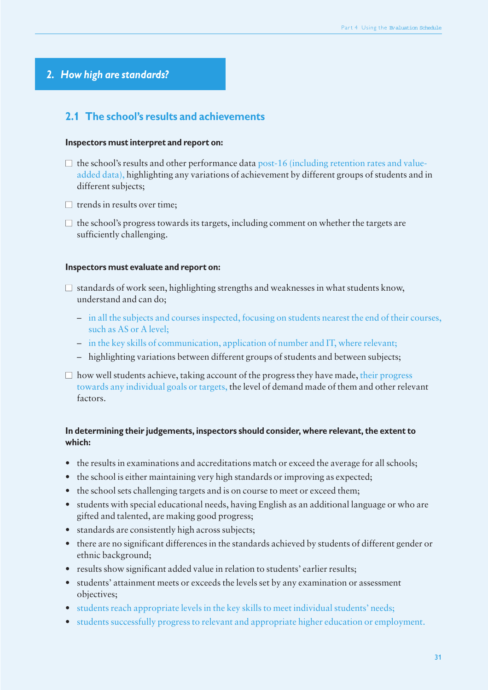## *2. How high are standards? .*

# **2.1 The school's results and achievements**

### **Inspectors must interpret and report on:**

- $\square$  the school's results and other performance data post-16 (including retention rates and valueadded data), highlighting any variations of achievement by different groups of students and in different subjects;
- $\Box$  trends in results over time;
- $\Box$  the school's progress towards its targets, including comment on whether the targets are sufficiently challenging.

### **Inspectors must evaluate and report on:**

- $\Box$  standards of work seen, highlighting strengths and weaknesses in what students know, understand and can do;
	- in all the subjects and courses inspected, focusing on students nearest the end of their courses, such as AS or A level;
	- in the key skills of communication, application of number and IT, where relevant;
	- highlighting variations between different groups of students and between subjects;
- $\Box$  how well students achieve, taking account of the progress they have made, their progress towards any individual goals or targets, the level of demand made of them and other relevant factors.

## **In determining their judgements, inspectors should consider, where relevant, the extent to which:**

- the results in examinations and accreditations match or exceed the average for all schools;
- the school is either maintaining very high standards or improving as expected;
- the school sets challenging targets and is on course to meet or exceed them;
- students with special educational needs, having English as an additional language or who are gifted and talented, are making good progress;
- standards are consistently high across subjects;
- there are no significant differences in the standards achieved by students of different gender or ethnic background;
- results show significant added value in relation to students' earlier results;
- students' attainment meets or exceeds the levels set by any examination or assessment objectives;
- students reach appropriate levels in the key skills to meet individual students' needs;
- students successfully progress to relevant and appropriate higher education or employment.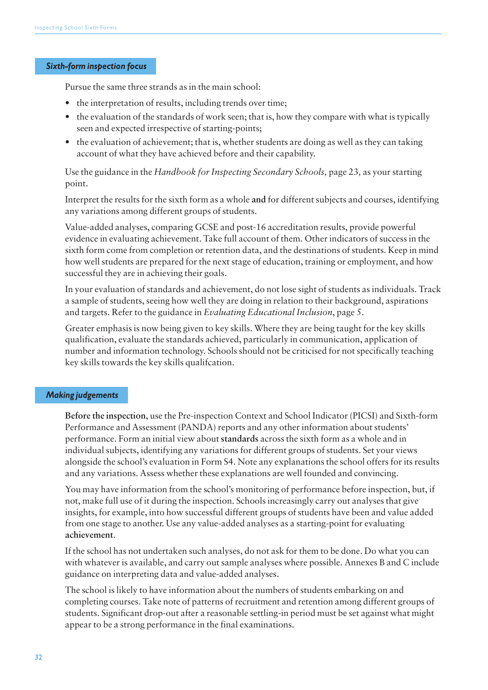#### *Sixth-form inspection focus*

Pursue the same three strands as in the main school:

- the interpretation of results, including trends over time;
- the evaluation of the standards of work seen; that is, how they compare with what is typically seen and expected irrespective of starting-points;
- the evaluation of achievement; that is, whether students are doing as well as they can taking account of what they have achieved before and their capability.

Use the guidance in the *Handbook for Inspecting Secondary Schools,* page 23*,* as your starting point.

Interpret the results for the sixth form as a whole **and** for different subjects and courses, identifying any variations among different groups of students.

Value-added analyses, comparing GCSE and post-16 accreditation results, provide powerful evidence in evaluating achievement. Take full account of them. Other indicators of success in the sixth form come from completion or retention data, and the destinations of students. Keep in mind how well students are prepared for the next stage of education, training or employment, and how successful they are in achieving their goals.

In your evaluation of standards and achievement, do not lose sight of students as individuals. Track a sample of students, seeing how well they are doing in relation to their background, aspirations and targets. Refer to the guidance in *Evaluating Educational Inclusion*, page 5.

Greater emphasis is now being given to key skills. Where they are being taught for the key skills qualification, evaluate the standards achieved, particularly in communication, application of number and information technology. Schools should not be criticised for not specifically teaching key skills towards the key skills qualifcation.

#### *Making judgements*

**Before the inspection**, use the Pre-inspection Context and School Indicator (PICSI) and Sixth-form Performance and Assessment (PANDA) reports and any other information about students' performance. Form an initial view about **standards** across the sixth form as a whole and in individual subjects, identifying any variations for different groups of students. Set your views alongside the school's evaluation in Form S4. Note any explanations the school offers for its results and any variations. Assess whether these explanations are well founded and convincing.

You may have information from the school's monitoring of performance before inspection, but, if not, make full use of it during the inspection. Schools increasingly carry out analyses that give insights, for example, into how successful different groups of students have been and value added from one stage to another. Use any value-added analyses as a starting-point for evaluating **achievement**.

If the school has not undertaken such analyses, do not ask for them to be done. Do what you can with whatever is available, and carry out sample analyses where possible. Annexes B and C include guidance on interpreting data and value-added analyses.

The school is likely to have information about the numbers of students embarking on and completing courses. Take note of patterns of recruitment and retention among different groups of students. Significant drop-out after a reasonable settling-in period must be set against what might appear to be a strong performance in the final examinations.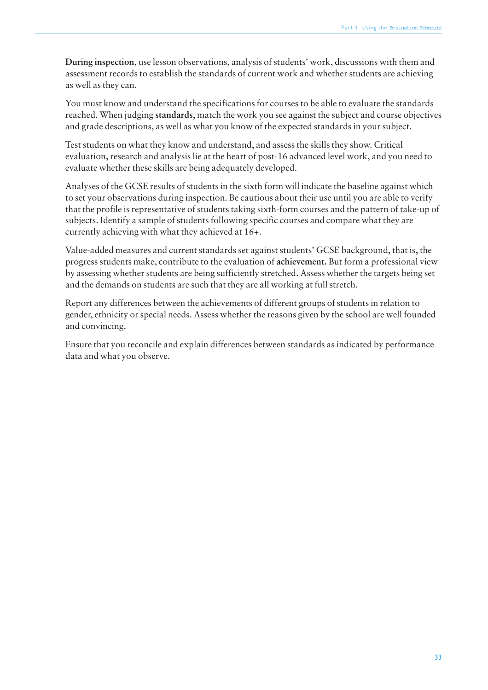**During inspection**, use lesson observations, analysis of students' work, discussions with them and assessment records to establish the standards of current work and whether students are achieving as well as they can.

You must know and understand the specifications for courses to be able to evaluate the standards reached. When judging **standards**, match the work you see against the subject and course objectives and grade descriptions, as well as what you know of the expected standards in your subject.

Test students on what they know and understand, and assess the skills they show. Critical evaluation, research and analysis lie at the heart of post-16 advanced level work, and you need to evaluate whether these skills are being adequately developed.

Analyses of the GCSE results of students in the sixth form will indicate the baseline against which to set your observations during inspection. Be cautious about their use until you are able to verify that the profile is representative of students taking sixth-form courses and the pattern of take-up of subjects. Identify a sample of students following specific courses and compare what they are currently achieving with what they achieved at 16+.

Value-added measures and current standards set against students' GCSE background, that is, the progress students make, contribute to the evaluation of **achievement.** But form a professional view by assessing whether students are being sufficiently stretched. Assess whether the targets being set and the demands on students are such that they are all working at full stretch.

Report any differences between the achievements of different groups of students in relation to gender, ethnicity or special needs. Assess whether the reasons given by the school are well founded and convincing.

Ensure that you reconcile and explain differences between standards as indicated by performance data and what you observe.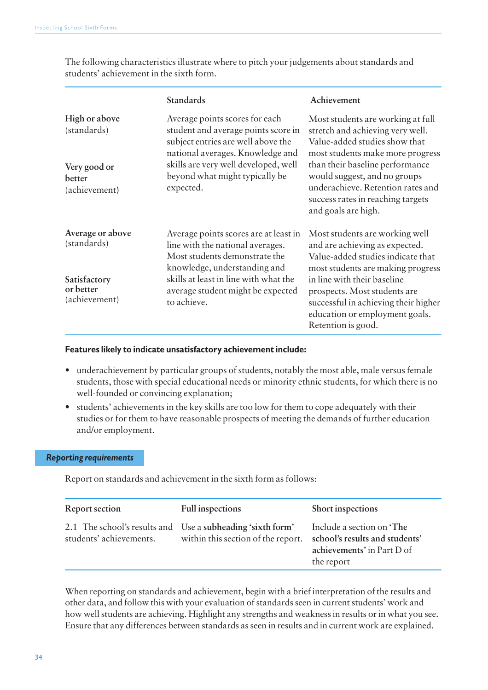The following characteristics illustrate where to pitch your judgements about standards and students' achievement in the sixth form.

|                              | <b>Standards</b>                                                                                                                                | Achievement                                                                                                                                |
|------------------------------|-------------------------------------------------------------------------------------------------------------------------------------------------|--------------------------------------------------------------------------------------------------------------------------------------------|
| High or above<br>(standards) | Average points scores for each<br>student and average points score in<br>subject entries are well above the<br>national averages. Knowledge and | Most students are working at full<br>stretch and achieving very well.<br>Value-added studies show that<br>most students make more progress |
| Very good or                 | skills are very well developed, well                                                                                                            | than their baseline performance                                                                                                            |
| better                       | beyond what might typically be<br>expected.                                                                                                     | would suggest, and no groups<br>underachieve. Retention rates and                                                                          |
| (achievement)                |                                                                                                                                                 | success rates in reaching targets<br>and goals are high.                                                                                   |
| Average or above             | Average points scores are at least in                                                                                                           | Most students are working well                                                                                                             |
| (standards)                  | line with the national averages.                                                                                                                | and are achieving as expected.                                                                                                             |
|                              | Most students demonstrate the                                                                                                                   | Value-added studies indicate that                                                                                                          |
|                              | knowledge, understanding and                                                                                                                    | most students are making progress                                                                                                          |
| Satisfactory<br>or better    | skills at least in line with what the                                                                                                           | in line with their baseline                                                                                                                |
| (achievement)                | average student might be expected<br>to achieve.                                                                                                | prospects. Most students are                                                                                                               |
|                              |                                                                                                                                                 | successful in achieving their higher<br>education or employment goals.                                                                     |
|                              |                                                                                                                                                 | Retention is good.                                                                                                                         |
|                              |                                                                                                                                                 |                                                                                                                                            |

### **Features likely to indicate unsatisfactory achievement include:**

- underachievement by particular groups of students, notably the most able, male versus female students, those with special educational needs or minority ethnic students, for which there is no well-founded or convincing explanation;
- students' achievements in the key skills are too low for them to cope adequately with their studies or for them to have reasonable prospects of meeting the demands of further education and/or employment.

### *Reporting requirements*

Report on standards and achievement in the sixth form as follows:

| <b>Report section</b>   | <b>Full inspections</b>                                                                          | Short inspections                                                                                       |
|-------------------------|--------------------------------------------------------------------------------------------------|---------------------------------------------------------------------------------------------------------|
| students' achievements. | 2.1 The school's results and Use a subheading 'sixth form'<br>within this section of the report. | Include a section on 'The<br>school's results and students'<br>achievements' in Part D of<br>the report |

When reporting on standards and achievement, begin with a brief interpretation of the results and other data, and follow this with your evaluation of standards seen in current students' work and how well students are achieving. Highlight any strengths and weakness in results or in what you see. Ensure that any differences between standards as seen in results and in current work are explained.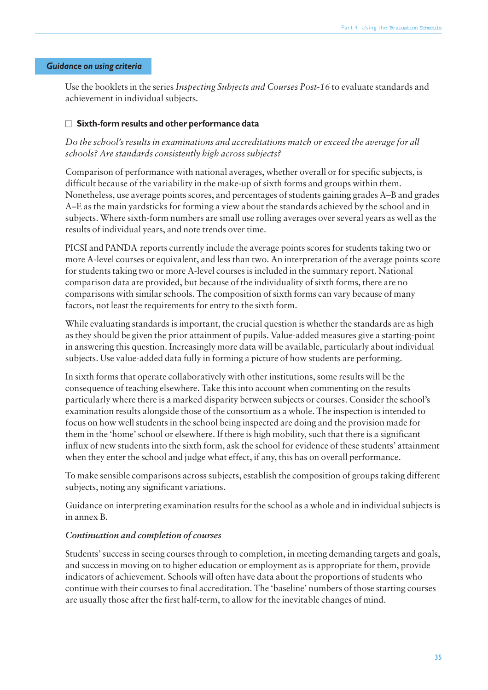#### *Guidance on using criteria*

Use the booklets in the series *Inspecting Subjects and Courses Post-16* to evaluate standards and achievement in individual subjects*.*

### ■ **Sixth-form results and other performance data**

*Do the school's results in examinations and accreditations match or exceed the average for all schools? Are standards consistently high across subjects?*

Comparison of performance with national averages, whether overall or for specific subjects, is difficult because of the variability in the make-up of sixth forms and groups within them. Nonetheless, use average points scores, and percentages of students gaining grades A–B and grades A–E as the main yardsticks for forming a view about the standards achieved by the school and in subjects. Where sixth-form numbers are small use rolling averages over several years as well as the results of individual years, and note trends over time.

PICSI and PANDA reports currently include the average points scores for students taking two or more A-level courses or equivalent, and less than two. An interpretation of the average points score for students taking two or more A-level courses is included in the summary report. National comparison data are provided, but because of the individuality of sixth forms, there are no comparisons with similar schools. The composition of sixth forms can vary because of many factors, not least the requirements for entry to the sixth form.

While evaluating standards is important, the crucial question is whether the standards are as high as they should be given the prior attainment of pupils. Value-added measures give a starting-point in answering this question. Increasingly more data will be available, particularly about individual subjects. Use value-added data fully in forming a picture of how students are performing.

In sixth forms that operate collaboratively with other institutions, some results will be the consequence of teaching elsewhere. Take this into account when commenting on the results particularly where there is a marked disparity between subjects or courses. Consider the school's examination results alongside those of the consortium as a whole. The inspection is intended to focus on how well students in the school being inspected are doing and the provision made for them in the 'home' school or elsewhere. If there is high mobility, such that there is a significant influx of new students into the sixth form, ask the school for evidence of these students' attainment when they enter the school and judge what effect, if any, this has on overall performance.

To make sensible comparisons across subjects, establish the composition of groups taking different subjects, noting any significant variations.

Guidance on interpreting examination results for the school as a whole and in individual subjects is in annex B.

#### *Continuation and completion of courses*

Students' success in seeing courses through to completion, in meeting demanding targets and goals, and success in moving on to higher education or employment as is appropriate for them, provide indicators of achievement. Schools will often have data about the proportions of students who continue with their courses to final accreditation. The 'baseline' numbers of those starting courses are usually those after the first half-term, to allow for the inevitable changes of mind.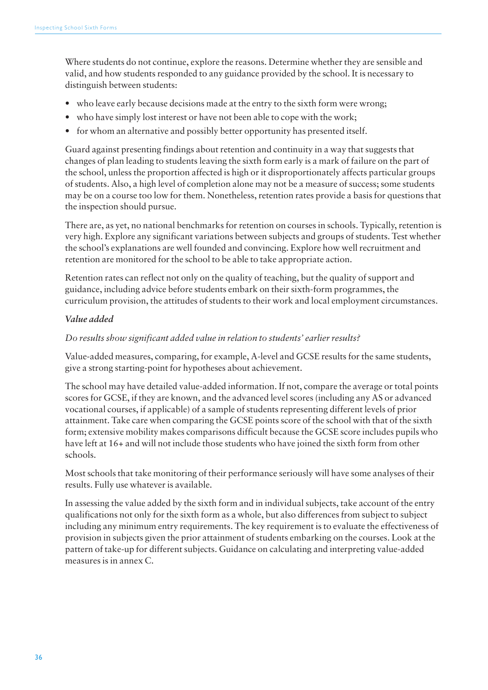Where students do not continue, explore the reasons. Determine whether they are sensible and valid, and how students responded to any guidance provided by the school. It is necessary to distinguish between students:

- who leave early because decisions made at the entry to the sixth form were wrong;
- who have simply lost interest or have not been able to cope with the work;
- for whom an alternative and possibly better opportunity has presented itself.

Guard against presenting findings about retention and continuity in a way that suggests that changes of plan leading to students leaving the sixth form early is a mark of failure on the part of the school, unless the proportion affected is high or it disproportionately affects particular groups of students. Also, a high level of completion alone may not be a measure of success; some students may be on a course too low for them. Nonetheless, retention rates provide a basis for questions that the inspection should pursue.

There are, as yet, no national benchmarks for retention on courses in schools. Typically, retention is very high. Explore any significant variations between subjects and groups of students. Test whether the school's explanations are well founded and convincing. Explore how well recruitment and retention are monitored for the school to be able to take appropriate action.

Retention rates can reflect not only on the quality of teaching, but the quality of support and guidance, including advice before students embark on their sixth-form programmes, the curriculum provision, the attitudes of students to their work and local employment circumstances.

## *Value added*

## *Do results show significant added value in relation to students' earlier results?*

Value-added measures, comparing, for example, A-level and GCSE results for the same students, give a strong starting-point for hypotheses about achievement.

The school may have detailed value-added information. If not, compare the average or total points scores for GCSE, if they are known, and the advanced level scores (including any AS or advanced vocational courses, if applicable) of a sample of students representing different levels of prior attainment. Take care when comparing the GCSE points score of the school with that of the sixth form; extensive mobility makes comparisons difficult because the GCSE score includes pupils who have left at 16+ and will not include those students who have joined the sixth form from other schools.

Most schools that take monitoring of their performance seriously will have some analyses of their results. Fully use whatever is available.

In assessing the value added by the sixth form and in individual subjects, take account of the entry qualifications not only for the sixth form as a whole, but also differences from subject to subject including any minimum entry requirements. The key requirement is to evaluate the effectiveness of provision in subjects given the prior attainment of students embarking on the courses. Look at the pattern of take-up for different subjects. Guidance on calculating and interpreting value-added measures is in annex C.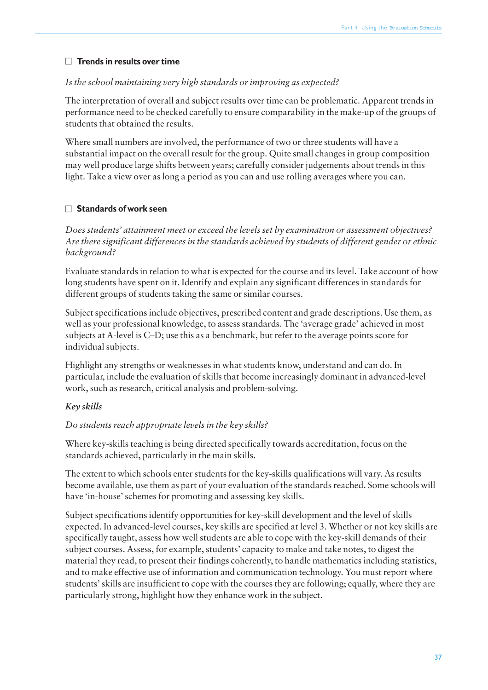### ■ **Trends in results over time**

### *Is the school maintaining very high standards or improving as expected?*

The interpretation of overall and subject results over time can be problematic. Apparent trends in performance need to be checked carefully to ensure comparability in the make-up of the groups of students that obtained the results.

Where small numbers are involved, the performance of two or three students will have a substantial impact on the overall result for the group. Quite small changes in group composition may well produce large shifts between years; carefully consider judgements about trends in this light. Take a view over as long a period as you can and use rolling averages where you can.

### ■ **Standards of work seen**

*Does students' attainment meet or exceed the levels set by examination or assessment objectives? Are there significant differences in the standards achieved by students of different gender or ethnic background?*

Evaluate standards in relation to what is expected for the course and its level. Take account of how long students have spent on it. Identify and explain any significant differences in standards for different groups of students taking the same or similar courses.

Subject specifications include objectives, prescribed content and grade descriptions. Use them, as well as your professional knowledge, to assess standards. The 'average grade' achieved in most subjects at A-level is C–D; use this as a benchmark, but refer to the average points score for individual subjects.

Highlight any strengths or weaknesses in what students know, understand and can do. In particular, include the evaluation of skills that become increasingly dominant in advanced-level work, such as research, critical analysis and problem-solving.

### *Key skills*

### *Do students reach appropriate levels in the key skills?*

Where key-skills teaching is being directed specifically towards accreditation, focus on the standards achieved, particularly in the main skills.

The extent to which schools enter students for the key-skills qualifications will vary. As results become available, use them as part of your evaluation of the standards reached. Some schools will have 'in-house' schemes for promoting and assessing key skills.

Subject specifications identify opportunities for key-skill development and the level of skills expected. In advanced-level courses, key skills are specified at level 3. Whether or not key skills are specifically taught, assess how well students are able to cope with the key-skill demands of their subject courses. Assess, for example, students' capacity to make and take notes, to digest the material they read, to present their findings coherently, to handle mathematics including statistics, and to make effective use of information and communication technology. You must report where students' skills are insufficient to cope with the courses they are following; equally, where they are particularly strong, highlight how they enhance work in the subject.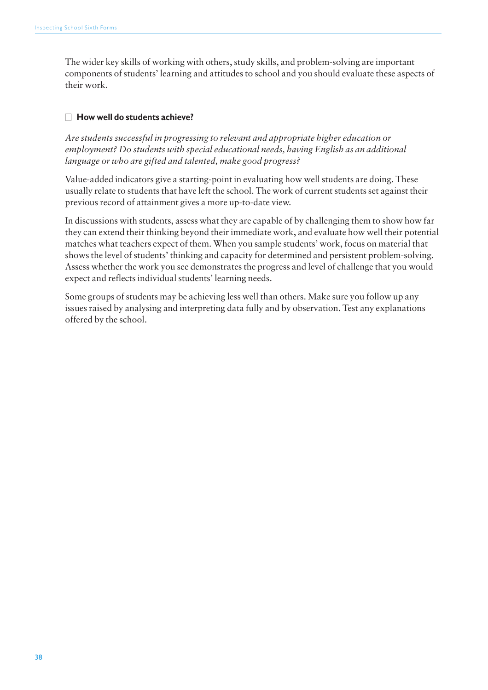The wider key skills of working with others, study skills, and problem-solving are important components of students' learning and attitudes to school and you should evaluate these aspects of their work.

### □ How well do students achieve?

*Are students successful in progressing to relevant and appropriate higher education or employment? Do students with special educational needs, having English as an additional language or who are gifted and talented, make good progress?*

Value-added indicators give a starting-point in evaluating how well students are doing. These usually relate to students that have left the school. The work of current students set against their previous record of attainment gives a more up-to-date view.

In discussions with students, assess what they are capable of by challenging them to show how far they can extend their thinking beyond their immediate work, and evaluate how well their potential matches what teachers expect of them. When you sample students' work, focus on material that shows the level of students' thinking and capacity for determined and persistent problem-solving. Assess whether the work you see demonstrates the progress and level of challenge that you would expect and reflects individual students' learning needs.

Some groups of students may be achieving less well than others. Make sure you follow up any issues raised by analysing and interpreting data fully and by observation. Test any explanations offered by the school.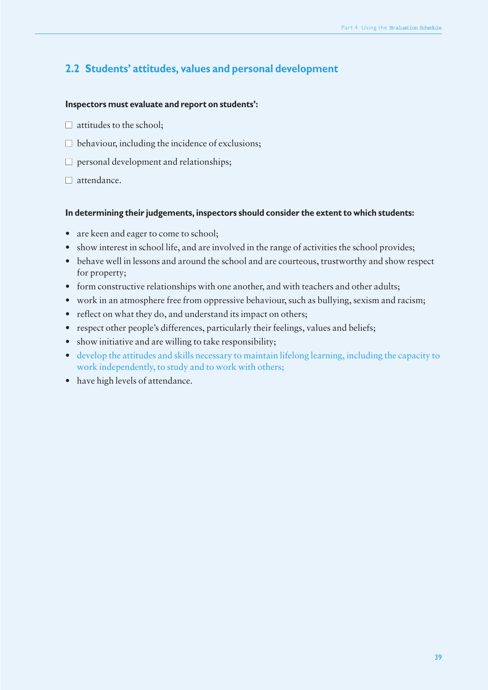# **2.2 Students' attitudes, values and personal development**

### **Inspectors must evaluate and report on students':**

- $\Box$  attitudes to the school;
- $\Box$  behaviour, including the incidence of exclusions;
- $\Box$  personal development and relationships;
- $\square$  attendance.

### **In determining their judgements, inspectors should consider the extent to which students:**

- are keen and eager to come to school;
- show interest in school life, and are involved in the range of activities the school provides;
- behave well in lessons and around the school and are courteous, trustworthy and show respect for property;
- form constructive relationships with one another, and with teachers and other adults;
- work in an atmosphere free from oppressive behaviour, such as bullying, sexism and racism;
- reflect on what they do, and understand its impact on others;
- respect other people's differences, particularly their feelings, values and beliefs;
- show initiative and are willing to take responsibility;
- develop the attitudes and skills necessary to maintain lifelong learning, including the capacity to work independently, to study and to work with others;
- have high levels of attendance.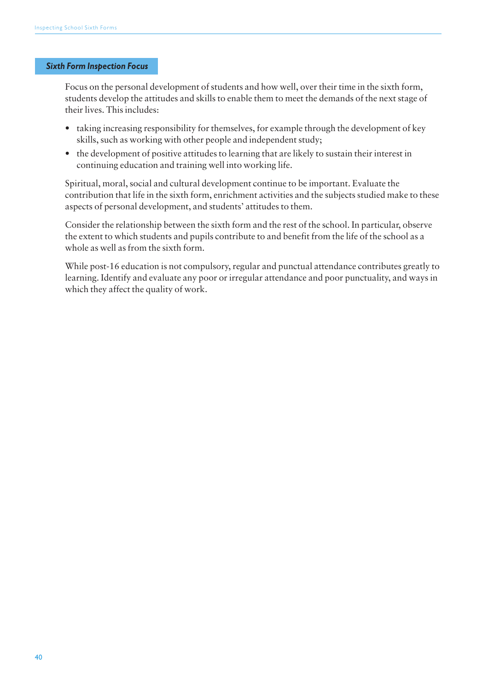#### *Sixth Form Inspection Focus*

Focus on the personal development of students and how well, over their time in the sixth form, students develop the attitudes and skills to enable them to meet the demands of the next stage of their lives. This includes:

- taking increasing responsibility for themselves, for example through the development of key skills, such as working with other people and independent study;
- the development of positive attitudes to learning that are likely to sustain their interest in continuing education and training well into working life.

Spiritual, moral, social and cultural development continue to be important. Evaluate the contribution that life in the sixth form, enrichment activities and the subjects studied make to these aspects of personal development, and students' attitudes to them.

Consider the relationship between the sixth form and the rest of the school. In particular, observe the extent to which students and pupils contribute to and benefit from the life of the school as a whole as well as from the sixth form.

While post-16 education is not compulsory, regular and punctual attendance contributes greatly to learning. Identify and evaluate any poor or irregular attendance and poor punctuality, and ways in which they affect the quality of work.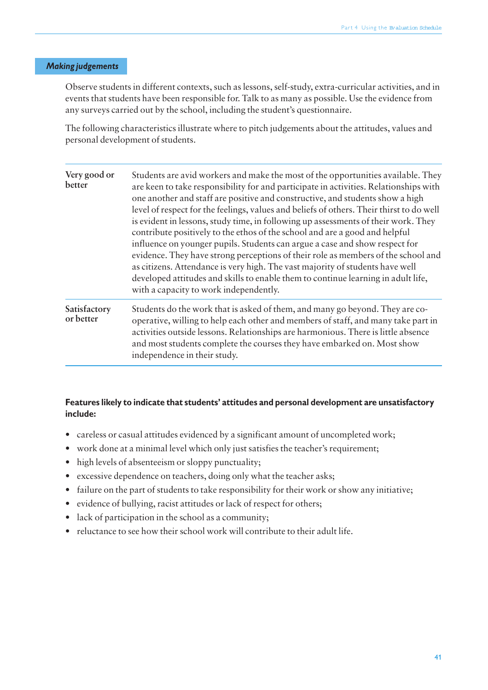### *Making judgements*

Observe students in different contexts, such as lessons, self-study, extra-curricular activities, and in events that students have been responsible for. Talk to as many as possible. Use the evidence from any surveys carried out by the school, including the student's questionnaire.

The following characteristics illustrate where to pitch judgements about the attitudes, values and personal development of students.

| Very good or<br>better    | Students are avid workers and make the most of the opportunities available. They<br>are keen to take responsibility for and participate in activities. Relationships with<br>one another and staff are positive and constructive, and students show a high<br>level of respect for the feelings, values and beliefs of others. Their thirst to do well<br>is evident in lessons, study time, in following up assessments of their work. They<br>contribute positively to the ethos of the school and are a good and helpful<br>influence on younger pupils. Students can argue a case and show respect for<br>evidence. They have strong perceptions of their role as members of the school and<br>as citizens. Attendance is very high. The vast majority of students have well<br>developed attitudes and skills to enable them to continue learning in adult life,<br>with a capacity to work independently. |
|---------------------------|-----------------------------------------------------------------------------------------------------------------------------------------------------------------------------------------------------------------------------------------------------------------------------------------------------------------------------------------------------------------------------------------------------------------------------------------------------------------------------------------------------------------------------------------------------------------------------------------------------------------------------------------------------------------------------------------------------------------------------------------------------------------------------------------------------------------------------------------------------------------------------------------------------------------|
| Satisfactory<br>or better | Students do the work that is asked of them, and many go beyond. They are co-<br>operative, willing to help each other and members of staff, and many take part in<br>activities outside lessons. Relationships are harmonious. There is little absence<br>and most students complete the courses they have embarked on. Most show<br>independence in their study.                                                                                                                                                                                                                                                                                                                                                                                                                                                                                                                                               |

## **Features likely to indicate that students' attitudes and personal development are unsatisfactory include:**

- careless or casual attitudes evidenced by a significant amount of uncompleted work;
- work done at a minimal level which only just satisfies the teacher's requirement;
- high levels of absenteeism or sloppy punctuality;
- excessive dependence on teachers, doing only what the teacher asks;
- failure on the part of students to take responsibility for their work or show any initiative;
- evidence of bullying, racist attitudes or lack of respect for others;
- lack of participation in the school as a community;
- reluctance to see how their school work will contribute to their adult life.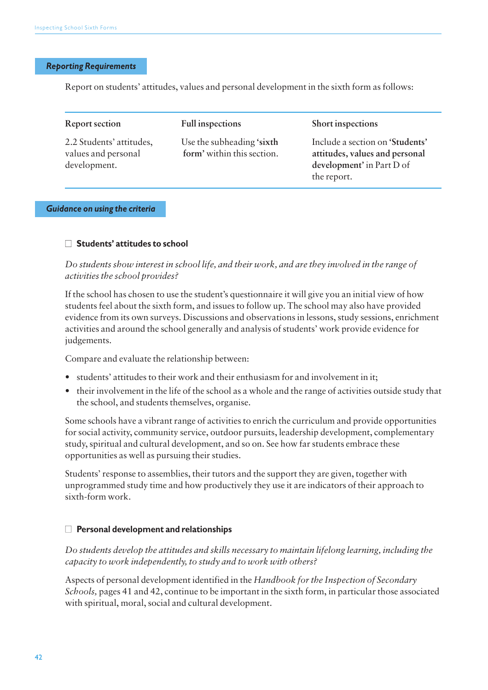#### *Reporting Requirements*

Report on students' attitudes, values and personal development in the sixth form as follows:

| <b>Report section</b>                                           | <b>Full inspections</b>                                 | Short inspections                                                                                             |
|-----------------------------------------------------------------|---------------------------------------------------------|---------------------------------------------------------------------------------------------------------------|
| 2.2 Students' attitudes,<br>values and personal<br>development. | Use the subheading 'sixth<br>form' within this section. | Include a section on 'Students'<br>attitudes, values and personal<br>development' in Part D of<br>the report. |

### *Guidance on using the criteria*

### ■ **Students' attitudes to school**

*Do students show interest in school life, and their work, and are they involved in the range of activities the school provides?* 

If the school has chosen to use the student's questionnaire it will give you an initial view of how students feel about the sixth form, and issues to follow up. The school may also have provided evidence from its own surveys. Discussions and observations in lessons, study sessions, enrichment activities and around the school generally and analysis of students' work provide evidence for judgements.

Compare and evaluate the relationship between:

- students' attitudes to their work and their enthusiasm for and involvement in it;
- their involvement in the life of the school as a whole and the range of activities outside study that the school, and students themselves, organise.

Some schools have a vibrant range of activities to enrich the curriculum and provide opportunities for social activity, community service, outdoor pursuits, leadership development, complementary study, spiritual and cultural development, and so on. See how far students embrace these opportunities as well as pursuing their studies.

Students' response to assemblies, their tutors and the support they are given, together with unprogrammed study time and how productively they use it are indicators of their approach to sixth-form work.

#### ■ **Personal development and relationships**

*Do students develop the attitudes and skills necessary to maintain lifelong learning, including the capacity to work independently, to study and to work with others?*

Aspects of personal development identified in the *Handbook for the Inspection of Secondary Schools,* pages 41 and 42, continue to be important in the sixth form, in particular those associated with spiritual, moral, social and cultural development.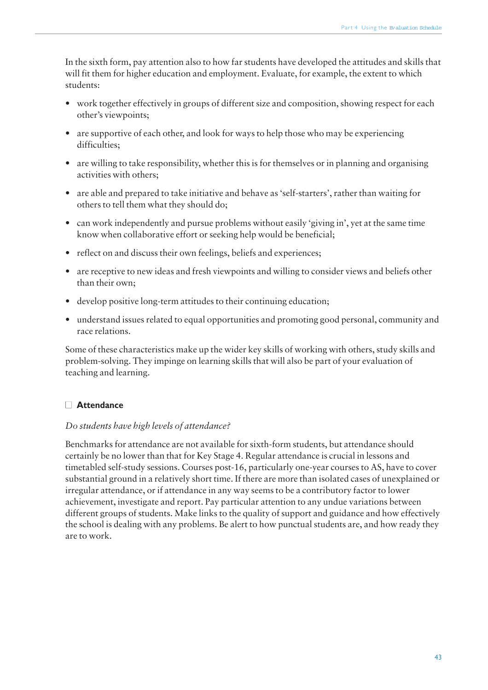In the sixth form, pay attention also to how far students have developed the attitudes and skills that will fit them for higher education and employment. Evaluate, for example, the extent to which students:

- work together effectively in groups of different size and composition, showing respect for each other's viewpoints;
- are supportive of each other, and look for ways to help those who may be experiencing difficulties:
- are willing to take responsibility, whether this is for themselves or in planning and organising activities with others;
- are able and prepared to take initiative and behave as 'self-starters', rather than waiting for others to tell them what they should do;
- can work independently and pursue problems without easily 'giving in', yet at the same time know when collaborative effort or seeking help would be beneficial;
- reflect on and discuss their own feelings, beliefs and experiences;
- are receptive to new ideas and fresh viewpoints and willing to consider views and beliefs other than their own;
- develop positive long-term attitudes to their continuing education;
- understand issues related to equal opportunities and promoting good personal, community and race relations.

Some of these characteristics make up the wider key skills of working with others, study skills and problem-solving. They impinge on learning skills that will also be part of your evaluation of teaching and learning.

## ■ **Attendance**

### *Do students have high levels of attendance?*

Benchmarks for attendance are not available for sixth-form students, but attendance should certainly be no lower than that for Key Stage 4. Regular attendance is crucial in lessons and timetabled self-study sessions. Courses post-16, particularly one-year courses to AS, have to cover substantial ground in a relatively short time. If there are more than isolated cases of unexplained or irregular attendance, or if attendance in any way seems to be a contributory factor to lower achievement, investigate and report. Pay particular attention to any undue variations between different groups of students. Make links to the quality of support and guidance and how effectively the school is dealing with any problems. Be alert to how punctual students are, and how ready they are to work.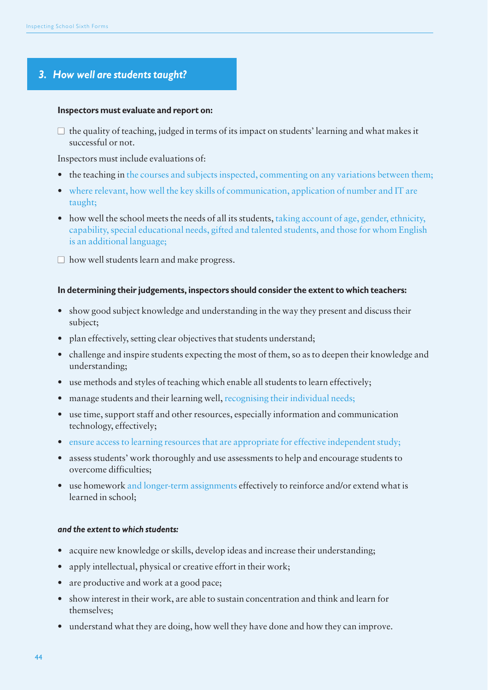## *3. How well are students taught?*

### **Inspectors must evaluate and report on:**

 $\Box$  the quality of teaching, judged in terms of its impact on students' learning and what makes it successful or not.

Inspectors must include evaluations of:

- the teaching in the courses and subjects inspected, commenting on any variations between them;
- where relevant, how well the key skills of communication, application of number and IT are taught;
- how well the school meets the needs of all its students, taking account of age, gender, ethnicity, capability, special educational needs, gifted and talented students, and those for whom English is an additional language;

 $\Box$  how well students learn and make progress.

#### **In determining their judgements, inspectors should consider the extent to which teachers:**

- show good subject knowledge and understanding in the way they present and discuss their subject;
- plan effectively, setting clear objectives that students understand;
- challenge and inspire students expecting the most of them, so as to deepen their knowledge and understanding;
- use methods and styles of teaching which enable all students to learn effectively;
- manage students and their learning well, recognising their individual needs;
- use time, support staff and other resources, especially information and communication technology, effectively;
- ensure access to learning resources that are appropriate for effective independent study;
- assess students' work thoroughly and use assessments to help and encourage students to overcome difficulties;
- use homework and longer-term assignments effectively to reinforce and/or extend what is learned in school;

### *and the extent to which students:*

- acquire new knowledge or skills, develop ideas and increase their understanding;
- apply intellectual, physical or creative effort in their work;
- are productive and work at a good pace;
- show interest in their work, are able to sustain concentration and think and learn for themselves;
- understand what they are doing, how well they have done and how they can improve.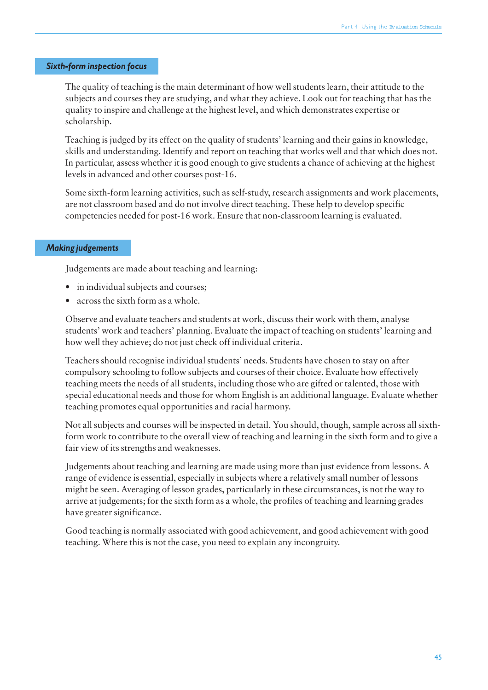#### *Sixth-form inspection focus*

The quality of teaching is the main determinant of how well students learn, their attitude to the subjects and courses they are studying, and what they achieve. Look out for teaching that has the quality to inspire and challenge at the highest level, and which demonstrates expertise or scholarship.

Teaching is judged by its effect on the quality of students' learning and their gains in knowledge, skills and understanding. Identify and report on teaching that works well and that which does not. In particular, assess whether it is good enough to give students a chance of achieving at the highest levels in advanced and other courses post-16.

Some sixth-form learning activities, such as self-study, research assignments and work placements, are not classroom based and do not involve direct teaching. These help to develop specific competencies needed for post-16 work. Ensure that non-classroom learning is evaluated.

#### *Making judgements*

Judgements are made about teaching and learning:

- in individual subjects and courses;
- across the sixth form as a whole.

Observe and evaluate teachers and students at work, discuss their work with them, analyse students' work and teachers' planning. Evaluate the impact of teaching on students' learning and how well they achieve; do not just check off individual criteria.

Teachers should recognise individual students' needs. Students have chosen to stay on after compulsory schooling to follow subjects and courses of their choice. Evaluate how effectively teaching meets the needs of all students, including those who are gifted or talented, those with special educational needs and those for whom English is an additional language. Evaluate whether teaching promotes equal opportunities and racial harmony.

Not all subjects and courses will be inspected in detail. You should, though, sample across all sixthform work to contribute to the overall view of teaching and learning in the sixth form and to give a fair view of its strengths and weaknesses.

Judgements about teaching and learning are made using more than just evidence from lessons. A range of evidence is essential, especially in subjects where a relatively small number of lessons might be seen. Averaging of lesson grades, particularly in these circumstances, is not the way to arrive at judgements; for the sixth form as a whole, the profiles of teaching and learning grades have greater significance.

Good teaching is normally associated with good achievement, and good achievement with good teaching. Where this is not the case, you need to explain any incongruity.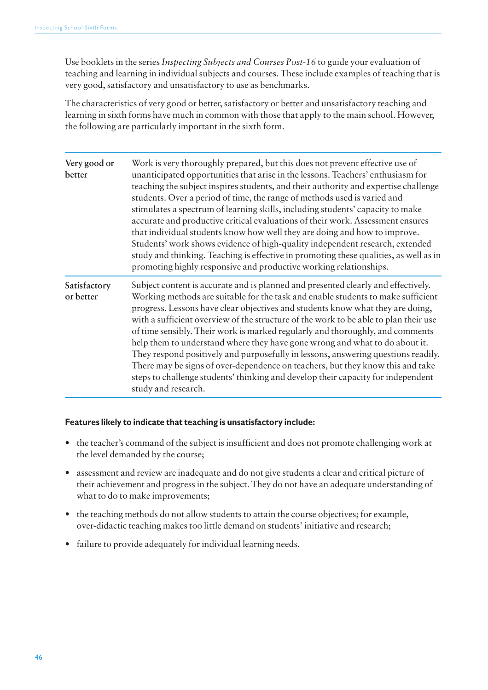Use booklets in the series *Inspecting Subjects and Courses Post-16* to guide your evaluation of teaching and learning in individual subjects and courses. These include examples of teaching that is very good, satisfactory and unsatisfactory to use as benchmarks.

The characteristics of very good or better, satisfactory or better and unsatisfactory teaching and learning in sixth forms have much in common with those that apply to the main school. However, the following are particularly important in the sixth form.

| Very good or<br>better    | Work is very thoroughly prepared, but this does not prevent effective use of<br>unanticipated opportunities that arise in the lessons. Teachers' enthusiasm for<br>teaching the subject inspires students, and their authority and expertise challenge<br>students. Over a period of time, the range of methods used is varied and<br>stimulates a spectrum of learning skills, including students' capacity to make<br>accurate and productive critical evaluations of their work. Assessment ensures<br>that individual students know how well they are doing and how to improve.<br>Students' work shows evidence of high-quality independent research, extended<br>study and thinking. Teaching is effective in promoting these qualities, as well as in<br>promoting highly responsive and productive working relationships. |
|---------------------------|-----------------------------------------------------------------------------------------------------------------------------------------------------------------------------------------------------------------------------------------------------------------------------------------------------------------------------------------------------------------------------------------------------------------------------------------------------------------------------------------------------------------------------------------------------------------------------------------------------------------------------------------------------------------------------------------------------------------------------------------------------------------------------------------------------------------------------------|
| Satisfactory<br>or better | Subject content is accurate and is planned and presented clearly and effectively.<br>Working methods are suitable for the task and enable students to make sufficient<br>progress. Lessons have clear objectives and students know what they are doing,<br>with a sufficient overview of the structure of the work to be able to plan their use<br>of time sensibly. Their work is marked regularly and thoroughly, and comments<br>help them to understand where they have gone wrong and what to do about it.<br>They respond positively and purposefully in lessons, answering questions readily.<br>There may be signs of over-dependence on teachers, but they know this and take<br>steps to challenge students' thinking and develop their capacity for independent<br>study and research.                                 |

### **Features likely to indicate that teaching is unsatisfactory include:**

- the teacher's command of the subject is insufficient and does not promote challenging work at the level demanded by the course;
- assessment and review are inadequate and do not give students a clear and critical picture of their achievement and progress in the subject. They do not have an adequate understanding of what to do to make improvements;
- the teaching methods do not allow students to attain the course objectives; for example, over-didactic teaching makes too little demand on students' initiative and research;
- failure to provide adequately for individual learning needs.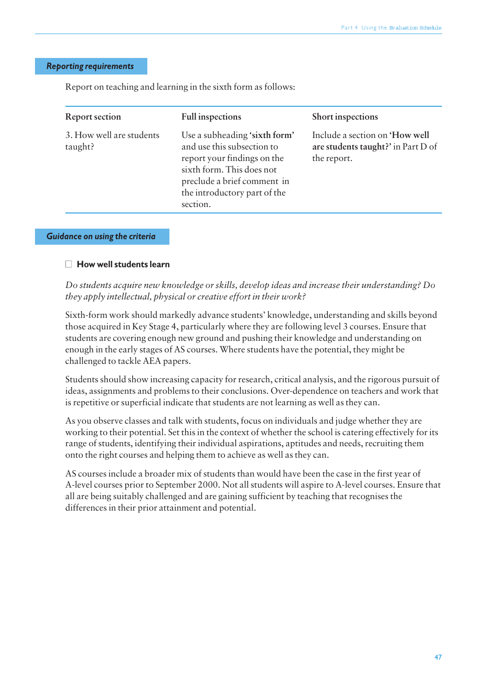#### *Reporting requirements*

Report on teaching and learning in the sixth form as follows:

| <b>Report section</b>               | <b>Full inspections</b>                                                                                                                                                                            | Short inspections                                                                   |
|-------------------------------------|----------------------------------------------------------------------------------------------------------------------------------------------------------------------------------------------------|-------------------------------------------------------------------------------------|
| 3. How well are students<br>taught? | Use a subheading 'sixth form'<br>and use this subsection to<br>report your findings on the<br>sixth form. This does not<br>preclude a brief comment in<br>the introductory part of the<br>section. | Include a section on 'How well<br>are students taught?' in Part D of<br>the report. |

#### *Guidance on using the criteria*

### ■ **How well students learn**

*Do students acquire new knowledge or skills, develop ideas and increase their understanding? Do they apply intellectual, physical or creative effort in their work?*

Sixth-form work should markedly advance students' knowledge, understanding and skills beyond those acquired in Key Stage 4, particularly where they are following level 3 courses. Ensure that students are covering enough new ground and pushing their knowledge and understanding on enough in the early stages of AS courses. Where students have the potential, they might be challenged to tackle AEA papers.

Students should show increasing capacity for research, critical analysis, and the rigorous pursuit of ideas, assignments and problems to their conclusions. Over-dependence on teachers and work that is repetitive or superficial indicate that students are not learning as well as they can.

As you observe classes and talk with students, focus on individuals and judge whether they are working to their potential. Set this in the context of whether the school is catering effectively for its range of students, identifying their individual aspirations, aptitudes and needs, recruiting them onto the right courses and helping them to achieve as well as they can.

AS courses include a broader mix of students than would have been the case in the first year of A-level courses prior to September 2000. Not all students will aspire to A-level courses. Ensure that all are being suitably challenged and are gaining sufficient by teaching that recognises the differences in their prior attainment and potential.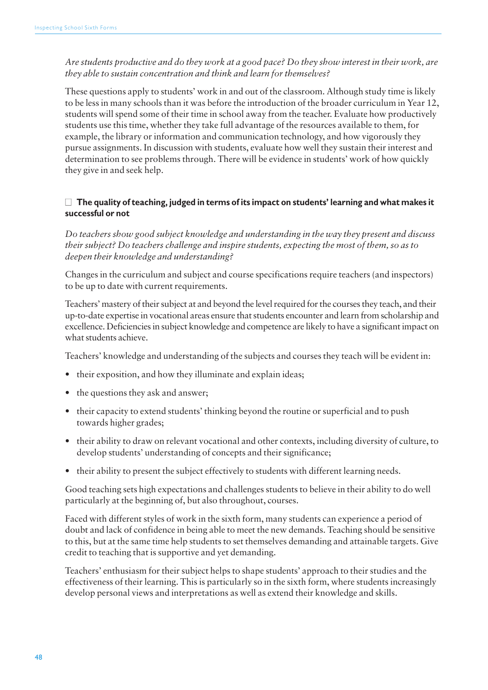## *Are students productive and do they work at a good pace? Do they show interest in their work, are they able to sustain concentration and think and learn for themselves?*

These questions apply to students' work in and out of the classroom. Although study time is likely to be less in many schools than it was before the introduction of the broader curriculum in Year 12, students will spend some of their time in school away from the teacher. Evaluate how productively students use this time, whether they take full advantage of the resources available to them, for example, the library or information and communication technology, and how vigorously they pursue assignments. In discussion with students, evaluate how well they sustain their interest and determination to see problems through. There will be evidence in students' work of how quickly they give in and seek help.

## □ The quality of teaching, judged in terms of its impact on students' learning and what makes it **successful or not**

*Do teachers show good subject knowledge and understanding in the way they present and discuss their subject? Do teachers challenge and inspire students, expecting the most of them, so as to deepen their knowledge and understanding?*

Changes in the curriculum and subject and course specifications require teachers (and inspectors) to be up to date with current requirements.

Teachers' mastery of their subject at and beyond the level required for the courses they teach, and their up-to-date expertise in vocational areas ensure that students encounter and learn from scholarship and excellence. Deficiencies in subject knowledge and competence are likely to have a significant impact on what students achieve.

Teachers' knowledge and understanding of the subjects and courses they teach will be evident in:

- their exposition, and how they illuminate and explain ideas;
- the questions they ask and answer;
- their capacity to extend students' thinking beyond the routine or superficial and to push towards higher grades;
- their ability to draw on relevant vocational and other contexts, including diversity of culture, to develop students' understanding of concepts and their significance;
- their ability to present the subject effectively to students with different learning needs.

Good teaching sets high expectations and challenges students to believe in their ability to do well particularly at the beginning of, but also throughout, courses.

Faced with different styles of work in the sixth form, many students can experience a period of doubt and lack of confidence in being able to meet the new demands. Teaching should be sensitive to this, but at the same time help students to set themselves demanding and attainable targets. Give credit to teaching that is supportive and yet demanding.

Teachers' enthusiasm for their subject helps to shape students' approach to their studies and the effectiveness of their learning. This is particularly so in the sixth form, where students increasingly develop personal views and interpretations as well as extend their knowledge and skills.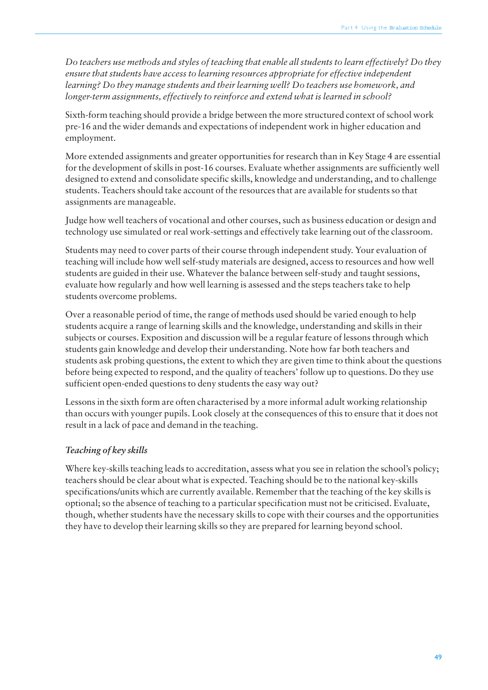*Do teachers use methods and styles of teaching that enable all students to learn effectively? Do they ensure that students have access to learning resources appropriate for effective independent learning? Do they manage students and their learning well? Do teachers use homework, and longer-term assignments, effectively to reinforce and extend what is learned in school?* 

Sixth-form teaching should provide a bridge between the more structured context of school work pre-16 and the wider demands and expectations of independent work in higher education and employment.

More extended assignments and greater opportunities for research than in Key Stage 4 are essential for the development of skills in post-16 courses. Evaluate whether assignments are sufficiently well designed to extend and consolidate specific skills, knowledge and understanding, and to challenge students. Teachers should take account of the resources that are available for students so that assignments are manageable.

Judge how well teachers of vocational and other courses, such as business education or design and technology use simulated or real work-settings and effectively take learning out of the classroom.

Students may need to cover parts of their course through independent study. Your evaluation of teaching will include how well self-study materials are designed, access to resources and how well students are guided in their use. Whatever the balance between self-study and taught sessions, evaluate how regularly and how well learning is assessed and the steps teachers take to help students overcome problems.

Over a reasonable period of time, the range of methods used should be varied enough to help students acquire a range of learning skills and the knowledge, understanding and skills in their subjects or courses. Exposition and discussion will be a regular feature of lessons through which students gain knowledge and develop their understanding. Note how far both teachers and students ask probing questions, the extent to which they are given time to think about the questions before being expected to respond, and the quality of teachers' follow up to questions. Do they use sufficient open-ended questions to deny students the easy way out?

Lessons in the sixth form are often characterised by a more informal adult working relationship than occurs with younger pupils. Look closely at the consequences of this to ensure that it does not result in a lack of pace and demand in the teaching.

## *Teaching of key skills*

Where key-skills teaching leads to accreditation, assess what you see in relation the school's policy; teachers should be clear about what is expected. Teaching should be to the national key-skills specifications/units which are currently available. Remember that the teaching of the key skills is optional; so the absence of teaching to a particular specification must not be criticised. Evaluate, though, whether students have the necessary skills to cope with their courses and the opportunities they have to develop their learning skills so they are prepared for learning beyond school.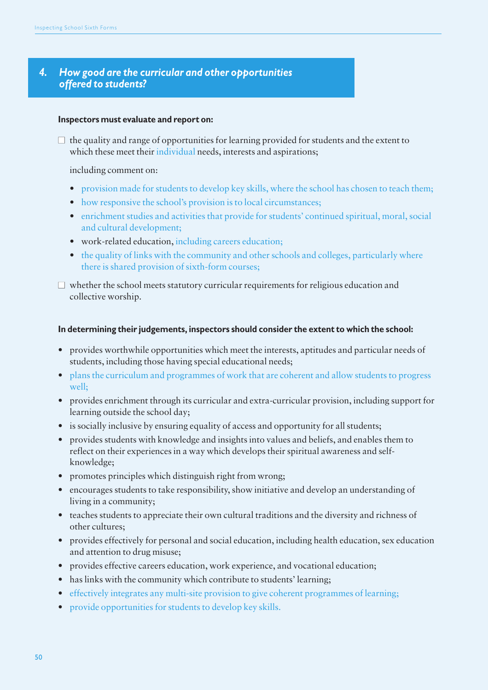# *4. How good are the curricular and other opportunities offered to students?*

### **Inspectors must evaluate and report on:**

 $\Box$  the quality and range of opportunities for learning provided for students and the extent to which these meet their individual needs, interests and aspirations;

including comment on:

- provision made for students to develop key skills, where the school has chosen to teach them;
- how responsive the school's provision is to local circumstances;
- enrichment studies and activities that provide for students' continued spiritual, moral, social and cultural development;
- work-related education, including careers education;
- the quality of links with the community and other schools and colleges, particularly where there is shared provision of sixth-form courses;

 $\Box$  whether the school meets statutory curricular requirements for religious education and collective worship.

## **In determining their judgements, inspectors should consider the extent to which the school:**

- provides worthwhile opportunities which meet the interests, aptitudes and particular needs of students, including those having special educational needs;
- plans the curriculum and programmes of work that are coherent and allow students to progress well;
- provides enrichment through its curricular and extra-curricular provision, including support for learning outside the school day;
- is socially inclusive by ensuring equality of access and opportunity for all students;
- provides students with knowledge and insights into values and beliefs, and enables them to reflect on their experiences in a way which develops their spiritual awareness and selfknowledge;
- promotes principles which distinguish right from wrong;
- encourages students to take responsibility, show initiative and develop an understanding of living in a community;
- teaches students to appreciate their own cultural traditions and the diversity and richness of other cultures;
- provides effectively for personal and social education, including health education, sex education and attention to drug misuse;
- provides effective careers education, work experience, and vocational education;
- has links with the community which contribute to students' learning:
- effectively integrates any multi-site provision to give coherent programmes of learning;
- provide opportunities for students to develop key skills.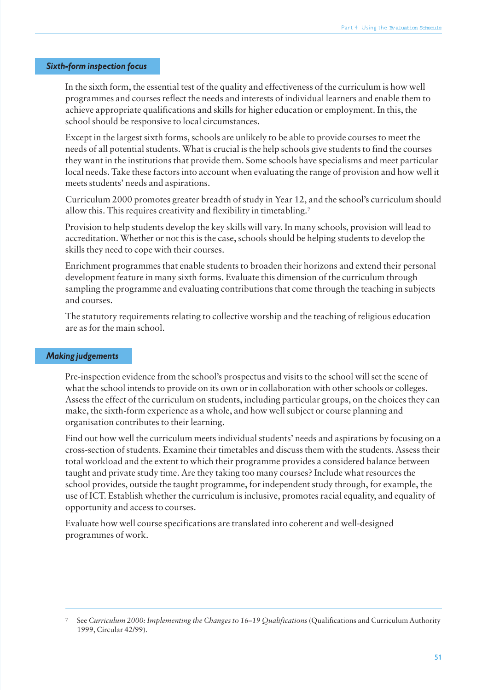#### *Sixth-form inspection focus*

In the sixth form, the essential test of the quality and effectiveness of the curriculum is how well programmes and courses reflect the needs and interests of individual learners and enable them to achieve appropriate qualifications and skills for higher education or employment. In this, the school should be responsive to local circumstances.

Except in the largest sixth forms, schools are unlikely to be able to provide courses to meet the needs of all potential students. What is crucial is the help schools give students to find the courses they want in the institutions that provide them. Some schools have specialisms and meet particular local needs. Take these factors into account when evaluating the range of provision and how well it meets students' needs and aspirations.

Curriculum 2000 promotes greater breadth of study in Year 12, and the school's curriculum should allow this. This requires creativity and flexibility in timetabling.7

Provision to help students develop the key skills will vary. In many schools, provision will lead to accreditation. Whether or not this is the case, schools should be helping students to develop the skills they need to cope with their courses.

Enrichment programmes that enable students to broaden their horizons and extend their personal development feature in many sixth forms. Evaluate this dimension of the curriculum through sampling the programme and evaluating contributions that come through the teaching in subjects and courses.

The statutory requirements relating to collective worship and the teaching of religious education are as for the main school.

#### *Making judgements*

Pre-inspection evidence from the school's prospectus and visits to the school will set the scene of what the school intends to provide on its own or in collaboration with other schools or colleges. Assess the effect of the curriculum on students, including particular groups, on the choices they can make, the sixth-form experience as a whole, and how well subject or course planning and organisation contributes to their learning.

Find out how well the curriculum meets individual students' needs and aspirations by focusing on a cross-section of students. Examine their timetables and discuss them with the students. Assess their total workload and the extent to which their programme provides a considered balance between taught and private study time. Are they taking too many courses? Include what resources the school provides, outside the taught programme, for independent study through, for example, the use of ICT. Establish whether the curriculum is inclusive, promotes racial equality, and equality of opportunity and access to courses.

Evaluate how well course specifications are translated into coherent and well-designed programmes of work.

<sup>7</sup> See *Curriculum 2000: Implementing the Changes to 16–19 Qualifications* (Qualifications and Curriculum Authority 1999, Circular 42/99).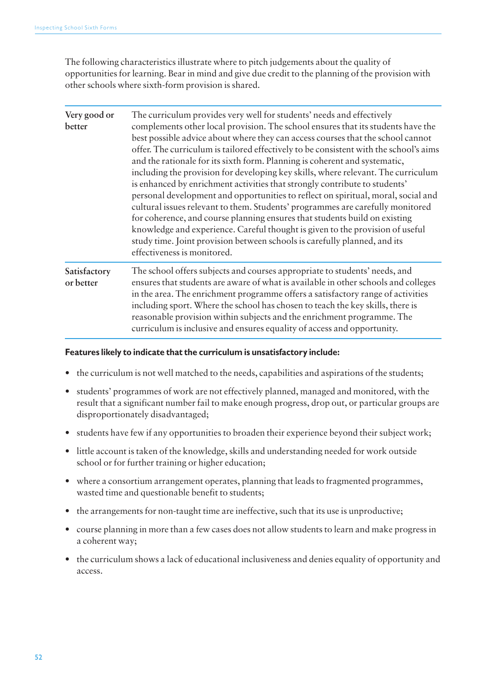The following characteristics illustrate where to pitch judgements about the quality of opportunities for learning. Bear in mind and give due credit to the planning of the provision with other schools where sixth-form provision is shared.

| Very good or<br>better    | The curriculum provides very well for students' needs and effectively<br>complements other local provision. The school ensures that its students have the<br>best possible advice about where they can access courses that the school cannot<br>offer. The curriculum is tailored effectively to be consistent with the school's aims<br>and the rationale for its sixth form. Planning is coherent and systematic,<br>including the provision for developing key skills, where relevant. The curriculum<br>is enhanced by enrichment activities that strongly contribute to students'<br>personal development and opportunities to reflect on spiritual, moral, social and<br>cultural issues relevant to them. Students' programmes are carefully monitored<br>for coherence, and course planning ensures that students build on existing<br>knowledge and experience. Careful thought is given to the provision of useful<br>study time. Joint provision between schools is carefully planned, and its<br>effectiveness is monitored. |
|---------------------------|------------------------------------------------------------------------------------------------------------------------------------------------------------------------------------------------------------------------------------------------------------------------------------------------------------------------------------------------------------------------------------------------------------------------------------------------------------------------------------------------------------------------------------------------------------------------------------------------------------------------------------------------------------------------------------------------------------------------------------------------------------------------------------------------------------------------------------------------------------------------------------------------------------------------------------------------------------------------------------------------------------------------------------------|
| Satisfactory<br>or better | The school offers subjects and courses appropriate to students' needs, and<br>ensures that students are aware of what is available in other schools and colleges<br>in the area. The enrichment programme offers a satisfactory range of activities<br>including sport. Where the school has chosen to teach the key skills, there is<br>reasonable provision within subjects and the enrichment programme. The<br>curriculum is inclusive and ensures equality of access and opportunity.                                                                                                                                                                                                                                                                                                                                                                                                                                                                                                                                               |

### **Features likely to indicate that the curriculum is unsatisfactory include:**

- the curriculum is not well matched to the needs, capabilities and aspirations of the students;
- students' programmes of work are not effectively planned, managed and monitored, with the result that a significant number fail to make enough progress, drop out, or particular groups are disproportionately disadvantaged;
- students have few if any opportunities to broaden their experience beyond their subject work;
- little account is taken of the knowledge, skills and understanding needed for work outside school or for further training or higher education;
- where a consortium arrangement operates, planning that leads to fragmented programmes, wasted time and questionable benefit to students;
- the arrangements for non-taught time are ineffective, such that its use is unproductive;
- course planning in more than a few cases does not allow students to learn and make progress in a coherent way;
- the curriculum shows a lack of educational inclusiveness and denies equality of opportunity and access.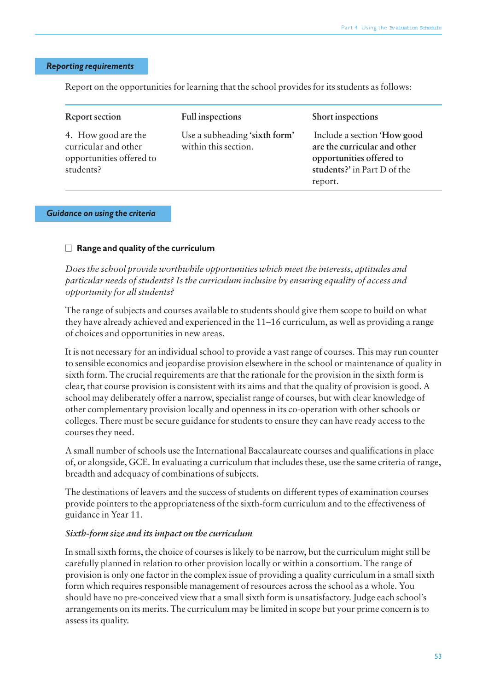#### *Reporting requirements*

Report on the opportunities for learning that the school provides for its students as follows:

| <b>Report section</b>                                                                | <b>Full inspections</b>                               | Short inspections                                                                                                                 |
|--------------------------------------------------------------------------------------|-------------------------------------------------------|-----------------------------------------------------------------------------------------------------------------------------------|
| 4. How good are the<br>curricular and other<br>opportunities offered to<br>students? | Use a subheading 'sixth form'<br>within this section. | Include a section 'How good<br>are the curricular and other<br>opportunities offered to<br>students?' in Part D of the<br>report. |

### *Guidance on using the criteria*

### □ **Range and quality of the curriculum**

*Does the school provide worthwhile opportunities which meet the interests, aptitudes and particular needs of students? Is the curriculum inclusive by ensuring equality of access and opportunity for all students?*

The range of subjects and courses available to students should give them scope to build on what they have already achieved and experienced in the 11–16 curriculum, as well as providing a range of choices and opportunities in new areas.

It is not necessary for an individual school to provide a vast range of courses. This may run counter to sensible economics and jeopardise provision elsewhere in the school or maintenance of quality in sixth form. The crucial requirements are that the rationale for the provision in the sixth form is clear, that course provision is consistent with its aims and that the quality of provision is good. A school may deliberately offer a narrow, specialist range of courses, but with clear knowledge of other complementary provision locally and openness in its co-operation with other schools or colleges. There must be secure guidance for students to ensure they can have ready access to the courses they need.

A small number of schools use the International Baccalaureate courses and qualifications in place of, or alongside, GCE. In evaluating a curriculum that includes these, use the same criteria of range, breadth and adequacy of combinations of subjects.

The destinations of leavers and the success of students on different types of examination courses provide pointers to the appropriateness of the sixth-form curriculum and to the effectiveness of guidance in Year 11.

### *Sixth-form size and its impact on the curriculum*

In small sixth forms, the choice of courses is likely to be narrow, but the curriculum might still be carefully planned in relation to other provision locally or within a consortium. The range of provision is only one factor in the complex issue of providing a quality curriculum in a small sixth form which requires responsible management of resources across the school as a whole. You should have no pre-conceived view that a small sixth form is unsatisfactory. Judge each school's arrangements on its merits. The curriculum may be limited in scope but your prime concern is to assess its quality.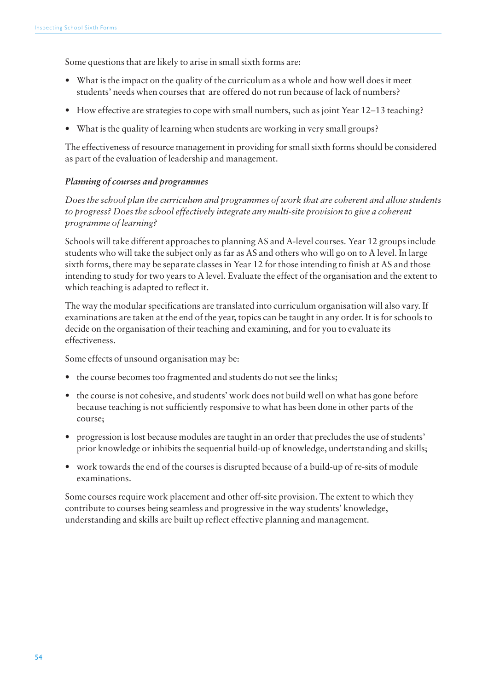Some questions that are likely to arise in small sixth forms are:

- What is the impact on the quality of the curriculum as a whole and how well does it meet students' needs when courses that are offered do not run because of lack of numbers?
- How effective are strategies to cope with small numbers, such as joint Year 12–13 teaching?
- What is the quality of learning when students are working in very small groups?

The effectiveness of resource management in providing for small sixth forms should be considered as part of the evaluation of leadership and management.

## *Planning of courses and programmes*

*Does the school plan the curriculum and programmes of work that are coherent and allow students to progress? Does the school effectively integrate any multi-site provision to give a coherent programme of learning?*

Schools will take different approaches to planning AS and A-level courses. Year 12 groups include students who will take the subject only as far as AS and others who will go on to A level. In large sixth forms, there may be separate classes in Year 12 for those intending to finish at AS and those intending to study for two years to A level. Evaluate the effect of the organisation and the extent to which teaching is adapted to reflect it.

The way the modular specifications are translated into curriculum organisation will also vary. If examinations are taken at the end of the year, topics can be taught in any order. It is for schools to decide on the organisation of their teaching and examining, and for you to evaluate its effectiveness.

Some effects of unsound organisation may be:

- the course becomes too fragmented and students do not see the links;
- the course is not cohesive, and students' work does not build well on what has gone before because teaching is not sufficiently responsive to what has been done in other parts of the course;
- progression is lost because modules are taught in an order that precludes the use of students' prior knowledge or inhibits the sequential build-up of knowledge, undertstanding and skills;
- work towards the end of the courses is disrupted because of a build-up of re-sits of module examinations.

Some courses require work placement and other off-site provision. The extent to which they contribute to courses being seamless and progressive in the way students' knowledge, understanding and skills are built up reflect effective planning and management.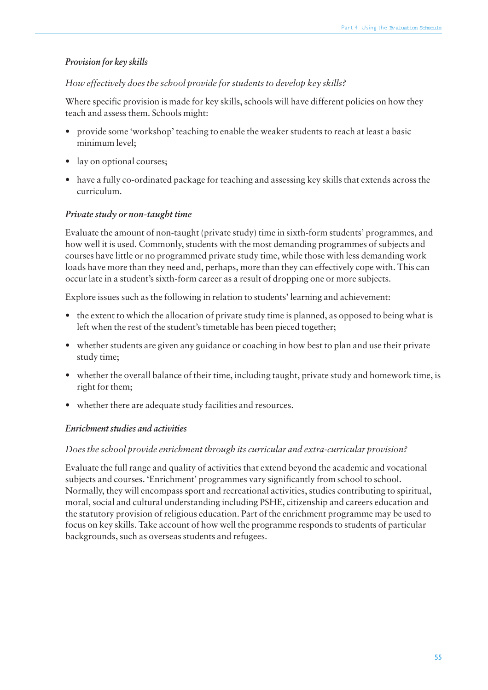## *Provision for key skills*

## *How effectively does the school provide for students to develop key skills?*

Where specific provision is made for key skills, schools will have different policies on how they teach and assess them. Schools might:

- provide some 'workshop' teaching to enable the weaker students to reach at least a basic minimum level;
- lay on optional courses:
- have a fully co-ordinated package for teaching and assessing key skills that extends across the curriculum.

## *Private study or non-taught time*

Evaluate the amount of non-taught (private study) time in sixth-form students' programmes, and how well it is used. Commonly, students with the most demanding programmes of subjects and courses have little or no programmed private study time, while those with less demanding work loads have more than they need and, perhaps, more than they can effectively cope with. This can occur late in a student's sixth-form career as a result of dropping one or more subjects.

Explore issues such as the following in relation to students' learning and achievement:

- the extent to which the allocation of private study time is planned, as opposed to being what is left when the rest of the student's timetable has been pieced together;
- whether students are given any guidance or coaching in how best to plan and use their private study time;
- whether the overall balance of their time, including taught, private study and homework time, is right for them;
- whether there are adequate study facilities and resources.

## *Enrichment studies and activities*

## *Does the school provide enrichment through its curricular and extra-curricular provision?*

Evaluate the full range and quality of activities that extend beyond the academic and vocational subjects and courses. 'Enrichment' programmes vary significantly from school to school. Normally, they will encompass sport and recreational activities, studies contributing to spiritual, moral, social and cultural understanding including PSHE, citizenship and careers education and the statutory provision of religious education. Part of the enrichment programme may be used to focus on key skills. Take account of how well the programme responds to students of particular backgrounds, such as overseas students and refugees.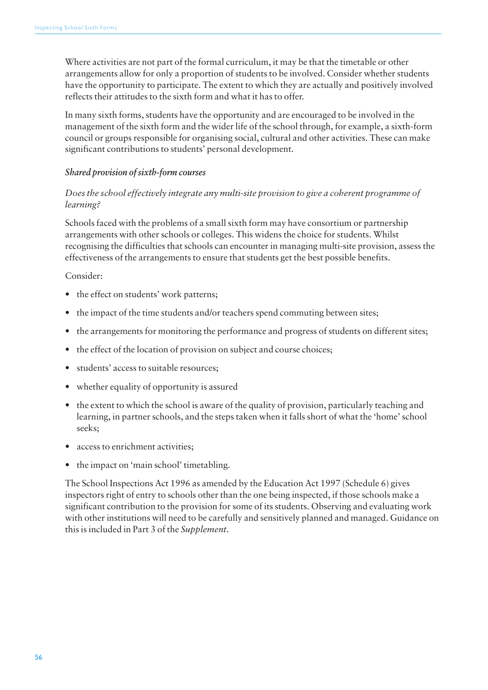Where activities are not part of the formal curriculum, it may be that the timetable or other arrangements allow for only a proportion of students to be involved. Consider whether students have the opportunity to participate. The extent to which they are actually and positively involved reflects their attitudes to the sixth form and what it has to offer.

In many sixth forms, students have the opportunity and are encouraged to be involved in the management of the sixth form and the wider life of the school through, for example, a sixth-form council or groups responsible for organising social, cultural and other activities. These can make significant contributions to students' personal development.

## *Shared provision of sixth-form courses*

## *Does the school effectively integrate any multi-site provision to give a coherent programme of learning?*

Schools faced with the problems of a small sixth form may have consortium or partnership arrangements with other schools or colleges. This widens the choice for students. Whilst recognising the difficulties that schools can encounter in managing multi-site provision, assess the effectiveness of the arrangements to ensure that students get the best possible benefits.

Consider:

- the effect on students' work patterns;
- the impact of the time students and/or teachers spend commuting between sites;
- the arrangements for monitoring the performance and progress of students on different sites;
- the effect of the location of provision on subject and course choices;
- students' access to suitable resources;
- whether equality of opportunity is assured
- the extent to which the school is aware of the quality of provision, particularly teaching and learning, in partner schools, and the steps taken when it falls short of what the 'home' school seeks;
- access to enrichment activities;
- the impact on 'main school' timetabling.

The School Inspections Act 1996 as amended by the Education Act 1997 (Schedule 6) gives inspectors right of entry to schools other than the one being inspected, if those schools make a significant contribution to the provision for some of its students. Observing and evaluating work with other institutions will need to be carefully and sensitively planned and managed. Guidance on this is included in Part 3 of the *Supplement*.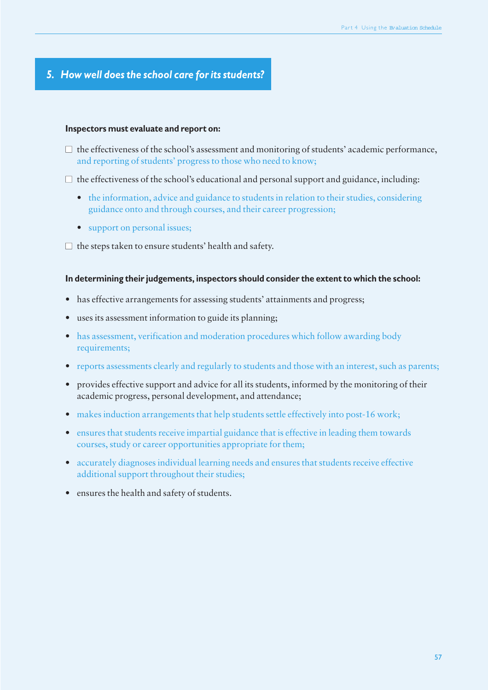## *5. How well does the school care for its students?*

### **Inspectors must evaluate and report on:**

- $\Box$  the effectiveness of the school's assessment and monitoring of students' academic performance, and reporting of students' progress to those who need to know;
- $\Box$  the effectiveness of the school's educational and personal support and guidance, including:
	- the information, advice and guidance to students in relation to their studies, considering guidance onto and through courses, and their career progression;
	- support on personal issues;
- $\Box$  the steps taken to ensure students' health and safety.

### **In determining their judgements, inspectors should consider the extent to which the school:**

- has effective arrangements for assessing students' attainments and progress;
- uses its assessment information to guide its planning;
- has assessment, verification and moderation procedures which follow awarding body requirements;
- reports assessments clearly and regularly to students and those with an interest, such as parents;
- provides effective support and advice for all its students, informed by the monitoring of their academic progress, personal development, and attendance;
- makes induction arrangements that help students settle effectively into post-16 work;
- ensures that students receive impartial guidance that is effective in leading them towards courses, study or career opportunities appropriate for them;
- accurately diagnoses individual learning needs and ensures that students receive effective additional support throughout their studies;
- ensures the health and safety of students.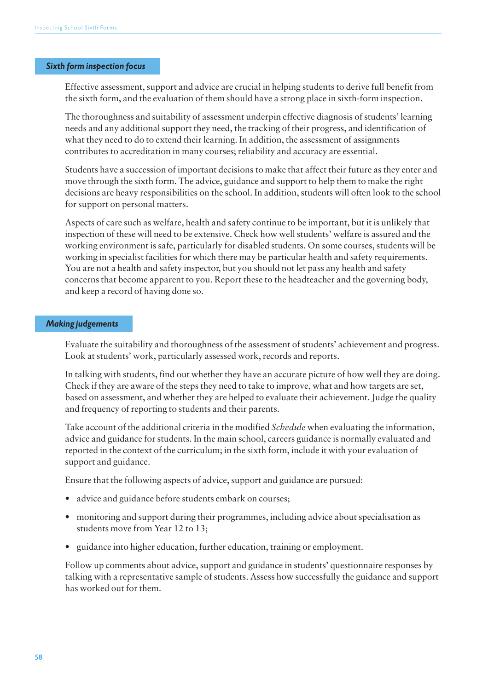#### *Sixth form inspection focus*

Effective assessment, support and advice are crucial in helping students to derive full benefit from the sixth form, and the evaluation of them should have a strong place in sixth-form inspection.

The thoroughness and suitability of assessment underpin effective diagnosis of students' learning needs and any additional support they need, the tracking of their progress, and identification of what they need to do to extend their learning. In addition, the assessment of assignments contributes to accreditation in many courses; reliability and accuracy are essential.

Students have a succession of important decisions to make that affect their future as they enter and move through the sixth form. The advice, guidance and support to help them to make the right decisions are heavy responsibilities on the school. In addition, students will often look to the school for support on personal matters.

Aspects of care such as welfare, health and safety continue to be important, but it is unlikely that inspection of these will need to be extensive. Check how well students' welfare is assured and the working environment is safe, particularly for disabled students. On some courses, students will be working in specialist facilities for which there may be particular health and safety requirements. You are not a health and safety inspector, but you should not let pass any health and safety concerns that become apparent to you. Report these to the headteacher and the governing body, and keep a record of having done so.

#### *Making judgements*

Evaluate the suitability and thoroughness of the assessment of students' achievement and progress. Look at students' work, particularly assessed work, records and reports.

In talking with students, find out whether they have an accurate picture of how well they are doing. Check if they are aware of the steps they need to take to improve, what and how targets are set, based on assessment, and whether they are helped to evaluate their achievement. Judge the quality and frequency of reporting to students and their parents.

Take account of the additional criteria in the modified *Schedule* when evaluating the information, advice and guidance for students. In the main school, careers guidance is normally evaluated and reported in the context of the curriculum; in the sixth form, include it with your evaluation of support and guidance.

Ensure that the following aspects of advice, support and guidance are pursued:

- advice and guidance before students embark on courses:
- monitoring and support during their programmes, including advice about specialisation as students move from Year 12 to 13;
- guidance into higher education, further education, training or employment.

Follow up comments about advice, support and guidance in students' questionnaire responses by talking with a representative sample of students. Assess how successfully the guidance and support has worked out for them.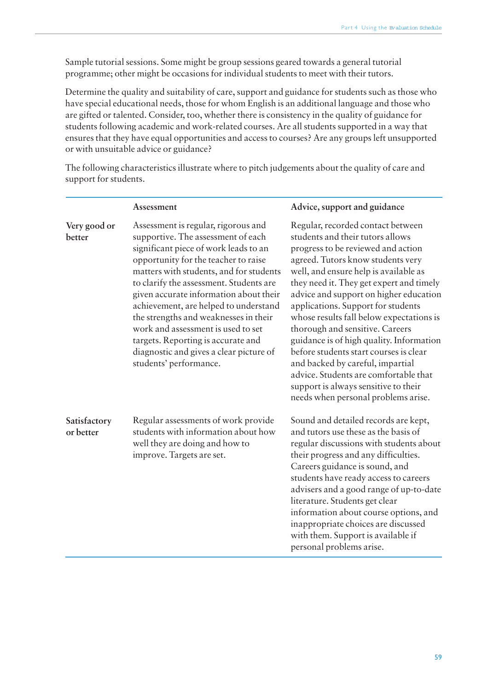Sample tutorial sessions. Some might be group sessions geared towards a general tutorial programme; other might be occasions for individual students to meet with their tutors.

Determine the quality and suitability of care, support and guidance for students such as those who have special educational needs, those for whom English is an additional language and those who are gifted or talented. Consider, too, whether there is consistency in the quality of guidance for students following academic and work-related courses. Are all students supported in a way that ensures that they have equal opportunities and access to courses? Are any groups left unsupported or with unsuitable advice or guidance?

The following characteristics illustrate where to pitch judgements about the quality of care and support for students.

|                           | Assessment                                                                                                                                                                                                                                                                                                                                                                                                                                                                                                                    | Advice, support and guidance                                                                                                                                                                                                                                                                                                                                                                                                                                                                                                                                                                                                                           |
|---------------------------|-------------------------------------------------------------------------------------------------------------------------------------------------------------------------------------------------------------------------------------------------------------------------------------------------------------------------------------------------------------------------------------------------------------------------------------------------------------------------------------------------------------------------------|--------------------------------------------------------------------------------------------------------------------------------------------------------------------------------------------------------------------------------------------------------------------------------------------------------------------------------------------------------------------------------------------------------------------------------------------------------------------------------------------------------------------------------------------------------------------------------------------------------------------------------------------------------|
| Very good or<br>better    | Assessment is regular, rigorous and<br>supportive. The assessment of each<br>significant piece of work leads to an<br>opportunity for the teacher to raise<br>matters with students, and for students<br>to clarify the assessment. Students are<br>given accurate information about their<br>achievement, are helped to understand<br>the strengths and weaknesses in their<br>work and assessment is used to set<br>targets. Reporting is accurate and<br>diagnostic and gives a clear picture of<br>students' performance. | Regular, recorded contact between<br>students and their tutors allows<br>progress to be reviewed and action<br>agreed. Tutors know students very<br>well, and ensure help is available as<br>they need it. They get expert and timely<br>advice and support on higher education<br>applications. Support for students<br>whose results fall below expectations is<br>thorough and sensitive. Careers<br>guidance is of high quality. Information<br>before students start courses is clear<br>and backed by careful, impartial<br>advice. Students are comfortable that<br>support is always sensitive to their<br>needs when personal problems arise. |
| Satisfactory<br>or better | Regular assessments of work provide<br>students with information about how<br>well they are doing and how to<br>improve. Targets are set.                                                                                                                                                                                                                                                                                                                                                                                     | Sound and detailed records are kept,<br>and tutors use these as the basis of<br>regular discussions with students about<br>their progress and any difficulties.<br>Careers guidance is sound, and<br>students have ready access to careers<br>advisers and a good range of up-to-date<br>literature. Students get clear<br>information about course options, and<br>inappropriate choices are discussed<br>with them. Support is available if<br>personal problems arise.                                                                                                                                                                              |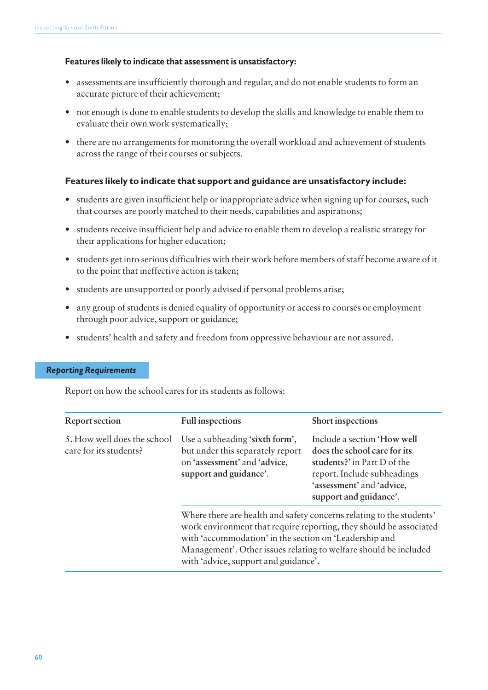### **Features likely to indicate that assessment is unsatisfactory:**

- assessments are insufficiently thorough and regular, and do not enable students to form an accurate picture of their achievement;
- not enough is done to enable students to develop the skills and knowledge to enable them to evaluate their own work systematically;
- there are no arrangements for monitoring the overall workload and achievement of students across the range of their courses or subjects.

## **Features likely to indicate that support and guidance are unsatisfactory include:**

- students are given insufficient help or inappropriate advice when signing up for courses, such that courses are poorly matched to their needs, capabilities and aspirations;
- students receive insufficient help and advice to enable them to develop a realistic strategy for their applications for higher education;
- students get into serious difficulties with their work before members of staff become aware of it to the point that ineffective action is taken;
- students are unsupported or poorly advised if personal problems arise;
- any group of students is denied equality of opportunity or access to courses or employment through poor advice, support or guidance;
- students' health and safety and freedom from oppressive behaviour are not assured.

### *Reporting Requirements*

Report on how the school cares for its students as follows:

| <b>Report section</b>                                 | <b>Full inspections</b>                                                                                                                                                                                                                                                                                          | Short inspections                                                                                                                                                                |
|-------------------------------------------------------|------------------------------------------------------------------------------------------------------------------------------------------------------------------------------------------------------------------------------------------------------------------------------------------------------------------|----------------------------------------------------------------------------------------------------------------------------------------------------------------------------------|
| 5. How well does the school<br>care for its students? | Use a subheading 'sixth form',<br>but under this separately report<br>on 'assessment' and 'advice,<br>support and guidance'.                                                                                                                                                                                     | Include a section 'How well<br>does the school care for its<br>students?' in Part D of the<br>report. Include subheadings<br>'assessment' and 'advice,<br>support and guidance'. |
|                                                       | Where there are health and safety concerns relating to the students'<br>work environment that require reporting, they should be associated<br>with 'accommodation' in the section on 'Leadership and<br>Management'. Other issues relating to welfare should be included<br>with 'advice, support and guidance'. |                                                                                                                                                                                  |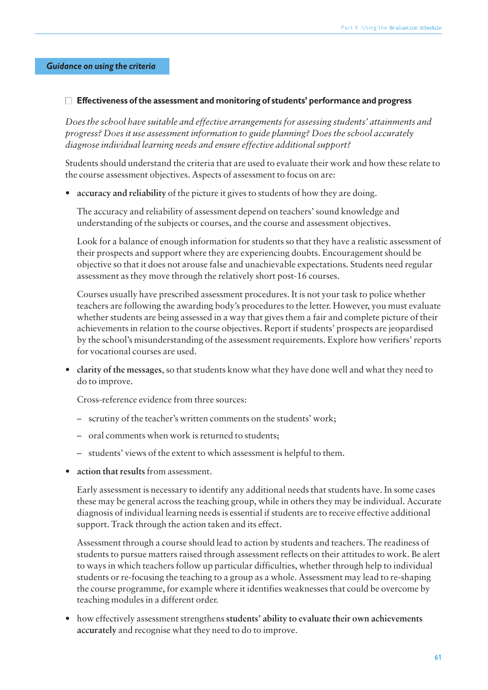#### $\Box$  **Effectiveness of the assessment and monitoring of students' performance and progress**

*Does the school have suitable and effective arrangements for assessing students' attainments and progress? Does it use assessment information to guide planning? Does the school accurately diagnose individual learning needs and ensure effective additional support?*

Students should understand the criteria that are used to evaluate their work and how these relate to the course assessment objectives. Aspects of assessment to focus on are:

• **accuracy and reliability** of the picture it gives to students of how they are doing.

The accuracy and reliability of assessment depend on teachers' sound knowledge and understanding of the subjects or courses, and the course and assessment objectives.

Look for a balance of enough information for students so that they have a realistic assessment of their prospects and support where they are experiencing doubts. Encouragement should be objective so that it does not arouse false and unachievable expectations. Students need regular assessment as they move through the relatively short post-16 courses.

Courses usually have prescribed assessment procedures. It is not your task to police whether teachers are following the awarding body's procedures to the letter. However, you must evaluate whether students are being assessed in a way that gives them a fair and complete picture of their achievements in relation to the course objectives. Report if students' prospects are jeopardised by the school's misunderstanding of the assessment requirements. Explore how verifiers' reports for vocational courses are used.

• **clarity of the messages**, so that students know what they have done well and what they need to do to improve.

Cross-reference evidence from three sources:

- scrutiny of the teacher's written comments on the students' work;
- oral comments when work is returned to students;
- students' views of the extent to which assessment is helpful to them.
- **action that results** from assessment.

Early assessment is necessary to identify any additional needs that students have. In some cases these may be general across the teaching group, while in others they may be individual. Accurate diagnosis of individual learning needs is essential if students are to receive effective additional support. Track through the action taken and its effect.

Assessment through a course should lead to action by students and teachers. The readiness of students to pursue matters raised through assessment reflects on their attitudes to work. Be alert to ways in which teachers follow up particular difficulties, whether through help to individual students or re-focusing the teaching to a group as a whole. Assessment may lead to re-shaping the course programme, for example where it identifies weaknesses that could be overcome by teaching modules in a different order.

• how effectively assessment strengthens **students' ability to evaluate their own achievements accurately** and recognise what they need to do to improve.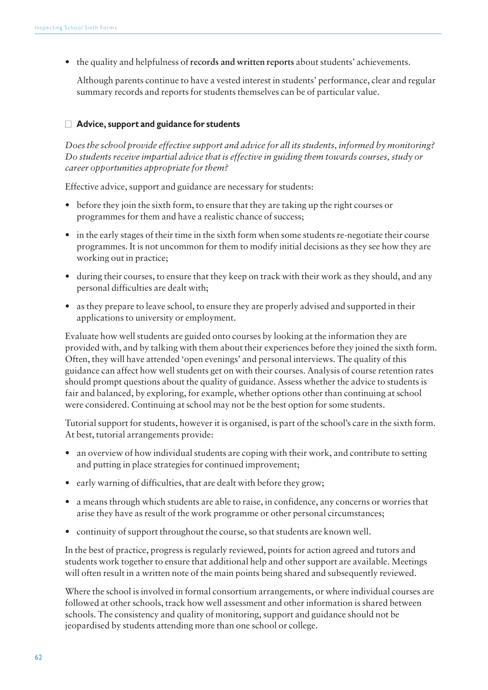• the quality and helpfulness of **records and written reports** about students' achievements.

Although parents continue to have a vested interest in students' performance, clear and regular summary records and reports for students themselves can be of particular value.

## □ Advice, support and guidance for students

*Does the school provide effective support and advice for all its students, informed by monitoring? Do students receive impartial advice that is effective in guiding them towards courses, study or career opportunities appropriate for them?*

Effective advice, support and guidance are necessary for students:

- before they join the sixth form, to ensure that they are taking up the right courses or programmes for them and have a realistic chance of success;
- in the early stages of their time in the sixth form when some students re-negotiate their course programmes. It is not uncommon for them to modify initial decisions as they see how they are working out in practice;
- during their courses, to ensure that they keep on track with their work as they should, and any personal difficulties are dealt with;
- as they prepare to leave school, to ensure they are properly advised and supported in their applications to university or employment.

Evaluate how well students are guided onto courses by looking at the information they are provided with, and by talking with them about their experiences before they joined the sixth form. Often, they will have attended 'open evenings' and personal interviews. The quality of this guidance can affect how well students get on with their courses. Analysis of course retention rates should prompt questions about the quality of guidance. Assess whether the advice to students is fair and balanced, by exploring, for example, whether options other than continuing at school were considered. Continuing at school may not be the best option for some students.

Tutorial support for students, however it is organised, is part of the school's care in the sixth form. At best, tutorial arrangements provide:

- an overview of how individual students are coping with their work, and contribute to setting and putting in place strategies for continued improvement;
- early warning of difficulties, that are dealt with before they grow;
- a means through which students are able to raise, in confidence, any concerns or worries that arise they have as result of the work programme or other personal circumstances;
- continuity of support throughout the course, so that students are known well.

In the best of practice, progress is regularly reviewed, points for action agreed and tutors and students work together to ensure that additional help and other support are available. Meetings will often result in a written note of the main points being shared and subsequently reviewed.

Where the school is involved in formal consortium arrangements, or where individual courses are followed at other schools, track how well assessment and other information is shared between schools. The consistency and quality of monitoring, support and guidance should not be jeopardised by students attending more than one school or college.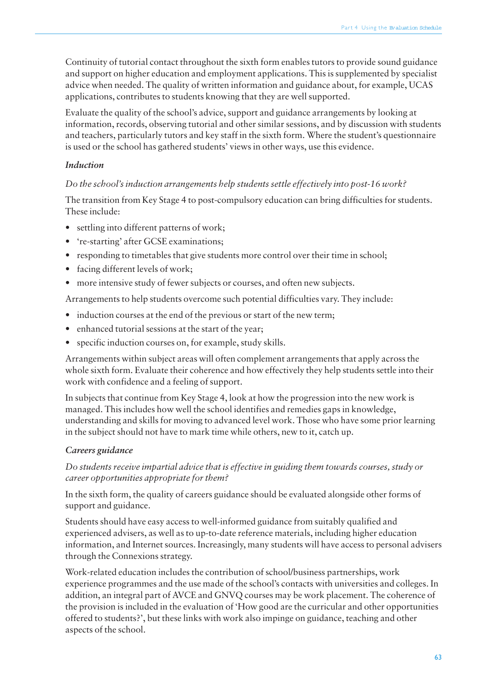Continuity of tutorial contact throughout the sixth form enables tutors to provide sound guidance and support on higher education and employment applications. This is supplemented by specialist advice when needed. The quality of written information and guidance about, for example, UCAS applications, contributes to students knowing that they are well supported.

Evaluate the quality of the school's advice, support and guidance arrangements by looking at information, records, observing tutorial and other similar sessions, and by discussion with students and teachers, particularly tutors and key staff in the sixth form. Where the student's questionnaire is used or the school has gathered students' views in other ways, use this evidence.

### *Induction*

### *Do the school's induction arrangements help students settle effectively into post-16 work?*

The transition from Key Stage 4 to post-compulsory education can bring difficulties for students. These include:

- settling into different patterns of work;
- 're-starting' after GCSE examinations;
- responding to timetables that give students more control over their time in school;
- facing different levels of work;
- more intensive study of fewer subjects or courses, and often new subjects.

Arrangements to help students overcome such potential difficulties vary. They include:

- induction courses at the end of the previous or start of the new term;
- enhanced tutorial sessions at the start of the year;
- specific induction courses on, for example, study skills.

Arrangements within subject areas will often complement arrangements that apply across the whole sixth form. Evaluate their coherence and how effectively they help students settle into their work with confidence and a feeling of support.

In subjects that continue from Key Stage 4, look at how the progression into the new work is managed. This includes how well the school identifies and remedies gaps in knowledge, understanding and skills for moving to advanced level work. Those who have some prior learning in the subject should not have to mark time while others, new to it, catch up.

### *Careers guidance*

## *Do students receive impartial advice that is effective in guiding them towards courses, study or career opportunities appropriate for them?*

In the sixth form, the quality of careers guidance should be evaluated alongside other forms of support and guidance.

Students should have easy access to well-informed guidance from suitably qualified and experienced advisers, as well as to up-to-date reference materials, including higher education information, and Internet sources. Increasingly, many students will have access to personal advisers through the Connexions strategy.

Work-related education includes the contribution of school/business partnerships, work experience programmes and the use made of the school's contacts with universities and colleges. In addition, an integral part of AVCE and GNVQ courses may be work placement. The coherence of the provision is included in the evaluation of 'How good are the curricular and other opportunities offered to students?', but these links with work also impinge on guidance, teaching and other aspects of the school.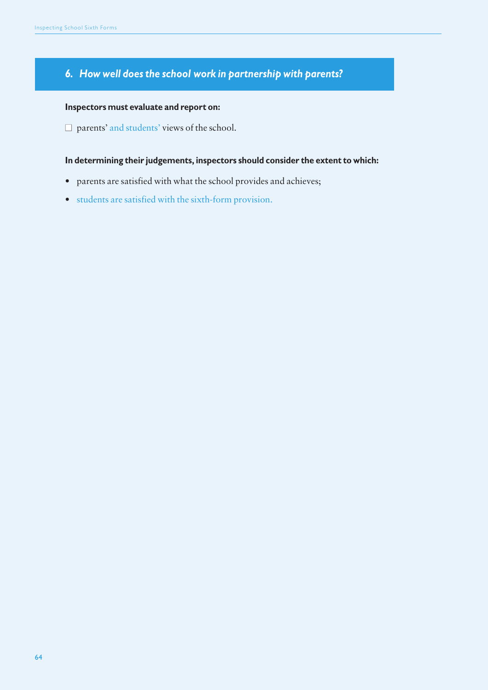# *6. How well does the school work in partnership with parents?*

## **Inspectors must evaluate and report on:**

 $\Box$  parents' and students' views of the school.

## **In determining their judgements, inspectors should consider the extent to which:**

- parents are satisfied with what the school provides and achieves;
- students are satisfied with the sixth-form provision.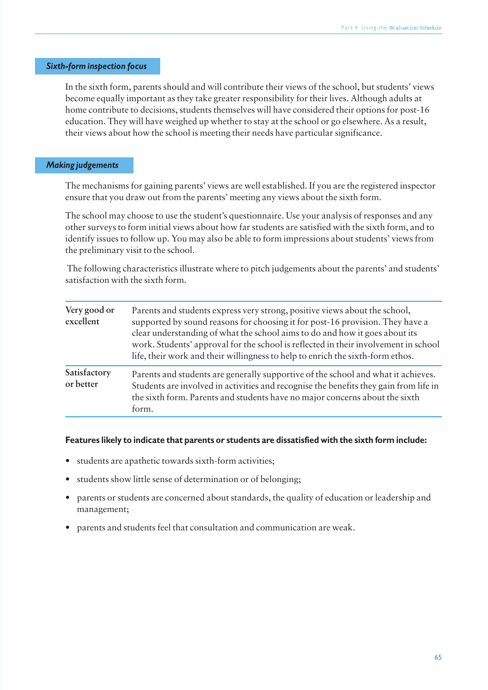#### *Sixth-form inspection focus*

In the sixth form, parents should and will contribute their views of the school, but students' views become equally important as they take greater responsibility for their lives. Although adults at home contribute to decisions, students themselves will have considered their options for post-16 education. They will have weighed up whether to stay at the school or go elsewhere. As a result, their views about how the school is meeting their needs have particular significance.

### *Making judgements*

The mechanisms for gaining parents' views are well established. If you are the registered inspector ensure that you draw out from the parents' meeting any views about the sixth form.

The school may choose to use the student's questionnaire. Use your analysis of responses and any other surveys to form initial views about how far students are satisfied with the sixth form, and to identify issues to follow up. You may also be able to form impressions about students' views from the preliminary visit to the school.

The following characteristics illustrate where to pitch judgements about the parents' and students' satisfaction with the sixth form.

| Very good or<br>excellent | Parents and students express very strong, positive views about the school,<br>supported by sound reasons for choosing it for post-16 provision. They have a<br>clear understanding of what the school aims to do and how it goes about its<br>work. Students' approval for the school is reflected in their involvement in school<br>life, their work and their willingness to help to enrich the sixth-form ethos. |
|---------------------------|---------------------------------------------------------------------------------------------------------------------------------------------------------------------------------------------------------------------------------------------------------------------------------------------------------------------------------------------------------------------------------------------------------------------|
| Satisfactory<br>or better | Parents and students are generally supportive of the school and what it achieves.<br>Students are involved in activities and recognise the benefits they gain from life in<br>the sixth form. Parents and students have no major concerns about the sixth<br>form.                                                                                                                                                  |

#### **Features likely to indicate that parents or students are dissatisfied with the sixth form include:**

- students are apathetic towards sixth-form activities;
- students show little sense of determination or of belonging;
- parents or students are concerned about standards, the quality of education or leadership and management;
- parents and students feel that consultation and communication are weak.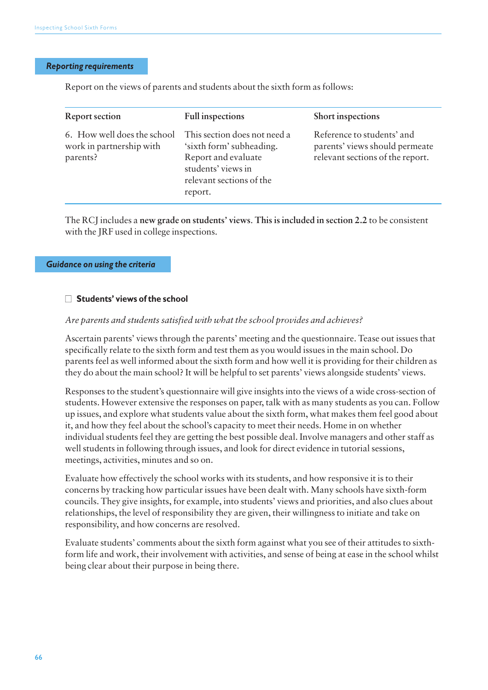#### *Reporting requirements*

Report on the views of parents and students about the sixth form as follows:

| <b>Report section</b>                                               | <b>Full inspections</b>                                                                                                                      | Short inspections                                                                                |
|---------------------------------------------------------------------|----------------------------------------------------------------------------------------------------------------------------------------------|--------------------------------------------------------------------------------------------------|
| 6. How well does the school<br>work in partnership with<br>parents? | This section does not need a<br>'sixth form' subheading.<br>Report and evaluate<br>students' views in<br>relevant sections of the<br>report. | Reference to students' and<br>parents' views should permeate<br>relevant sections of the report. |

The RCJ includes a **new grade on students' views**. **This is included in section 2.2** to be consistent with the JRF used in college inspections.

### *Guidance on using the criteria*

#### ■ **Students' views of the school**

### *Are parents and students satisfied with what the school provides and achieves?*

Ascertain parents' views through the parents' meeting and the questionnaire. Tease out issues that specifically relate to the sixth form and test them as you would issues in the main school. Do parents feel as well informed about the sixth form and how well it is providing for their children as they do about the main school? It will be helpful to set parents' views alongside students' views.

Responses to the student's questionnaire will give insights into the views of a wide cross-section of students. However extensive the responses on paper, talk with as many students as you can. Follow up issues, and explore what students value about the sixth form, what makes them feel good about it, and how they feel about the school's capacity to meet their needs. Home in on whether individual students feel they are getting the best possible deal. Involve managers and other staff as well students in following through issues, and look for direct evidence in tutorial sessions, meetings, activities, minutes and so on.

Evaluate how effectively the school works with its students, and how responsive it is to their concerns by tracking how particular issues have been dealt with. Many schools have sixth-form councils. They give insights, for example, into students' views and priorities, and also clues about relationships, the level of responsibility they are given, their willingness to initiate and take on responsibility, and how concerns are resolved.

Evaluate students' comments about the sixth form against what you see of their attitudes to sixthform life and work, their involvement with activities, and sense of being at ease in the school whilst being clear about their purpose in being there.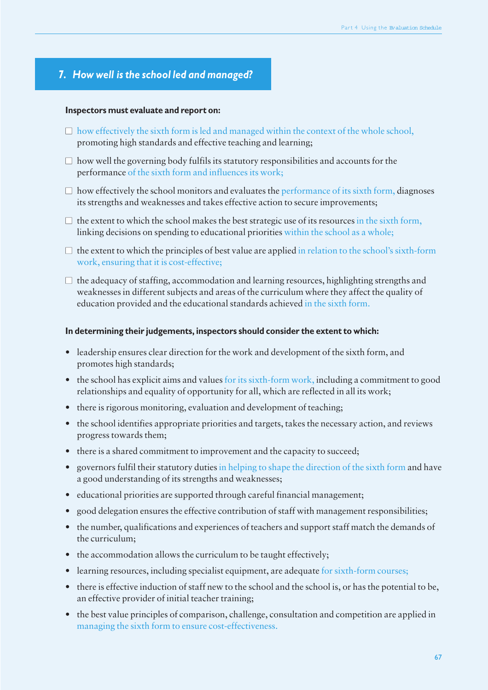# *7. How well is the school led and managed?*

#### **Inspectors must evaluate and report on:**

- $\Box$  how effectively the sixth form is led and managed within the context of the whole school, promoting high standards and effective teaching and learning;
- $\Box$  how well the governing body fulfils its statutory responsibilities and accounts for the performance of the sixth form and influences its work;
- $\Box$  how effectively the school monitors and evaluates the performance of its sixth form, diagnoses its strengths and weaknesses and takes effective action to secure improvements;
- $\Box$  the extent to which the school makes the best strategic use of its resources in the sixth form, linking decisions on spending to educational priorities within the school as a whole;
- $\Box$  the extent to which the principles of best value are applied in relation to the school's sixth-form work, ensuring that it is cost-effective;
- $\Box$  the adequacy of staffing, accommodation and learning resources, highlighting strengths and weaknesses in different subjects and areas of the curriculum where they affect the quality of education provided and the educational standards achieved in the sixth form.

#### **In determining their judgements, inspectors should consider the extent to which:**

- leadership ensures clear direction for the work and development of the sixth form, and promotes high standards;
- the school has explicit aims and values for its sixth-form work, including a commitment to good relationships and equality of opportunity for all, which are reflected in all its work;
- there is rigorous monitoring, evaluation and development of teaching;
- the school identifies appropriate priorities and targets, takes the necessary action, and reviews progress towards them;
- there is a shared commitment to improvement and the capacity to succeed;
- governors fulfil their statutory duties in helping to shape the direction of the sixth form and have a good understanding of its strengths and weaknesses;
- educational priorities are supported through careful financial management;
- good delegation ensures the effective contribution of staff with management responsibilities;
- the number, qualifications and experiences of teachers and support staff match the demands of the curriculum;
- the accommodation allows the curriculum to be taught effectively;
- learning resources, including specialist equipment, are adequate for sixth-form courses;
- there is effective induction of staff new to the school and the school is, or has the potential to be, an effective provider of initial teacher training;
- the best value principles of comparison, challenge, consultation and competition are applied in managing the sixth form to ensure cost-effectiveness.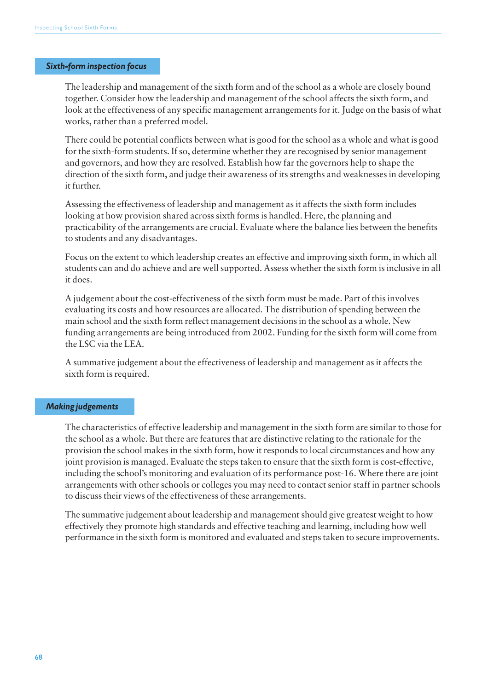#### *Sixth-form inspection focus*

The leadership and management of the sixth form and of the school as a whole are closely bound together. Consider how the leadership and management of the school affects the sixth form, and look at the effectiveness of any specific management arrangements for it. Judge on the basis of what works, rather than a preferred model.

There could be potential conflicts between what is good for the school as a whole and what is good for the sixth-form students. If so, determine whether they are recognised by senior management and governors, and how they are resolved. Establish how far the governors help to shape the direction of the sixth form, and judge their awareness of its strengths and weaknesses in developing it further.

Assessing the effectiveness of leadership and management as it affects the sixth form includes looking at how provision shared across sixth forms is handled. Here, the planning and practicability of the arrangements are crucial. Evaluate where the balance lies between the benefits to students and any disadvantages.

Focus on the extent to which leadership creates an effective and improving sixth form, in which all students can and do achieve and are well supported. Assess whether the sixth form is inclusive in all it does.

A judgement about the cost-effectiveness of the sixth form must be made. Part of this involves evaluating its costs and how resources are allocated. The distribution of spending between the main school and the sixth form reflect management decisions in the school as a whole. New funding arrangements are being introduced from 2002. Funding for the sixth form will come from the LSC via the LEA.

A summative judgement about the effectiveness of leadership and management as it affects the sixth form is required.

#### *Making judgements*

The characteristics of effective leadership and management in the sixth form are similar to those for the school as a whole. But there are features that are distinctive relating to the rationale for the provision the school makes in the sixth form, how it responds to local circumstances and how any joint provision is managed. Evaluate the steps taken to ensure that the sixth form is cost-effective, including the school's monitoring and evaluation of its performance post-16. Where there are joint arrangements with other schools or colleges you may need to contact senior staff in partner schools to discuss their views of the effectiveness of these arrangements.

The summative judgement about leadership and management should give greatest weight to how effectively they promote high standards and effective teaching and learning, including how well performance in the sixth form is monitored and evaluated and steps taken to secure improvements.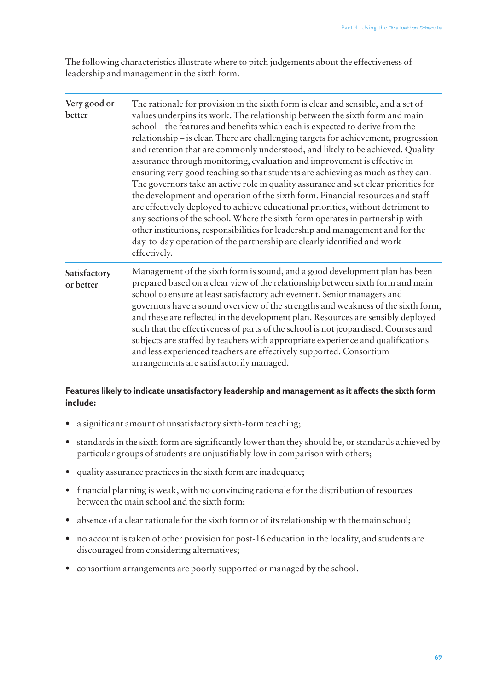The following characteristics illustrate where to pitch judgements about the effectiveness of leadership and management in the sixth form.

| Very good or<br>better    | The rationale for provision in the sixth form is clear and sensible, and a set of<br>values underpins its work. The relationship between the sixth form and main<br>school – the features and benefits which each is expected to derive from the<br>relationship – is clear. There are challenging targets for achievement, progression<br>and retention that are commonly understood, and likely to be achieved. Quality<br>assurance through monitoring, evaluation and improvement is effective in<br>ensuring very good teaching so that students are achieving as much as they can.<br>The governors take an active role in quality assurance and set clear priorities for<br>the development and operation of the sixth form. Financial resources and staff<br>are effectively deployed to achieve educational priorities, without detriment to<br>any sections of the school. Where the sixth form operates in partnership with<br>other institutions, responsibilities for leadership and management and for the<br>day-to-day operation of the partnership are clearly identified and work<br>effectively. |
|---------------------------|---------------------------------------------------------------------------------------------------------------------------------------------------------------------------------------------------------------------------------------------------------------------------------------------------------------------------------------------------------------------------------------------------------------------------------------------------------------------------------------------------------------------------------------------------------------------------------------------------------------------------------------------------------------------------------------------------------------------------------------------------------------------------------------------------------------------------------------------------------------------------------------------------------------------------------------------------------------------------------------------------------------------------------------------------------------------------------------------------------------------|
| Satisfactory<br>or better | Management of the sixth form is sound, and a good development plan has been<br>prepared based on a clear view of the relationship between sixth form and main<br>school to ensure at least satisfactory achievement. Senior managers and<br>governors have a sound overview of the strengths and weakness of the sixth form,<br>and these are reflected in the development plan. Resources are sensibly deployed<br>such that the effectiveness of parts of the school is not jeopardised. Courses and<br>subjects are staffed by teachers with appropriate experience and qualifications<br>and less experienced teachers are effectively supported. Consortium<br>arrangements are satisfactorily managed.                                                                                                                                                                                                                                                                                                                                                                                                        |

# **Features likely to indicate unsatisfactory leadership and management as it affects the sixth form include:**

- a significant amount of unsatisfactory sixth-form teaching;
- standards in the sixth form are significantly lower than they should be, or standards achieved by particular groups of students are unjustifiably low in comparison with others;
- quality assurance practices in the sixth form are inadequate;
- financial planning is weak, with no convincing rationale for the distribution of resources between the main school and the sixth form;
- absence of a clear rationale for the sixth form or of its relationship with the main school;
- no account is taken of other provision for post-16 education in the locality, and students are discouraged from considering alternatives;
- consortium arrangements are poorly supported or managed by the school.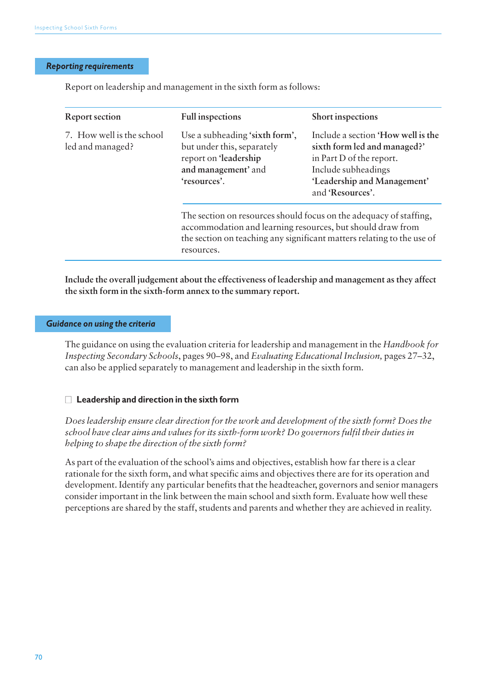#### *Reporting requirements*

Report on leadership and management in the sixth form as follows:

| <b>Report section</b>                         | <b>Full inspections</b>                                                                                                                                                                                                  | Short inspections                                                                                                                                                        |  |  |
|-----------------------------------------------|--------------------------------------------------------------------------------------------------------------------------------------------------------------------------------------------------------------------------|--------------------------------------------------------------------------------------------------------------------------------------------------------------------------|--|--|
| 7. How well is the school<br>led and managed? | Use a subheading 'sixth form',<br>but under this, separately<br>report on 'leadership<br>and management' and<br>'resources'.                                                                                             | Include a section 'How well is the<br>sixth form led and managed?'<br>in Part D of the report.<br>Include subheadings<br>'Leadership and Management'<br>and 'Resources'. |  |  |
|                                               | The section on resources should focus on the adequacy of staffing,<br>accommodation and learning resources, but should draw from<br>the section on teaching any significant matters relating to the use of<br>resources. |                                                                                                                                                                          |  |  |

**Include the overall judgement about the effectiveness of leadership and management as they affect the sixth form in the sixth-form annex to the summary report.** 

#### *Guidance on using the criteria*

The guidance on using the evaluation criteria for leadership and management in the *Handbook for Inspecting Secondary Schools*, pages 90–98, and *Evaluating Educational Inclusion,* pages 27–32, can also be applied separately to management and leadership in the sixth form.

#### □ Leadership and direction in the sixth form

*Does leadership ensure clear direction for the work and development of the sixth form? Does the school have clear aims and values for its sixth-form work? Do governors fulfil their duties in helping to shape the direction of the sixth form?* 

As part of the evaluation of the school's aims and objectives, establish how far there is a clear rationale for the sixth form, and what specific aims and objectives there are for its operation and development. Identify any particular benefits that the headteacher, governors and senior managers consider important in the link between the main school and sixth form. Evaluate how well these perceptions are shared by the staff, students and parents and whether they are achieved in reality.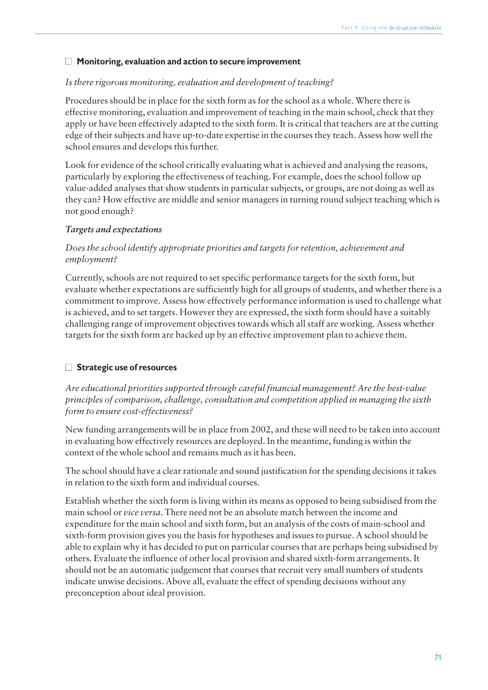#### □ Monitoring, evaluation and action to secure improvement

#### *Is there rigorous monitoring, evaluation and development of teaching?*

Procedures should be in place for the sixth form as for the school as a whole. Where there is effective monitoring, evaluation and improvement of teaching in the main school, check that they apply or have been effectively adapted to the sixth form. It is critical that teachers are at the cutting edge of their subjects and have up-to-date expertise in the courses they teach. Assess how well the school ensures and develops this further.

Look for evidence of the school critically evaluating what is achieved and analysing the reasons, particularly by exploring the effectiveness of teaching. For example, does the school follow up value-added analyses that show students in particular subjects, or groups, are not doing as well as they can? How effective are middle and senior managers in turning round subject teaching which is not good enough?

#### *Targets and expectations*

# *Does the school identify appropriate priorities and targets for retention, achievement and employment?*

Currently, schools are not required to set specific performance targets for the sixth form, but evaluate whether expectations are sufficiently high for all groups of students, and whether there is a commitment to improve. Assess how effectively performance information is used to challenge what is achieved, and to set targets. However they are expressed, the sixth form should have a suitably challenging range of improvement objectives towards which all staff are working. Assess whether targets for the sixth form are backed up by an effective improvement plan to achieve them.

#### □ Strategic use of resources

# *Are educational priorities supported through careful financial management? Are the best-value principles of comparison, challenge, consultation and competition applied in managing the sixth form to ensure cost-effectiveness?*

New funding arrangements will be in place from 2002, and these will need to be taken into account in evaluating how effectively resources are deployed. In the meantime, funding is within the context of the whole school and remains much as it has been.

The school should have a clear rationale and sound justification for the spending decisions it takes in relation to the sixth form and individual courses.

Establish whether the sixth form is living within its means as opposed to being subsidised from the main school or *vice versa*. There need not be an absolute match between the income and expenditure for the main school and sixth form, but an analysis of the costs of main-school and sixth-form provision gives you the basis for hypotheses and issues to pursue. A school should be able to explain why it has decided to put on particular courses that are perhaps being subsidised by others. Evaluate the influence of other local provision and shared sixth-form arrangements. It should not be an automatic judgement that courses that recruit very small numbers of students indicate unwise decisions. Above all, evaluate the effect of spending decisions without any preconception about ideal provision.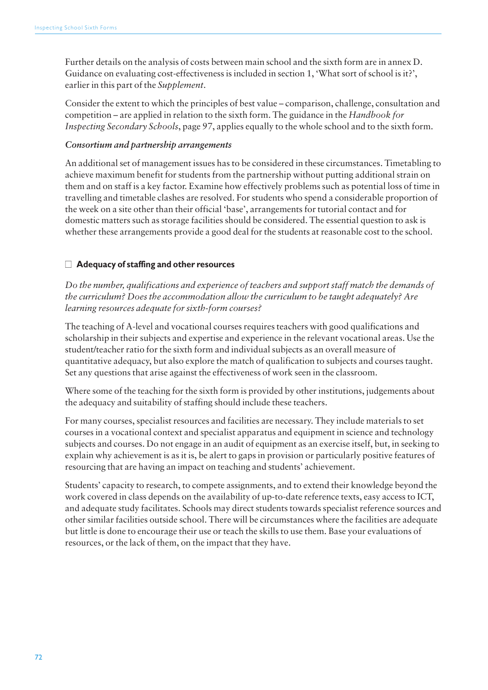Further details on the analysis of costs between main school and the sixth form are in annex D. Guidance on evaluating cost-effectiveness is included in section 1, 'What sort of school is it?', earlier in this part of the *Supplement*.

Consider the extent to which the principles of best value – comparison, challenge, consultation and competition – are applied in relation to the sixth form. The guidance in the *Handbook for Inspecting Secondary Schools*, page 97, applies equally to the whole school and to the sixth form.

## *Consortium and partnership arrangements*

An additional set of management issues has to be considered in these circumstances. Timetabling to achieve maximum benefit for students from the partnership without putting additional strain on them and on staff is a key factor. Examine how effectively problems such as potential loss of time in travelling and timetable clashes are resolved. For students who spend a considerable proportion of the week on a site other than their official 'base', arrangements for tutorial contact and for domestic matters such as storage facilities should be considered. The essential question to ask is whether these arrangements provide a good deal for the students at reasonable cost to the school.

# □ **Adequacy of staffing and other resources**

*Do the number, qualifications and experience of teachers and support staff match the demands of the curriculum? Does the accommodation allow the curriculum to be taught adequately? Are learning resources adequate for sixth-form courses?*

The teaching of A-level and vocational courses requires teachers with good qualifications and scholarship in their subjects and expertise and experience in the relevant vocational areas. Use the student/teacher ratio for the sixth form and individual subjects as an overall measure of quantitative adequacy, but also explore the match of qualification to subjects and courses taught. Set any questions that arise against the effectiveness of work seen in the classroom.

Where some of the teaching for the sixth form is provided by other institutions, judgements about the adequacy and suitability of staffing should include these teachers.

For many courses, specialist resources and facilities are necessary. They include materials to set courses in a vocational context and specialist apparatus and equipment in science and technology subjects and courses. Do not engage in an audit of equipment as an exercise itself, but, in seeking to explain why achievement is as it is, be alert to gaps in provision or particularly positive features of resourcing that are having an impact on teaching and students' achievement.

Students' capacity to research, to compete assignments, and to extend their knowledge beyond the work covered in class depends on the availability of up-to-date reference texts, easy access to ICT, and adequate study facilitates. Schools may direct students towards specialist reference sources and other similar facilities outside school. There will be circumstances where the facilities are adequate but little is done to encourage their use or teach the skills to use them. Base your evaluations of resources, or the lack of them, on the impact that they have.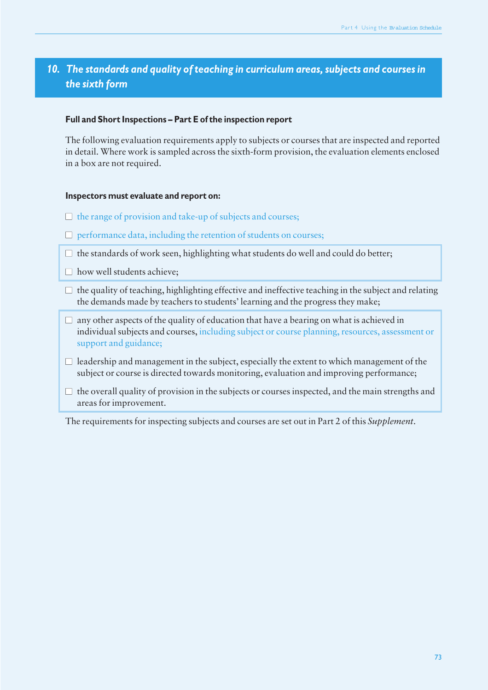# *10. The standards and quality of teaching in curriculum areas, subjects and courses in the sixth form*

#### **Full and Short Inspections – Part E of the inspection report**

The following evaluation requirements apply to subjects or courses that are inspected and reported in detail. Where work is sampled across the sixth-form provision, the evaluation elements enclosed in a box are not required.

#### **Inspectors must evaluate and report on:**

- $\Box$  the range of provision and take-up of subjects and courses;
- $\Box$  performance data, including the retention of students on courses;
- $\Box$  the standards of work seen, highlighting what students do well and could do better;
- $\Box$  how well students achieve;
- $\Box$  the quality of teaching, highlighting effective and ineffective teaching in the subject and relating the demands made by teachers to students' learning and the progress they make;
- $\Box$  any other aspects of the quality of education that have a bearing on what is achieved in individual subjects and courses, including subject or course planning, resources, assessment or support and guidance;
- $\Box$  leadership and management in the subject, especially the extent to which management of the subject or course is directed towards monitoring, evaluation and improving performance;
- $\Box$  the overall quality of provision in the subjects or courses inspected, and the main strengths and areas for improvement.

The requirements for inspecting subjects and courses are set out in Part 2 of this *Supplement*.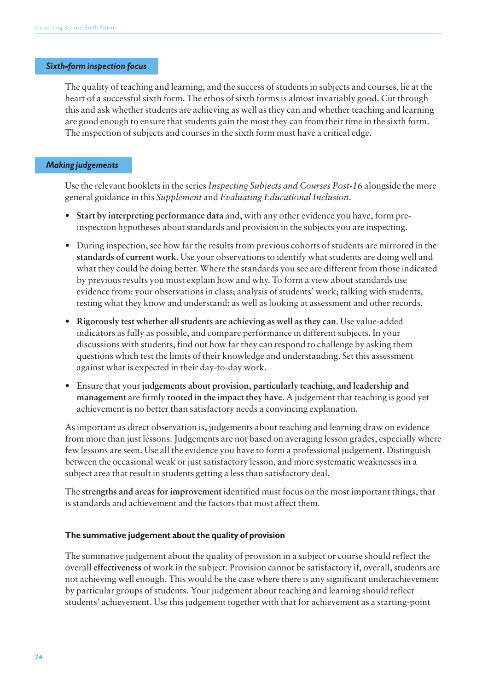#### *Sixth-form inspection focus*

The quality of teaching and learning, and the success of students in subjects and courses, lie at the heart of a successful sixth form. The ethos of sixth forms is almost invariably good. Cut through this and ask whether students are achieving as well as they can and whether teaching and learning are good enough to ensure that students gain the most they can from their time in the sixth form. The inspection of subjects and courses in the sixth form must have a critical edge.

#### *Making judgements*

Use the relevant booklets in the series *Inspecting Subjects and Courses Post-16* alongside the more general guidance in this *Supplement* and *Evaluating Educational Inclusion*.

- **Start by interpreting performance data** and, with any other evidence you have, form preinspection hypotheses about standards and provision in the subjects you are inspecting.
- During inspection, see how far the results from previous cohorts of students are mirrored in the **standards of current work**. Use your observations to identify what students are doing well and what they could be doing better. Where the standards you see are different from those indicated by previous results you must explain how and why. To form a view about standards use evidence from: your observations in class; analysis of students' work; talking with students, testing what they know and understand; as well as looking at assessment and other records.
- **Rigorously test whether all students are achieving as well as they can**. Use value-added indicators as fully as possible, and compare performance in different subjects. In your discussions with students, find out how far they can respond to challenge by asking them questions which test the limits of their knowledge and understanding. Set this assessment against what is expected in their day-to-day work.
- Ensure that your **judgements about provision, particularly teaching, and leadership and management** are firmly **rooted in the impact they have**. A judgement that teaching is good yet achievement is no better than satisfactory needs a convincing explanation.

As important as direct observation is, judgements about teaching and learning draw on evidence from more than just lessons. Judgements are not based on averaging lesson grades, especially where few lessons are seen. Use all the evidence you have to form a professional judgement. Distinguish between the occasional weak or just satisfactory lesson, and more systematic weaknesses in a subject area that result in students getting a less than satisfactory deal.

The **strengths and areas for improvement** identified must focus on the most important things, that is standards and achievement and the factors that most affect them.

#### **The summative judgement about the quality of provision**

The summative judgement about the quality of provision in a subject or course should reflect the overall **effectiveness** of work in the subject. Provision cannot be satisfactory if, overall, students are not achieving well enough. This would be the case where there is any significant underachievement by particular groups of students. Your judgement about teaching and learning should reflect students' achievement. Use this judgement together with that for achievement as a starting-point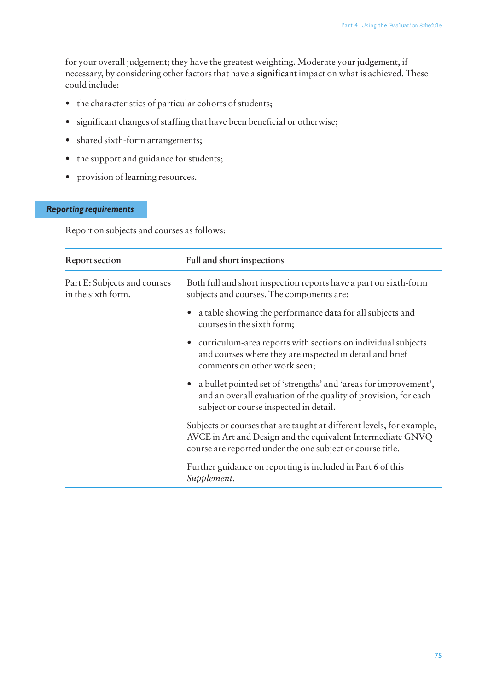for your overall judgement; they have the greatest weighting. Moderate your judgement, if necessary, by considering other factors that have a **significant** impact on what is achieved. These could include:

- the characteristics of particular cohorts of students;
- significant changes of staffing that have been beneficial or otherwise;
- shared sixth-form arrangements;
- the support and guidance for students;
- provision of learning resources.

#### *Reporting requirements*

Report on subjects and courses as follows:

| <b>Report section</b>                              | Full and short inspections                                                                                                                                                                         |  |  |  |  |  |
|----------------------------------------------------|----------------------------------------------------------------------------------------------------------------------------------------------------------------------------------------------------|--|--|--|--|--|
| Part E: Subjects and courses<br>in the sixth form. | Both full and short inspection reports have a part on sixth-form<br>subjects and courses. The components are:                                                                                      |  |  |  |  |  |
|                                                    | a table showing the performance data for all subjects and<br>courses in the sixth form;                                                                                                            |  |  |  |  |  |
|                                                    | • curriculum-area reports with sections on individual subjects<br>and courses where they are inspected in detail and brief<br>comments on other work seen;                                         |  |  |  |  |  |
|                                                    | a bullet pointed set of 'strengths' and 'areas for improvement',<br>and an overall evaluation of the quality of provision, for each<br>subject or course inspected in detail.                      |  |  |  |  |  |
|                                                    | Subjects or courses that are taught at different levels, for example,<br>AVCE in Art and Design and the equivalent Intermediate GNVQ<br>course are reported under the one subject or course title. |  |  |  |  |  |
|                                                    | Further guidance on reporting is included in Part 6 of this<br>Supplement.                                                                                                                         |  |  |  |  |  |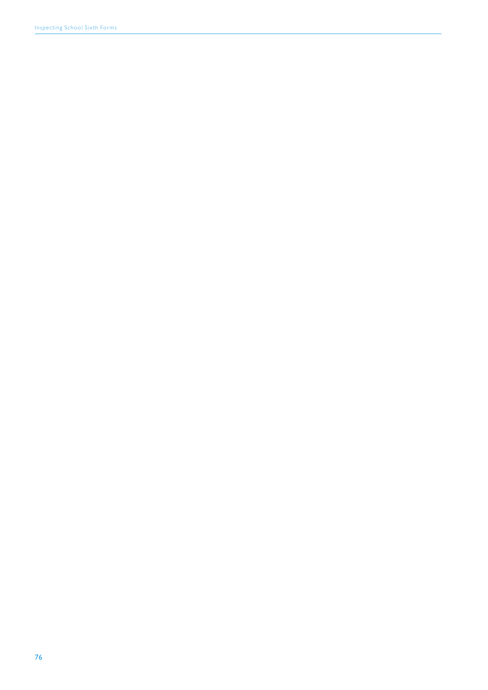Inspecting School Sixth Forms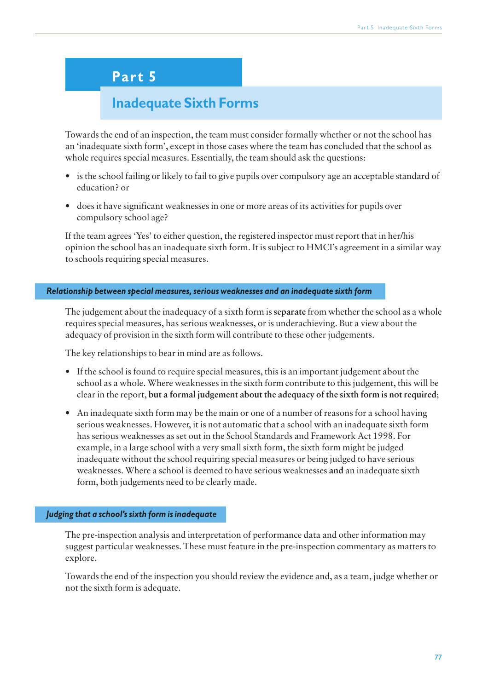# **Part 5**

# **Inadequate Sixth Forms**

Towards the end of an inspection, the team must consider formally whether or not the school has an 'inadequate sixth form', except in those cases where the team has concluded that the school as whole requires special measures. Essentially, the team should ask the questions:

- is the school failing or likely to fail to give pupils over compulsory age an acceptable standard of education? or
- does it have significant weaknesses in one or more areas of its activities for pupils over compulsory school age?

If the team agrees 'Yes' to either question, the registered inspector must report that in her/his opinion the school has an inadequate sixth form. It is subject to HMCI's agreement in a similar way to schools requiring special measures.

#### *Relationship between special measures, serious weaknesses and an inadequate sixth form*

The judgement about the inadequacy of a sixth form is **separate** from whether the school as a whole requires special measures, has serious weaknesses, or is underachieving. But a view about the adequacy of provision in the sixth form will contribute to these other judgements.

The key relationships to bear in mind are as follows.

- If the school is found to require special measures, this is an important judgement about the school as a whole. Where weaknesses in the sixth form contribute to this judgement, this will be clear in the report, **but a formal judgement about the adequacy of the sixth form is not required**;
- An inadequate sixth form may be the main or one of a number of reasons for a school having serious weaknesses. However, it is not automatic that a school with an inadequate sixth form has serious weaknesses as set out in the School Standards and Framework Act 1998. For example, in a large school with a very small sixth form, the sixth form might be judged inadequate without the school requiring special measures or being judged to have serious weaknesses. Where a school is deemed to have serious weaknesses **and** an inadequate sixth form, both judgements need to be clearly made.

#### *Judging that a school's sixth form is inadequate*

The pre-inspection analysis and interpretation of performance data and other information may suggest particular weaknesses. These must feature in the pre-inspection commentary as matters to explore.

Towards the end of the inspection you should review the evidence and, as a team, judge whether or not the sixth form is adequate.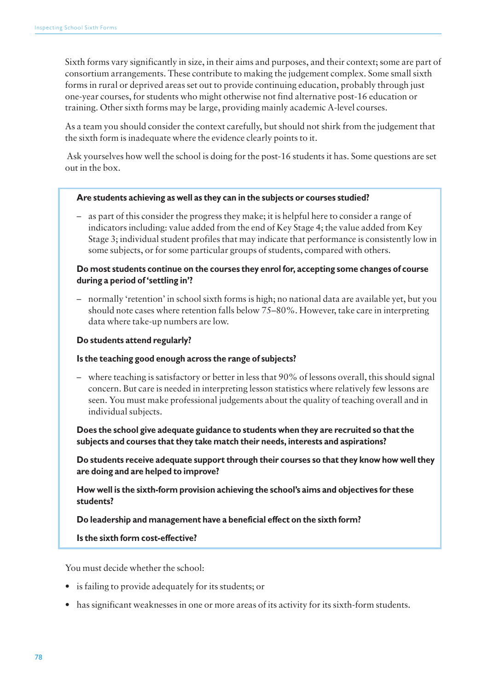Sixth forms vary significantly in size, in their aims and purposes, and their context; some are part of consortium arrangements. These contribute to making the judgement complex. Some small sixth forms in rural or deprived areas set out to provide continuing education, probably through just one-year courses, for students who might otherwise not find alternative post-16 education or training. Other sixth forms may be large, providing mainly academic A-level courses.

As a team you should consider the context carefully, but should not shirk from the judgement that the sixth form is inadequate where the evidence clearly points to it.

Ask yourselves how well the school is doing for the post-16 students it has. Some questions are set out in the box.

#### **Are students achieving as well as they can in the subjects or courses studied?**

– as part of this consider the progress they make; it is helpful here to consider a range of indicators including: value added from the end of Key Stage 4; the value added from Key Stage 3; individual student profiles that may indicate that performance is consistently low in some subjects, or for some particular groups of students, compared with others.

## **Do most students continue on the courses they enrol for, accepting some changes of course during a period of 'settling in'?**

– normally 'retention' in school sixth forms is high; no national data are available yet, but you should note cases where retention falls below 75–80%. However, take care in interpreting data where take-up numbers are low.

#### **Do students attend regularly?**

#### **Is the teaching good enough across the range of subjects?**

– where teaching is satisfactory or better in less that 90% of lessons overall, this should signal concern. But care is needed in interpreting lesson statistics where relatively few lessons are seen. You must make professional judgements about the quality of teaching overall and in individual subjects.

**Does the school give adequate guidance to students when they are recruited so that the subjects and courses that they take match their needs, interests and aspirations?**

**Do students receive adequate support through their courses so that they know how well they are doing and are helped to improve?**

**How well is the sixth-form provision achieving the school's aims and objectives for these students?**

#### **Do leadership and management have a beneficial effect on the sixth form?**

#### **Is the sixth form cost-effective?**

You must decide whether the school:

- is failing to provide adequately for its students; or
- has significant weaknesses in one or more areas of its activity for its sixth-form students.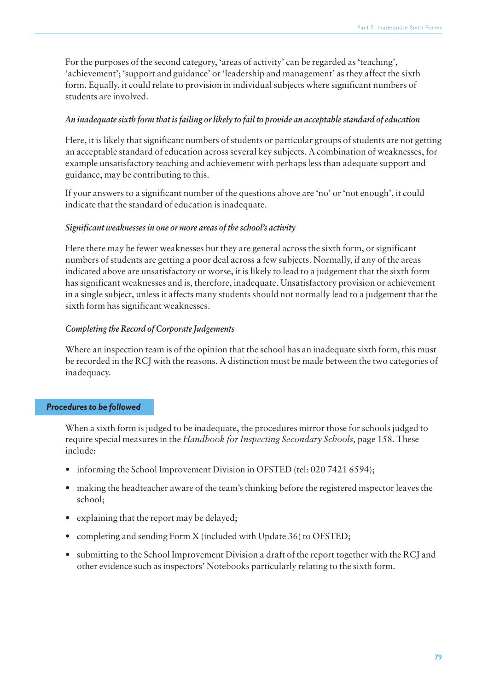For the purposes of the second category, 'areas of activity' can be regarded as 'teaching', 'achievement'; 'support and guidance' or 'leadership and management' as they affect the sixth form. Equally, it could relate to provision in individual subjects where significant numbers of students are involved.

## *An inadequate sixth form that is failing or likely to fail to provide an acceptable standard of education*

Here, it is likely that significant numbers of students or particular groups of students are not getting an acceptable standard of education across several key subjects. A combination of weaknesses, for example unsatisfactory teaching and achievement with perhaps less than adequate support and guidance, may be contributing to this.

If your answers to a significant number of the questions above are 'no' or 'not enough', it could indicate that the standard of education is inadequate.

# *Significant weaknesses in one or more areas of the school's activity*

Here there may be fewer weaknesses but they are general across the sixth form, or significant numbers of students are getting a poor deal across a few subjects. Normally, if any of the areas indicated above are unsatisfactory or worse, it is likely to lead to a judgement that the sixth form has significant weaknesses and is, therefore, inadequate. Unsatisfactory provision or achievement in a single subject, unless it affects many students should not normally lead to a judgement that the sixth form has significant weaknesses.

## *Completing the Record of Corporate Judgements*

Where an inspection team is of the opinion that the school has an inadequate sixth form, this must be recorded in the RCJ with the reasons. A distinction must be made between the two categories of inadequacy.

#### *Procedures to be followed*

When a sixth form is judged to be inadequate, the procedures mirror those for schools judged to require special measures in the *Handbook for Inspecting Secondary Schools,* page 158*.* These include:

- informing the School Improvement Division in OFSTED (tel: 020 7421 6594);
- making the headteacher aware of the team's thinking before the registered inspector leaves the school;
- explaining that the report may be delayed;
- completing and sending Form X (included with Update 36) to OFSTED;
- submitting to the School Improvement Division a draft of the report together with the RCJ and other evidence such as inspectors' Notebooks particularly relating to the sixth form.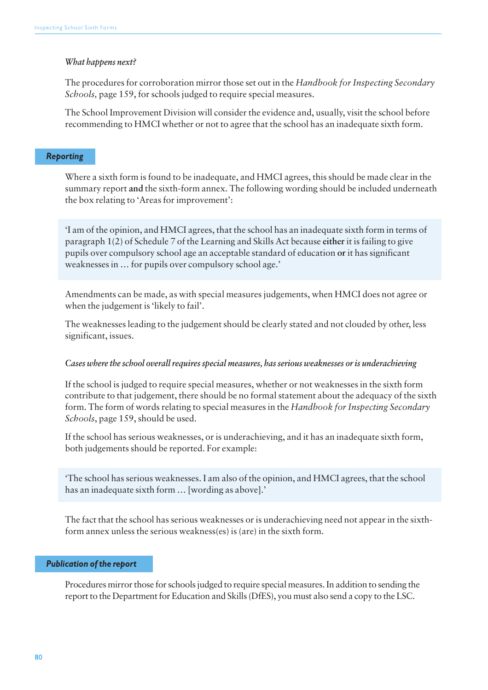#### *What happens next?*

The procedures for corroboration mirror those set out in the *Handbook for Inspecting Secondary Schools,* page 159, for schools judged to require special measures.

The School Improvement Division will consider the evidence and, usually, visit the school before recommending to HMCI whether or not to agree that the school has an inadequate sixth form.

## *Reporting*

Where a sixth form is found to be inadequate, and HMCI agrees, this should be made clear in the summary report **and** the sixth-form annex. The following wording should be included underneath the box relating to 'Areas for improvement':

'I am of the opinion, and HMCI agrees, that the school has an inadequate sixth form in terms of paragraph 1(2) of Schedule 7 of the Learning and Skills Act because **either** it is failing to give pupils over compulsory school age an acceptable standard of education **or**it has significant weaknesses in … for pupils over compulsory school age.'

Amendments can be made, as with special measures judgements, when HMCI does not agree or when the judgement is 'likely to fail'.

The weaknesses leading to the judgement should be clearly stated and not clouded by other, less significant, issues.

#### *Cases where the school overall requires special measures, has serious weaknesses or is underachieving*

If the school is judged to require special measures, whether or not weaknesses in the sixth form contribute to that judgement, there should be no formal statement about the adequacy of the sixth form. The form of words relating to special measures in the *Handbook for Inspecting Secondary Schools*, page 159, should be used.

If the school has serious weaknesses, or is underachieving, and it has an inadequate sixth form, both judgements should be reported. For example:

'The school has serious weaknesses. I am also of the opinion, and HMCI agrees, that the school has an inadequate sixth form … [wording as above].'

The fact that the school has serious weaknesses or is underachieving need not appear in the sixthform annex unless the serious weakness(es) is (are) in the sixth form.

#### *Publication of the report*

Procedures mirror those for schools judged to require special measures. In addition to sending the report to the Department for Education and Skills (DfES), you must also send a copy to the LSC.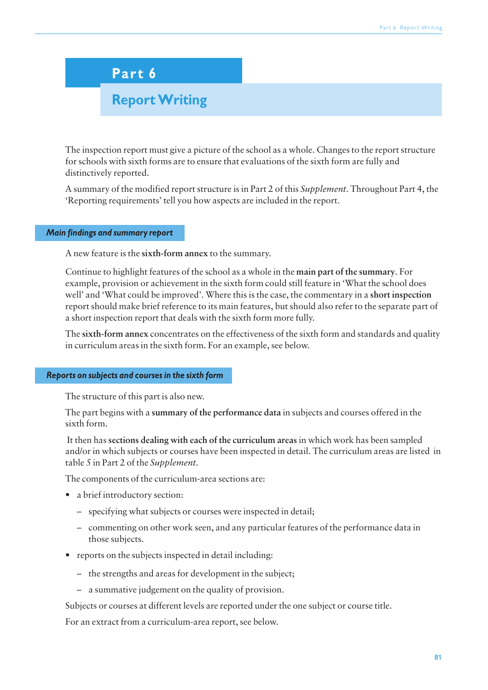**Part 6**

# **Report Writing**

The inspection report must give a picture of the school as a whole. Changes to the report structure for schools with sixth forms are to ensure that evaluations of the sixth form are fully and distinctively reported.

A summary of the modified report structure is in Part 2 of this *Supplement*. Throughout Part 4, the 'Reporting requirements' tell you how aspects are included in the report.

#### *Main findings and summary report*

A new feature is the **sixth-form annex** to the summary.

Continue to highlight features of the school as a whole in the **main part of the summary**. For example, provision or achievement in the sixth form could still feature in 'What the school does well' and 'What could be improved'. Where this is the case, the commentary in a **short inspection** report should make brief reference to its main features, but should also refer to the separate part of a short inspection report that deals with the sixth form more fully.

The **sixth-form annex** concentrates on the effectiveness of the sixth form and standards and quality in curriculum areas in the sixth form. For an example, see below.

#### *Reports on subjects and courses in the sixth form*

The structure of this part is also new.

The part begins with a **summary of the performance data** in subjects and courses offered in the sixth form.

It then has **sections dealing with each of the curriculum areas**in which work has been sampled and/or in which subjects or courses have been inspected in detail. The curriculum areas are listed in table 5 in Part 2 of the *Supplement*.

The components of the curriculum-area sections are:

- a brief introductory section:
	- specifying what subjects or courses were inspected in detail;
	- commenting on other work seen, and any particular features of the performance data in those subjects.
- reports on the subjects inspected in detail including:
	- the strengths and areas for development in the subject;
	- a summative judgement on the quality of provision.

Subjects or courses at different levels are reported under the one subject or course title.

For an extract from a curriculum-area report, see below.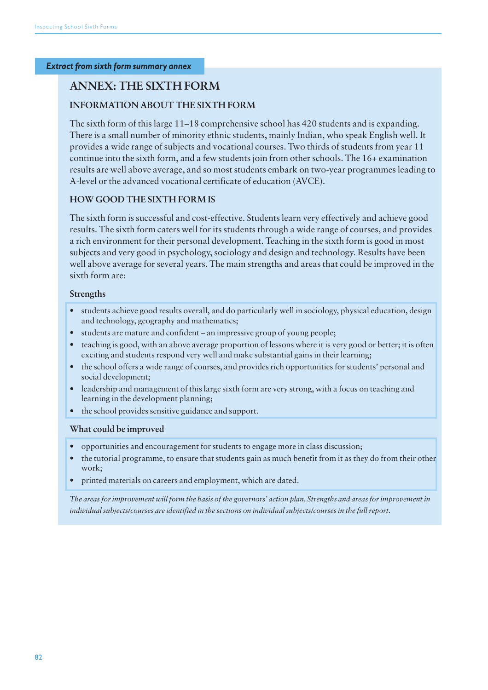# **ANNEX: THE SIXTH FORM**

## **INFORMATION ABOUT THE SIXTH FORM**

The sixth form of this large 11–18 comprehensive school has 420 students and is expanding. There is a small number of minority ethnic students, mainly Indian, who speak English well. It provides a wide range of subjects and vocational courses. Two thirds of students from year 11 continue into the sixth form, and a few students join from other schools. The 16+ examination results are well above average, and so most students embark on two-year programmes leading to A-level or the advanced vocational certificate of education (AVCE).

# **HOW GOOD THE SIXTH FORM IS**

The sixth form is successful and cost-effective. Students learn very effectively and achieve good results. The sixth form caters well for its students through a wide range of courses, and provides a rich environment for their personal development. Teaching in the sixth form is good in most subjects and very good in psychology, sociology and design and technology. Results have been well above average for several years. The main strengths and areas that could be improved in the sixth form are:

#### **Strengths**

- students achieve good results overall, and do particularly well in sociology, physical education, design and technology, geography and mathematics;
- students are mature and confident an impressive group of young people;
- teaching is good, with an above average proportion of lessons where it is very good or better; it is often exciting and students respond very well and make substantial gains in their learning;
- the school offers a wide range of courses, and provides rich opportunities for students' personal and social development;
- leadership and management of this large sixth form are very strong, with a focus on teaching and learning in the development planning;
- the school provides sensitive guidance and support.

#### **What could be improved**

- opportunities and encouragement for students to engage more in class discussion;
- the tutorial programme, to ensure that students gain as much benefit from it as they do from their other work;
- printed materials on careers and employment, which are dated.

*The areas for improvement will form the basis of the governors' action plan. Strengths and areas for improvement in individual subjects/courses are identified in the sections on individual subjects/courses in the full report.*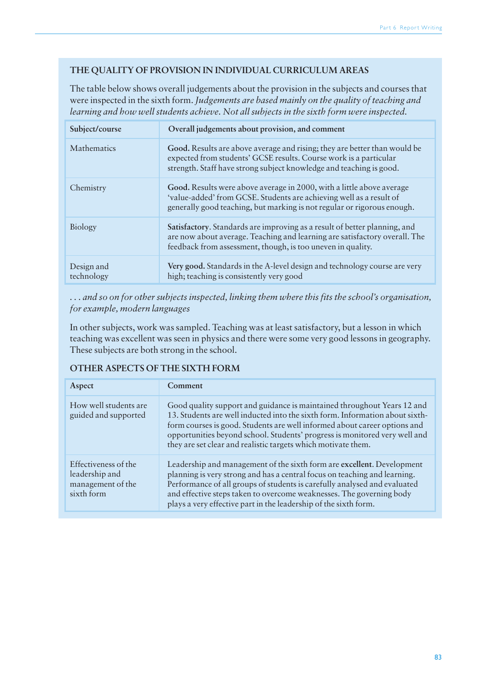# **THE QUALITY OF PROVISION IN INDIVIDUAL CURRICULUM AREAS**

The table below shows overall judgements about the provision in the subjects and courses that were inspected in the sixth form. *Judgements are based mainly on the quality of teaching and learning and how well students achieve. Not all subjects in the sixth form were inspected.*

| Subject/course           | Overall judgements about provision, and comment                                                                                                                                                                         |
|--------------------------|-------------------------------------------------------------------------------------------------------------------------------------------------------------------------------------------------------------------------|
| Mathematics              | Good. Results are above average and rising; they are better than would be<br>expected from students' GCSE results. Course work is a particular<br>strength. Staff have strong subject knowledge and teaching is good.   |
| Chemistry                | Good. Results were above average in 2000, with a little above average<br>'value-added' from GCSE. Students are achieving well as a result of<br>generally good teaching, but marking is not regular or rigorous enough. |
| Biology                  | Satisfactory. Standards are improving as a result of better planning, and<br>are now about average. Teaching and learning are satisfactory overall. The<br>feedback from assessment, though, is too uneven in quality.  |
| Design and<br>technology | Very good. Standards in the A-level design and technology course are very<br>high; teaching is consistently very good                                                                                                   |

*. . . and so on for other subjects inspected, linking them where this fits the school's organisation, for example, modern languages*

In other subjects, work was sampled. Teaching was at least satisfactory, but a lesson in which teaching was excellent was seen in physics and there were some very good lessons in geography. These subjects are both strong in the school.

# **OTHER ASPECTS OF THE SIXTH FORM**

| Aspect                                                                    | Comment                                                                                                                                                                                                                                                                                                                                                                             |
|---------------------------------------------------------------------------|-------------------------------------------------------------------------------------------------------------------------------------------------------------------------------------------------------------------------------------------------------------------------------------------------------------------------------------------------------------------------------------|
| How well students are<br>guided and supported                             | Good quality support and guidance is maintained throughout Years 12 and<br>13. Students are well inducted into the sixth form. Information about sixth-<br>form courses is good. Students are well informed about career options and<br>opportunities beyond school. Students' progress is monitored very well and<br>they are set clear and realistic targets which motivate them. |
| Effectiveness of the<br>leadership and<br>management of the<br>sixth form | Leadership and management of the sixth form are excellent. Development<br>planning is very strong and has a central focus on teaching and learning.<br>Performance of all groups of students is carefully analysed and evaluated<br>and effective steps taken to overcome weaknesses. The governing body<br>plays a very effective part in the leadership of the sixth form.        |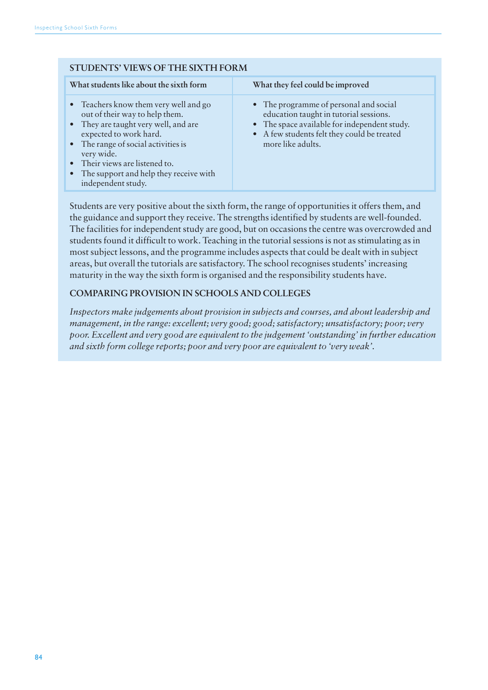# **STUDENTS' VIEWS OF THE SIXTH FORM**

| • Teachers know them very well and go<br>• The programme of personal and social<br>education taught in tutorial sessions.<br>out of their way to help them.<br>• They are taught very well, and are<br>• The space available for independent study.<br>expected to work hard.<br>• A few students felt they could be treated<br>• The range of social activities is<br>more like adults.<br>very wide.<br>• Their views are listened to.<br>• The support and help they receive with<br>independent study. | What students like about the sixth form | What they feel could be improved |
|------------------------------------------------------------------------------------------------------------------------------------------------------------------------------------------------------------------------------------------------------------------------------------------------------------------------------------------------------------------------------------------------------------------------------------------------------------------------------------------------------------|-----------------------------------------|----------------------------------|
|                                                                                                                                                                                                                                                                                                                                                                                                                                                                                                            |                                         |                                  |

Students are very positive about the sixth form, the range of opportunities it offers them, and the guidance and support they receive. The strengths identified by students are well-founded. The facilities for independent study are good, but on occasions the centre was overcrowded and students found it difficult to work. Teaching in the tutorial sessions is not as stimulating as in most subject lessons, and the programme includes aspects that could be dealt with in subject areas, but overall the tutorials are satisfactory. The school recognises students' increasing maturity in the way the sixth form is organised and the responsibility students have.

# **COMPARING PROVISION IN SCHOOLS AND COLLEGES**

*Inspectors make judgements about provision in subjects and courses, and about leadership and management, in the range: excellent; very good; good; satisfactory; unsatisfactory; poor; very poor. Excellent and very good are equivalent to the judgement 'outstanding' in further education and sixth form college reports; poor and very poor are equivalent to 'very weak'.*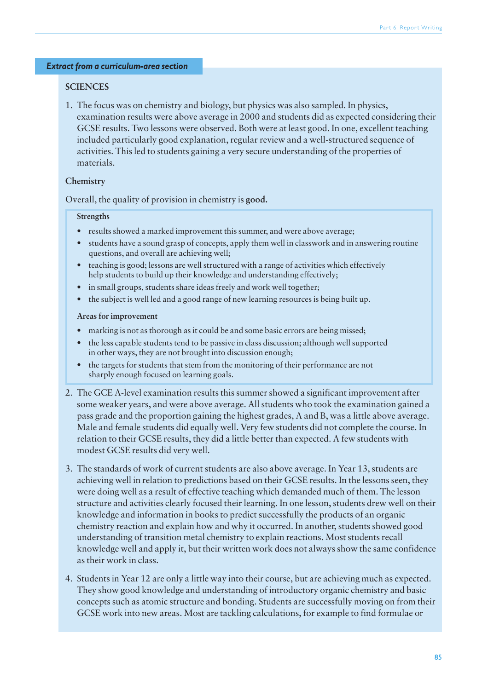#### *Extract from a curriculum-area section*

#### **SCIENCES**

1. The focus was on chemistry and biology, but physics was also sampled. In physics, examination results were above average in 2000 and students did as expected considering their GCSE results. Two lessons were observed. Both were at least good. In one, excellent teaching included particularly good explanation, regular review and a well-structured sequence of activities. This led to students gaining a very secure understanding of the properties of materials.

## **Chemistry**

#### Overall, the quality of provision in chemistry is **good.**

#### **Strengths**

- results showed a marked improvement this summer, and were above average;
- students have a sound grasp of concepts, apply them well in classwork and in answering routine questions, and overall are achieving well;
- teaching is good; lessons are well structured with a range of activities which effectively help students to build up their knowledge and understanding effectively;
- in small groups, students share ideas freely and work well together;
- the subject is well led and a good range of new learning resources is being built up.

#### **Areas for improvement**

- marking is not as thorough as it could be and some basic errors are being missed;
- the less capable students tend to be passive in class discussion; although well supported in other ways, they are not brought into discussion enough;
- the targets for students that stem from the monitoring of their performance are not sharply enough focused on learning goals.
- 2. The GCE A-level examination results this summer showed a significant improvement after some weaker years, and were above average. All students who took the examination gained a pass grade and the proportion gaining the highest grades, A and B, was a little above average. Male and female students did equally well. Very few students did not complete the course. In relation to their GCSE results, they did a little better than expected. A few students with modest GCSE results did very well.
- 3. The standards of work of current students are also above average. In Year 13, students are achieving well in relation to predictions based on their GCSE results. In the lessons seen, they were doing well as a result of effective teaching which demanded much of them. The lesson structure and activities clearly focused their learning. In one lesson, students drew well on their knowledge and information in books to predict successfully the products of an organic chemistry reaction and explain how and why it occurred. In another, students showed good understanding of transition metal chemistry to explain reactions. Most students recall knowledge well and apply it, but their written work does not always show the same confidence as their work in class.
- 4. Students in Year 12 are only a little way into their course, but are achieving much as expected. They show good knowledge and understanding of introductory organic chemistry and basic concepts such as atomic structure and bonding. Students are successfully moving on from their GCSE work into new areas. Most are tackling calculations, for example to find formulae or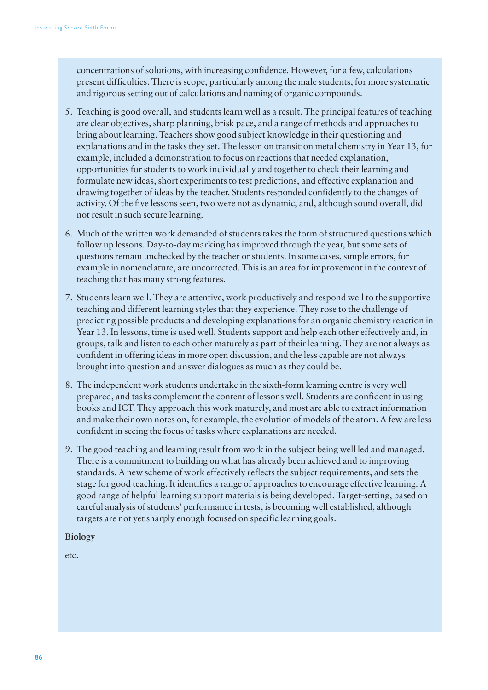concentrations of solutions, with increasing confidence. However, for a few, calculations present difficulties. There is scope, particularly among the male students, for more systematic and rigorous setting out of calculations and naming of organic compounds.

- 5. Teaching is good overall, and students learn well as a result. The principal features of teaching are clear objectives, sharp planning, brisk pace, and a range of methods and approaches to bring about learning. Teachers show good subject knowledge in their questioning and explanations and in the tasks they set. The lesson on transition metal chemistry in Year 13, for example, included a demonstration to focus on reactions that needed explanation, opportunities for students to work individually and together to check their learning and formulate new ideas, short experiments to test predictions, and effective explanation and drawing together of ideas by the teacher. Students responded confidently to the changes of activity. Of the five lessons seen, two were not as dynamic, and, although sound overall, did not result in such secure learning.
- 6. Much of the written work demanded of students takes the form of structured questions which follow up lessons. Day-to-day marking has improved through the year, but some sets of questions remain unchecked by the teacher or students. In some cases, simple errors, for example in nomenclature, are uncorrected. This is an area for improvement in the context of teaching that has many strong features.
- 7. Students learn well. They are attentive, work productively and respond well to the supportive teaching and different learning styles that they experience. They rose to the challenge of predicting possible products and developing explanations for an organic chemistry reaction in Year 13. In lessons, time is used well. Students support and help each other effectively and, in groups, talk and listen to each other maturely as part of their learning. They are not always as confident in offering ideas in more open discussion, and the less capable are not always brought into question and answer dialogues as much as they could be.
- 8. The independent work students undertake in the sixth-form learning centre is very well prepared, and tasks complement the content of lessons well. Students are confident in using books and ICT. They approach this work maturely, and most are able to extract information and make their own notes on, for example, the evolution of models of the atom. A few are less confident in seeing the focus of tasks where explanations are needed.
- 9. The good teaching and learning result from work in the subject being well led and managed. There is a commitment to building on what has already been achieved and to improving standards. A new scheme of work effectively reflects the subject requirements, and sets the stage for good teaching. It identifies a range of approaches to encourage effective learning. A good range of helpful learning support materials is being developed. Target-setting, based on careful analysis of students' performance in tests, is becoming well established, although targets are not yet sharply enough focused on specific learning goals.

#### **Biology**

 $etc.$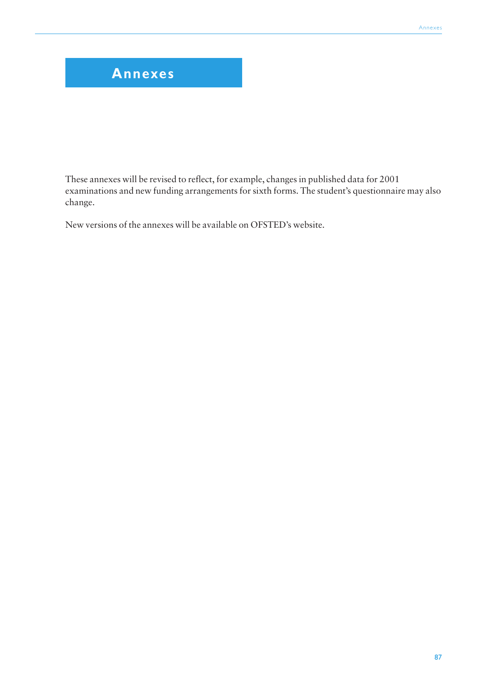# **Annexes**

These annexes will be revised to reflect, for example, changes in published data for 2001 examinations and new funding arrangements for sixth forms. The student's questionnaire may also change.

New versions of the annexes will be available on OFSTED's website.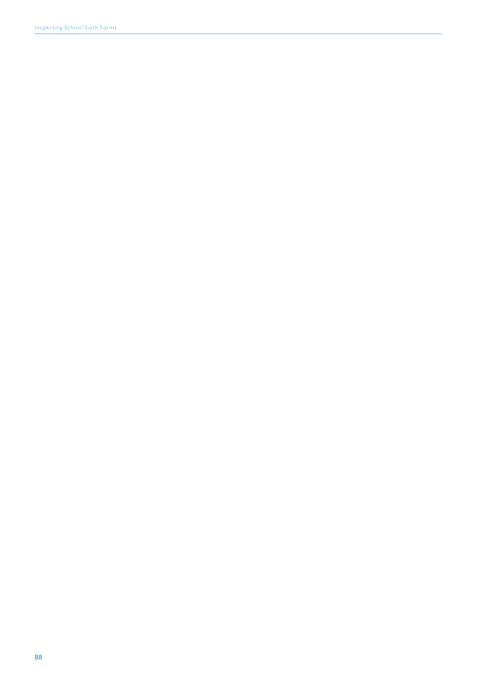Inspecting School Sixth Forms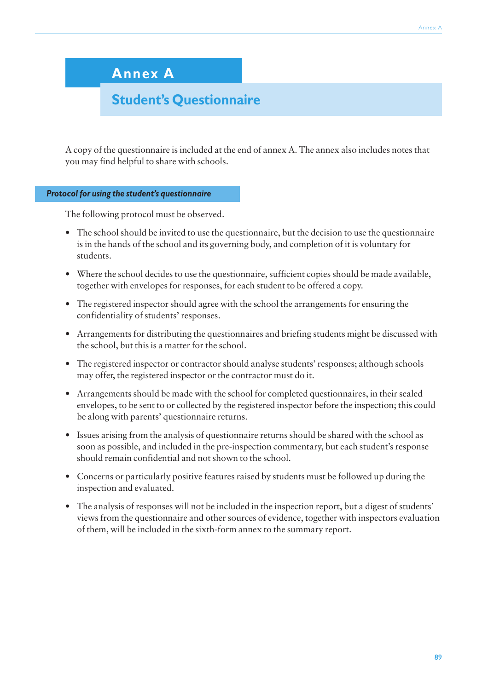**Annex A**

# **Student's Questionnaire**

A copy of the questionnaire is included at the end of annex A. The annex also includes notes that you may find helpful to share with schools.

#### *Protocol for using the student's questionnaire*

The following protocol must be observed.

- The school should be invited to use the questionnaire, but the decision to use the questionnaire is in the hands of the school and its governing body, and completion of it is voluntary for students.
- Where the school decides to use the questionnaire, sufficient copies should be made available, together with envelopes for responses, for each student to be offered a copy.
- The registered inspector should agree with the school the arrangements for ensuring the confidentiality of students' responses.
- Arrangements for distributing the questionnaires and briefing students might be discussed with the school, but this is a matter for the school.
- The registered inspector or contractor should analyse students' responses; although schools may offer, the registered inspector or the contractor must do it.
- Arrangements should be made with the school for completed questionnaires, in their sealed envelopes, to be sent to or collected by the registered inspector before the inspection; this could be along with parents' questionnaire returns.
- Issues arising from the analysis of questionnaire returns should be shared with the school as soon as possible, and included in the pre-inspection commentary, but each student's response should remain confidential and not shown to the school.
- Concerns or particularly positive features raised by students must be followed up during the inspection and evaluated.
- The analysis of responses will not be included in the inspection report, but a digest of students' views from the questionnaire and other sources of evidence, together with inspectors evaluation of them, will be included in the sixth-form annex to the summary report.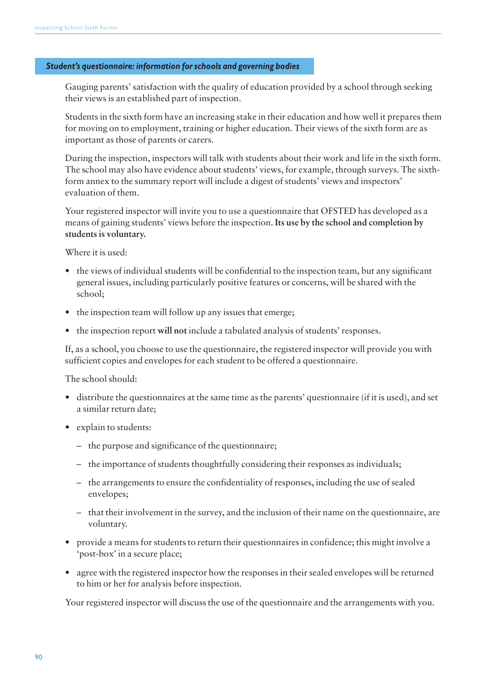#### *Student's questionnaire: information for schools and governing bodies*

Gauging parents' satisfaction with the quality of education provided by a school through seeking their views is an established part of inspection.

Students in the sixth form have an increasing stake in their education and how well it prepares them for moving on to employment, training or higher education. Their views of the sixth form are as important as those of parents or carers.

During the inspection, inspectors will talk with students about their work and life in the sixth form. The school may also have evidence about students' views, for example, through surveys. The sixthform annex to the summary report will include a digest of students' views and inspectors' evaluation of them.

Your registered inspector will invite you to use a questionnaire that OFSTED has developed as a means of gaining students' views before the inspection. **Its use by the school and completion by students is voluntary.**

Where it is used:

- the views of individual students will be confidential to the inspection team, but any significant general issues, including particularly positive features or concerns, will be shared with the school;
- the inspection team will follow up any issues that emerge;
- the inspection report **will not** include a tabulated analysis of students' responses.

If, as a school, you choose to use the questionnaire, the registered inspector will provide you with sufficient copies and envelopes for each student to be offered a questionnaire.

The school should:

- distribute the questionnaires at the same time as the parents' questionnaire (if it is used), and set a similar return date;
- explain to students:
	- the purpose and significance of the questionnaire;
	- the importance of students thoughtfully considering their responses as individuals;
	- the arrangements to ensure the confidentiality of responses, including the use of sealed envelopes;
	- that their involvement in the survey, and the inclusion of their name on the questionnaire, are voluntary.
- provide a means for students to return their questionnaires in confidence; this might involve a 'post-box' in a secure place;
- agree with the registered inspector how the responses in their sealed envelopes will be returned to him or her for analysis before inspection.

Your registered inspector will discuss the use of the questionnaire and the arrangements with you.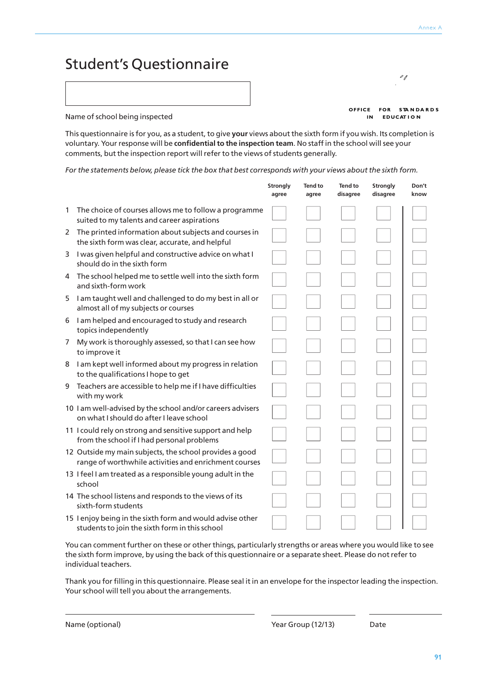**OFFICE FOR STANDARDS IN EDUCATION** 

 $^\rho \theta$ 

# Student's Questionnaire

Name of school being inspected

This questionnaire is for you, as a student, to give **your** views about the sixth form if you wish. Its completion is voluntary. Your response will be **confidential to the inspection team**. No staff in the school will see your comments, but the inspection report will refer to the views of students generally.

*For the statements below, please tick the box that best corresponds with your views about the sixth form.*

|   |                                                                                                                  | Strongly<br>agree | Tend to<br>agree | Tend to<br>disagree | Strongly<br>disagree | Don't<br>know |
|---|------------------------------------------------------------------------------------------------------------------|-------------------|------------------|---------------------|----------------------|---------------|
| 1 | The choice of courses allows me to follow a programme<br>suited to my talents and career aspirations             |                   |                  |                     |                      |               |
| 2 | The printed information about subjects and courses in<br>the sixth form was clear, accurate, and helpful         |                   |                  |                     |                      |               |
| 3 | I was given helpful and constructive advice on what I<br>should do in the sixth form                             |                   |                  |                     |                      |               |
| 4 | The school helped me to settle well into the sixth form<br>and sixth-form work                                   |                   |                  |                     |                      |               |
| 5 | I am taught well and challenged to do my best in all or<br>almost all of my subjects or courses                  |                   |                  |                     |                      |               |
| 6 | I am helped and encouraged to study and research<br>topics independently                                         |                   |                  |                     |                      |               |
| 7 | My work is thoroughly assessed, so that I can see how<br>to improve it                                           |                   |                  |                     |                      |               |
| 8 | I am kept well informed about my progress in relation<br>to the qualifications I hope to get                     |                   |                  |                     |                      |               |
| 9 | Teachers are accessible to help me if I have difficulties<br>with my work                                        |                   |                  |                     |                      |               |
|   | 10 I am well-advised by the school and/or careers advisers<br>on what I should do after I leave school           |                   |                  |                     |                      |               |
|   | 11 I could rely on strong and sensitive support and help<br>from the school if I had personal problems           |                   |                  |                     |                      |               |
|   | 12 Outside my main subjects, the school provides a good<br>range of worthwhile activities and enrichment courses |                   |                  |                     |                      |               |
|   | 13 I feel I am treated as a responsible young adult in the<br>school                                             |                   |                  |                     |                      |               |
|   | 14 The school listens and responds to the views of its<br>sixth-form students                                    |                   |                  |                     |                      |               |
|   | 15 I enjoy being in the sixth form and would advise other<br>students to join the sixth form in this school      |                   |                  |                     |                      |               |

You can comment further on these or other things, particularly strengths or areas where you would like to see the sixth form improve, by using the back of this questionnaire or a separate sheet. Please do not refer to individual teachers.

Thank you for filling in this questionnaire. Please seal it in an envelope for the inspector leading the inspection. Your school will tell you about the arrangements.

|  |  | Name (optional) |  |
|--|--|-----------------|--|
|--|--|-----------------|--|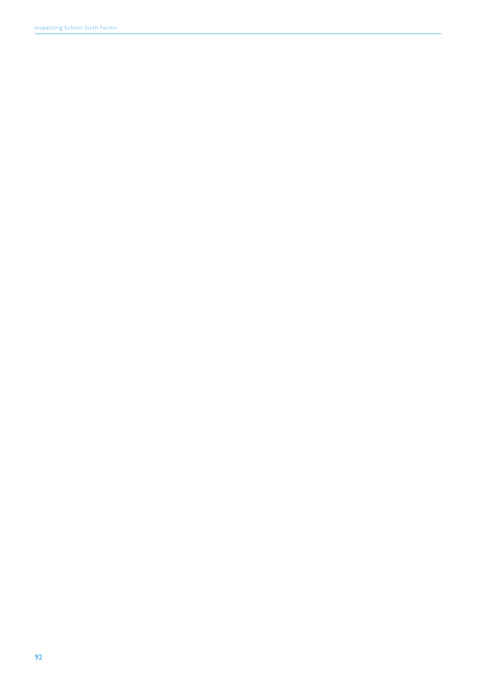Inspecting School Sixth Forms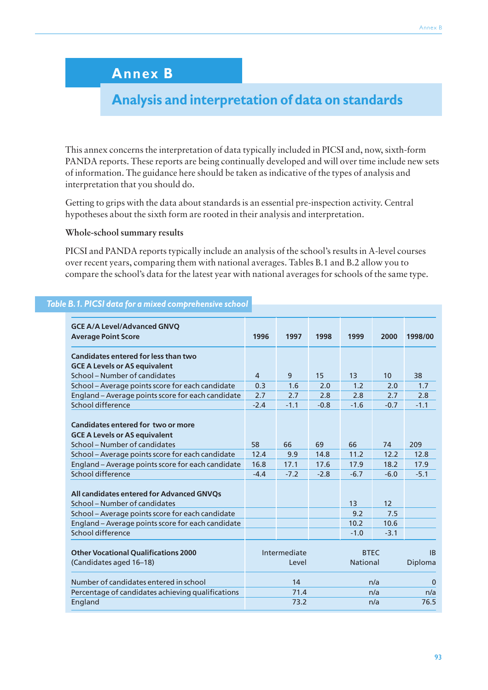# **Annex B**

# **Analysis and interpretation of data on standards**

This annex concerns the interpretation of data typically included in PICSI and, now, sixth-form PANDA reports. These reports are being continually developed and will over time include new sets of information. The guidance here should be taken as indicative of the types of analysis and interpretation that you should do.

Getting to grips with the data about standards is an essential pre-inspection activity. Central hypotheses about the sixth form are rooted in their analysis and interpretation.

#### **Whole-school summary results**

PICSI and PANDA reports typically include an analysis of the school's results in A-level courses over recent years, comparing them with national averages. Tables B.1 and B.2 allow you to compare the school's data for the latest year with national averages for schools of the same type.

| <b>GCE A/A Level/Advanced GNVQ</b><br><b>Average Point Score</b>           | 1996           | 1997         | 1998   | 1999            | 2000   | 1998/00  |
|----------------------------------------------------------------------------|----------------|--------------|--------|-----------------|--------|----------|
| Candidates entered for less than two                                       |                |              |        |                 |        |          |
| <b>GCE A Levels or AS equivalent</b>                                       |                |              |        |                 |        |          |
| School - Number of candidates                                              | $\overline{4}$ | 9            | 15     | 13              | 10     | 38       |
| School - Average points score for each candidate                           | 0.3            | 1.6          | 2.0    | 1.2             | 2.0    | 1.7      |
| England - Average points score for each candidate                          | 2.7            | 2.7          | 2.8    | 2.8             | 2.7    | 2.8      |
| School difference                                                          | $-2.4$         | $-1.1$       | $-0.8$ | $-1.6$          | $-0.7$ | $-1.1$   |
| Candidates entered for two or more<br><b>GCE A Levels or AS equivalent</b> |                |              |        |                 |        |          |
| School – Number of candidates                                              | 58             | 66           | 69     | 66              | 74     | 209      |
| School - Average points score for each candidate                           | 12.4           | 9.9          | 14.8   | 11.2            | 12.2   | 12.8     |
| England - Average points score for each candidate                          | 16.8           | 17.1         | 17.6   | 17.9            | 18.2   | 17.9     |
| School difference                                                          | $-4.4$         | $-7.2$       | $-2.8$ | $-6.7$          | $-6.0$ | $-5.1$   |
| All candidates entered for Advanced GNVQs<br>School – Number of candidates |                |              |        | 13              | 12     |          |
| School - Average points score for each candidate                           |                |              |        | 9.2             | 7.5    |          |
| England - Average points score for each candidate                          |                |              |        | 10.2            | 10.6   |          |
| School difference                                                          |                |              |        | $-1.0$          | $-3.1$ |          |
| <b>Other Vocational Qualifications 2000</b>                                |                | Intermediate |        | <b>BTEC</b>     |        | IB       |
| (Candidates aged 16-18)                                                    |                | Level        |        | <b>National</b> |        | Diploma  |
| Number of candidates entered in school                                     |                | 14           |        |                 | n/a    | $\Omega$ |
| Percentage of candidates achieving qualifications                          |                | 71.4         |        | n/a             |        | n/a      |
| England                                                                    |                | 73.2         |        |                 | n/a    | 76.5     |

# *Table B.1. PICSI data for a mixed comprehensive school*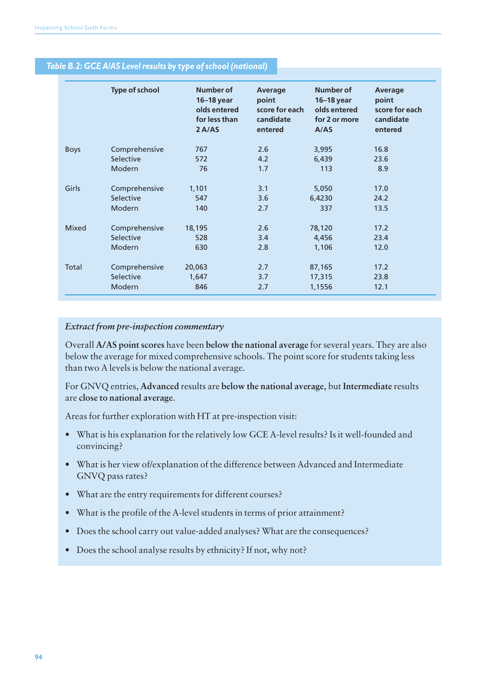|              | <b>Type of school</b> | <b>Number of</b><br>16-18 year<br>olds entered<br>for less than<br>2 A/AS | Average<br>point<br>score for each<br>candidate<br>entered | Number of<br>16-18 year<br>olds entered<br>for 2 or more<br>A/AS | Average<br>point<br>score for each<br>candidate<br>entered |
|--------------|-----------------------|---------------------------------------------------------------------------|------------------------------------------------------------|------------------------------------------------------------------|------------------------------------------------------------|
| <b>Boys</b>  | Comprehensive         | 767                                                                       | 2.6                                                        | 3,995                                                            | 16.8                                                       |
|              | Selective             | 572                                                                       | 4.2                                                        | 6,439                                                            | 23.6                                                       |
|              | <b>Modern</b>         | 76                                                                        | 1.7                                                        | 113                                                              | 8.9                                                        |
| Girls        | Comprehensive         | 1,101                                                                     | 3.1                                                        | 5,050                                                            | 17.0                                                       |
|              | Selective             | 547                                                                       | 3.6                                                        | 6,4230                                                           | 24.2                                                       |
|              | Modern                | 140                                                                       | 2.7                                                        | 337                                                              | 13.5                                                       |
| <b>Mixed</b> | Comprehensive         | 18,195                                                                    | 2.6                                                        | 78,120                                                           | 17.2                                                       |
|              | Selective             | 528                                                                       | 3.4                                                        | 4,456                                                            | 23.4                                                       |
|              | <b>Modern</b>         | 630                                                                       | 2.8                                                        | 1,106                                                            | 12.0                                                       |
| Total        | Comprehensive         | 20,063                                                                    | 2.7                                                        | 87,165                                                           | 17.2                                                       |
|              | Selective             | 1,647                                                                     | 3.7                                                        | 17,315                                                           | 23.8                                                       |
|              | <b>Modern</b>         | 846                                                                       | 2.7                                                        | 1,1556                                                           | 12.1                                                       |

## *Table B.2: GCE A/AS Level results by type of school (national)*

#### *Extract from pre-inspection commentary*

Overall **A/AS point scores** have been **below the national average** for several years. They are also below the average for mixed comprehensive schools. The point score for students taking less than two A levels is below the national average.

For GNVQ entries, **Advanced** results are **below the national average**, but **Intermediate** results are **close to national average**.

Areas for further exploration with HT at pre-inspection visit:

- What is his explanation for the relatively low GCE A-level results? Is it well-founded and convincing?
- What is her view of/explanation of the difference between Advanced and Intermediate GNVQ pass rates?
- What are the entry requirements for different courses?
- What is the profile of the A-level students in terms of prior attainment?
- Does the school carry out value-added analyses? What are the consequences?
- Does the school analyse results by ethnicity? If not, why not?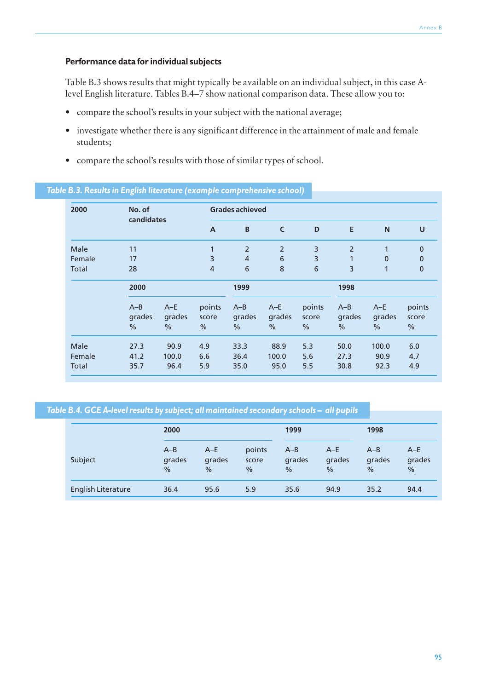#### **Performance data for individual subjects**

Table B.3 shows results that might typically be available on an individual subject, in this case Alevel English literature. Tables B.4–7 show national comparison data. These allow you to:

- compare the school's results in your subject with the national average;
- investigate whether there is any significant difference in the attainment of male and female students;
- compare the school's results with those of similar types of school.

| 2000           | No. of<br>candidates             |                                  |                                  | <b>Grades achieved</b>           |                                  |                                  |                                  |                                  |                                  |
|----------------|----------------------------------|----------------------------------|----------------------------------|----------------------------------|----------------------------------|----------------------------------|----------------------------------|----------------------------------|----------------------------------|
|                |                                  |                                  | $\overline{A}$                   | B                                | $\mathsf{C}$                     | D                                | E                                | N                                | $\cup$                           |
| Male           | 11                               |                                  |                                  | 2                                | $\overline{2}$                   | 3                                | $\overline{2}$                   | $\mathbf{1}$                     | 0                                |
| Female         | 17                               |                                  | 3                                | $\overline{4}$                   | 6                                | 3                                | $\mathbf{1}$                     | 0                                | 0                                |
| Total          | 28                               |                                  | $\overline{4}$                   | 6                                | 8                                | 6                                | 3                                | $\mathbf{1}$                     | $\mathbf{0}$                     |
|                | 2000                             |                                  |                                  | 1999                             |                                  |                                  | 1998                             |                                  |                                  |
|                | $A-B$<br>grades<br>$\frac{0}{0}$ | $A-E$<br>grades<br>$\frac{0}{0}$ | points<br>score<br>$\frac{0}{0}$ | $A-B$<br>grades<br>$\frac{0}{0}$ | $A-E$<br>grades<br>$\frac{0}{0}$ | points<br>score<br>$\frac{0}{0}$ | $A-B$<br>grades<br>$\frac{0}{0}$ | $A-E$<br>grades<br>$\frac{0}{0}$ | points<br>score<br>$\frac{0}{0}$ |
| Male<br>Female | 27.3<br>41.2                     | 90.9<br>100.0                    | 4.9<br>6.6                       | 33.3<br>36.4                     | 88.9<br>100.0                    | 5.3<br>5.6                       | 50.0<br>27.3                     | 100.0<br>90.9                    | 6.0<br>4.7                       |
| Total          | 35.7                             | 96.4                             | 5.9                              | 35.0                             | 95.0                             | 5.5                              | 30.8                             | 92.3                             | 4.9                              |

## *Table B.3. Results in English literature (example comprehensive school)*

# *Table B.4. GCE A-level results by subject; all maintained secondary schools – all pupils*

|                           | 2000                             |                                  |                                  |                                  |                                  | 1998                    |                                  |
|---------------------------|----------------------------------|----------------------------------|----------------------------------|----------------------------------|----------------------------------|-------------------------|----------------------------------|
| Subject                   | $A-B$<br>grades<br>$\frac{0}{0}$ | $A-E$<br>grades<br>$\frac{0}{0}$ | points<br>score<br>$\frac{0}{0}$ | $A-B$<br>grades<br>$\frac{0}{0}$ | $A-E$<br>grades<br>$\frac{0}{0}$ | $A-B$<br>grades<br>$\%$ | $A-E$<br>grades<br>$\frac{0}{0}$ |
| <b>English Literature</b> | 36.4                             | 95.6                             | 5.9                              | 35.6                             | 94.9                             | 35.2                    | 94.4                             |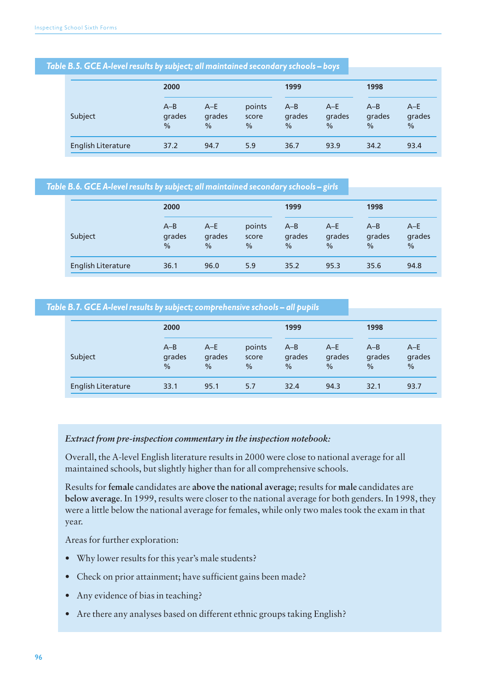## *Table B.5. GCE A-level results by subject; all maintained secondary schools – boys*

|                           | 2000                    |                                  |                                  | 1999                             |                                  | 1998                             |                                  |
|---------------------------|-------------------------|----------------------------------|----------------------------------|----------------------------------|----------------------------------|----------------------------------|----------------------------------|
| Subject                   | $A-B$<br>grades<br>$\%$ | $A-E$<br>grades<br>$\frac{0}{0}$ | points<br>score<br>$\frac{0}{0}$ | $A-B$<br>grades<br>$\frac{0}{0}$ | $A-E$<br>grades<br>$\frac{0}{0}$ | $A-B$<br>grades<br>$\frac{0}{0}$ | $A-E$<br>grades<br>$\frac{0}{0}$ |
| <b>English Literature</b> | 37.2                    | 94.7                             | 5.9                              | 36.7                             | 93.9                             | 34.2                             | 93.4                             |

#### *Table B.6. GCE A-level results by subject; all maintained secondary schools – girls*

|                           | 2000                             |                                  |                         | 1999                             |                                  | 1998                             |                                  |
|---------------------------|----------------------------------|----------------------------------|-------------------------|----------------------------------|----------------------------------|----------------------------------|----------------------------------|
| Subject                   | $A-B$<br>grades<br>$\frac{0}{0}$ | $A-E$<br>grades<br>$\frac{0}{0}$ | points<br>score<br>$\%$ | $A-B$<br>grades<br>$\frac{0}{0}$ | $A-E$<br>grades<br>$\frac{0}{0}$ | $A-B$<br>grades<br>$\frac{0}{0}$ | $A-E$<br>grades<br>$\frac{0}{0}$ |
| <b>English Literature</b> | 36.1                             | 96.0                             | 5.9                     | 35.2                             | 95.3                             | 35.6                             | 94.8                             |

#### *Table B.7. GCE A-level results by subject; comprehensive schools – all pupils*

|                           | 2000                             |                                  |                                  | 1999                             |                                  | 1998                             |                                  |
|---------------------------|----------------------------------|----------------------------------|----------------------------------|----------------------------------|----------------------------------|----------------------------------|----------------------------------|
| Subject                   | $A-B$<br>grades<br>$\frac{0}{0}$ | $A-E$<br>grades<br>$\frac{0}{0}$ | points<br>score<br>$\frac{0}{0}$ | $A-B$<br>grades<br>$\frac{0}{0}$ | $A-E$<br>grades<br>$\frac{0}{0}$ | $A-B$<br>grades<br>$\frac{0}{0}$ | $A-E$<br>grades<br>$\frac{0}{0}$ |
| <b>English Literature</b> | 33.1                             | 95.1                             | 5.7                              | 32.4                             | 94.3                             | 32.1                             | 93.7                             |

#### *Extract from pre-inspection commentary in the inspection notebook:*

Overall, the A-level English literature results in 2000 were close to national average for all maintained schools, but slightly higher than for all comprehensive schools.

Results for **female** candidates are **above the national average**; results for **male** candidates are **below average**. In 1999, results were closer to the national average for both genders. In 1998, they were a little below the national average for females, while only two males took the exam in that year.

Areas for further exploration:

- Why lower results for this year's male students?
- Check on prior attainment; have sufficient gains been made?
- Any evidence of bias in teaching?
- Are there any analyses based on different ethnic groups taking English?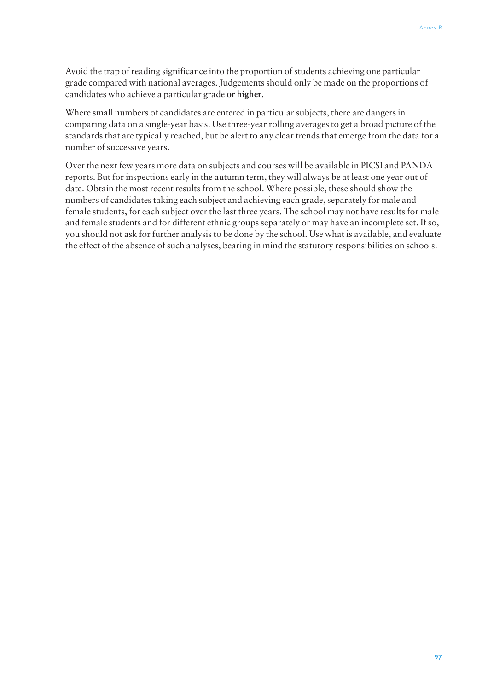Avoid the trap of reading significance into the proportion of students achieving one particular grade compared with national averages. Judgements should only be made on the proportions of candidates who achieve a particular grade **or higher**.

Where small numbers of candidates are entered in particular subjects, there are dangers in comparing data on a single-year basis. Use three-year rolling averages to get a broad picture of the standards that are typically reached, but be alert to any clear trends that emerge from the data for a number of successive years.

Over the next few years more data on subjects and courses will be available in PICSI and PANDA reports. But for inspections early in the autumn term, they will always be at least one year out of date. Obtain the most recent results from the school. Where possible, these should show the numbers of candidates taking each subject and achieving each grade, separately for male and female students, for each subject over the last three years. The school may not have results for male and female students and for different ethnic groups separately or may have an incomplete set. If so, you should not ask for further analysis to be done by the school. Use what is available, and evaluate the effect of the absence of such analyses, bearing in mind the statutory responsibilities on schools.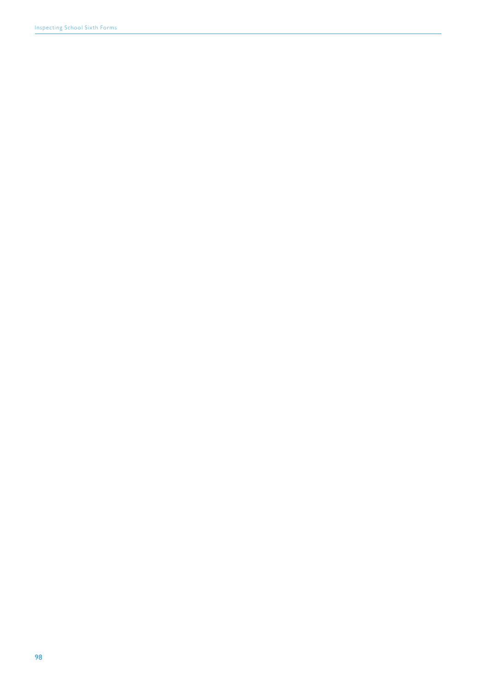Inspecting School Sixth Forms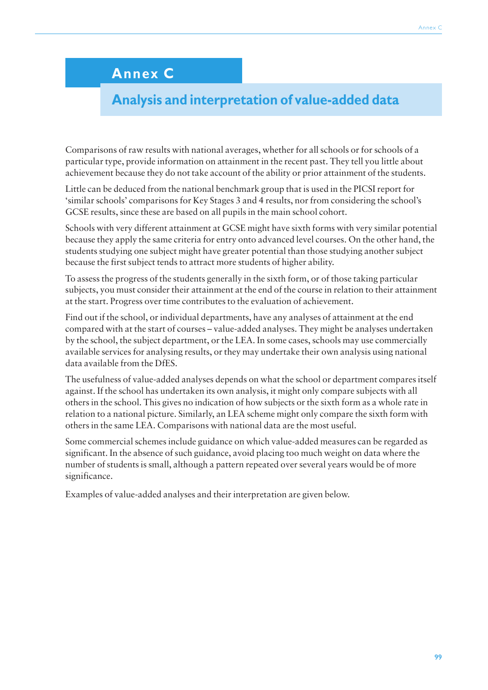# **Annex C**

# **Analysis and interpretation of value-added data**

Comparisons of raw results with national averages, whether for all schools or for schools of a particular type, provide information on attainment in the recent past. They tell you little about achievement because they do not take account of the ability or prior attainment of the students.

Little can be deduced from the national benchmark group that is used in the PICSI report for 'similar schools' comparisons for Key Stages 3 and 4 results, nor from considering the school's GCSE results, since these are based on all pupils in the main school cohort.

Schools with very different attainment at GCSE might have sixth forms with very similar potential because they apply the same criteria for entry onto advanced level courses. On the other hand, the students studying one subject might have greater potential than those studying another subject because the first subject tends to attract more students of higher ability.

To assess the progress of the students generally in the sixth form, or of those taking particular subjects, you must consider their attainment at the end of the course in relation to their attainment at the start. Progress over time contributes to the evaluation of achievement.

Find out if the school, or individual departments, have any analyses of attainment at the end compared with at the start of courses – value-added analyses. They might be analyses undertaken by the school, the subject department, or the LEA. In some cases, schools may use commercially available services for analysing results, or they may undertake their own analysis using national data available from the DfES.

The usefulness of value-added analyses depends on what the school or department compares itself against. If the school has undertaken its own analysis, it might only compare subjects with all others in the school. This gives no indication of how subjects or the sixth form as a whole rate in relation to a national picture. Similarly, an LEA scheme might only compare the sixth form with others in the same LEA. Comparisons with national data are the most useful.

Some commercial schemes include guidance on which value-added measures can be regarded as significant. In the absence of such guidance, avoid placing too much weight on data where the number of students is small, although a pattern repeated over several years would be of more significance.

Examples of value-added analyses and their interpretation are given below.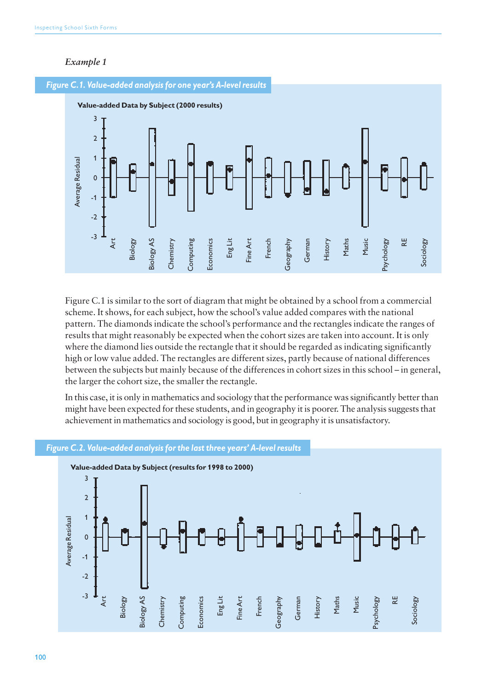# *Example 1*



Figure C.1 is similar to the sort of diagram that might be obtained by a school from a commercial scheme. It shows, for each subject, how the school's value added compares with the national pattern. The diamonds indicate the school's performance and the rectangles indicate the ranges of results that might reasonably be expected when the cohort sizes are taken into account. It is only where the diamond lies outside the rectangle that it should be regarded as indicating significantly high or low value added. The rectangles are different sizes, partly because of national differences between the subjects but mainly because of the differences in cohort sizes in this school – in general, the larger the cohort size, the smaller the rectangle.

In this case, it is only in mathematics and sociology that the performance was significantly better than might have been expected for these students, and in geography it is poorer. The analysis suggests that achievement in mathematics and sociology is good, but in geography it is unsatisfactory.

#### *Figure C.2. Value-added analysis for the last three years' A-level results*

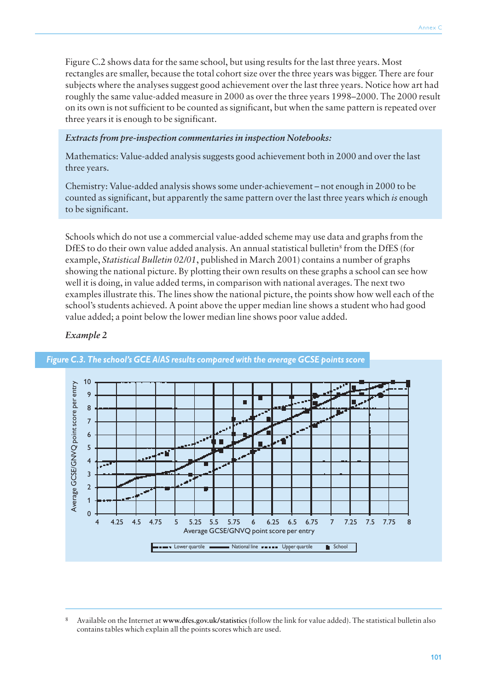Figure C.2 shows data for the same school, but using results for the last three years. Most rectangles are smaller, because the total cohort size over the three years was bigger. There are four subjects where the analyses suggest good achievement over the last three years. Notice how art had roughly the same value-added measure in 2000 as over the three years 1998–2000. The 2000 result on its own is not sufficient to be counted as significant, but when the same pattern is repeated over three years it is enough to be significant.

# *Extracts from pre-inspection commentaries in inspection Notebooks:*

Mathematics: Value-added analysis suggests good achievement both in 2000 and over the last three years.

Chemistry: Value-added analysis shows some under-achievement – not enough in 2000 to be counted as significant, but apparently the same pattern over the last three years which *is* enough to be significant.

Schools which do not use a commercial value-added scheme may use data and graphs from the DfES to do their own value added analysis. An annual statistical bulletin<sup>8</sup> from the DfES (for example, *Statistical Bulletin 02/01*, published in March 2001) contains a number of graphs showing the national picture. By plotting their own results on these graphs a school can see how well it is doing, in value added terms, in comparison with national averages. The next two examples illustrate this. The lines show the national picture, the points show how well each of the school's students achieved. A point above the upper median line shows a student who had good value added; a point below the lower median line shows poor value added.

# *Example 2*



*Figure C.3. The school's GCE A/AS results compared with the average GCSE points score*

<sup>8</sup> Available on the Internet at **www.dfes.gov.uk/statistics**(follow the link for value added). The statistical bulletin also contains tables which explain all the points scores which are used.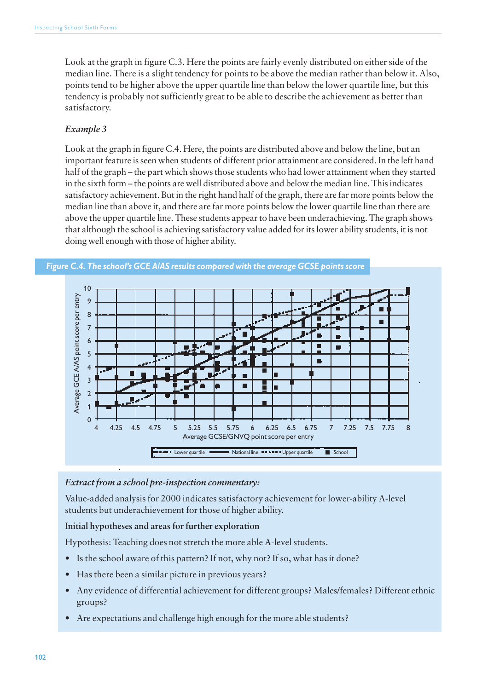Look at the graph in figure C.3. Here the points are fairly evenly distributed on either side of the median line. There is a slight tendency for points to be above the median rather than below it. Also, points tend to be higher above the upper quartile line than below the lower quartile line, but this tendency is probably not sufficiently great to be able to describe the achievement as better than satisfactory.

# *Example 3*

Look at the graph in figure C.4. Here, the points are distributed above and below the line, but an important feature is seen when students of different prior attainment are considered. In the left hand half of the graph – the part which shows those students who had lower attainment when they started in the sixth form – the points are well distributed above and below the median line. This indicates satisfactory achievement. But in the right hand half of the graph, there are far more points below the median line than above it, and there are far more points below the lower quartile line than there are above the upper quartile line. These students appear to have been underachieving. The graph shows that although the school is achieving satisfactory value added for its lower ability students, it is not doing well enough with those of higher ability.



*Figure C.4. The school's GCE A/AS results compared with the average GCSE points score*

# *Extract from a school pre-inspection commentary:*

Value-added analysis for 2000 indicates satisfactory achievement for lower-ability A-level students but underachievement for those of higher ability.

# **Initial hypotheses and areas for further exploration**

Hypothesis: Teaching does not stretch the more able A-level students.

- Is the school aware of this pattern? If not, why not? If so, what has it done?
- Has there been a similar picture in previous years?
- Any evidence of differential achievement for different groups? Males/females? Different ethnic groups?
- Are expectations and challenge high enough for the more able students?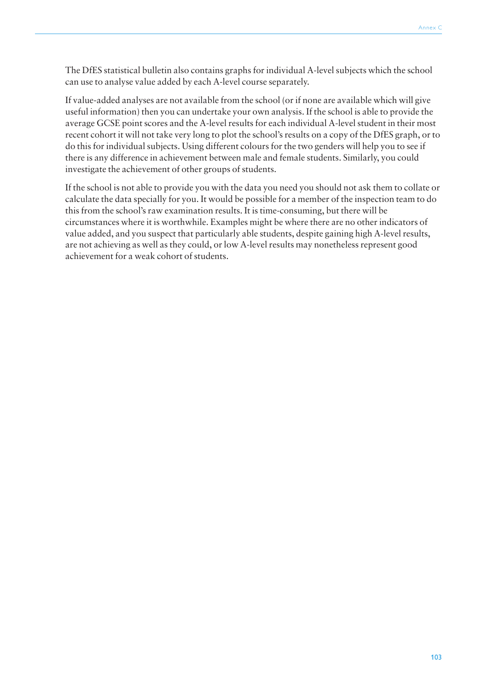The DfES statistical bulletin also contains graphs for individual A-level subjects which the school can use to analyse value added by each A-level course separately.

If value-added analyses are not available from the school (or if none are available which will give useful information) then you can undertake your own analysis. If the school is able to provide the average GCSE point scores and the A-level results for each individual A-level student in their most recent cohort it will not take very long to plot the school's results on a copy of the DfES graph, or to do this for individual subjects. Using different colours for the two genders will help you to see if there is any difference in achievement between male and female students. Similarly, you could investigate the achievement of other groups of students.

If the school is not able to provide you with the data you need you should not ask them to collate or calculate the data specially for you. It would be possible for a member of the inspection team to do this from the school's raw examination results. It is time-consuming, but there will be circumstances where it is worthwhile. Examples might be where there are no other indicators of value added, and you suspect that particularly able students, despite gaining high A-level results, are not achieving as well as they could, or low A-level results may nonetheless represent good achievement for a weak cohort of students.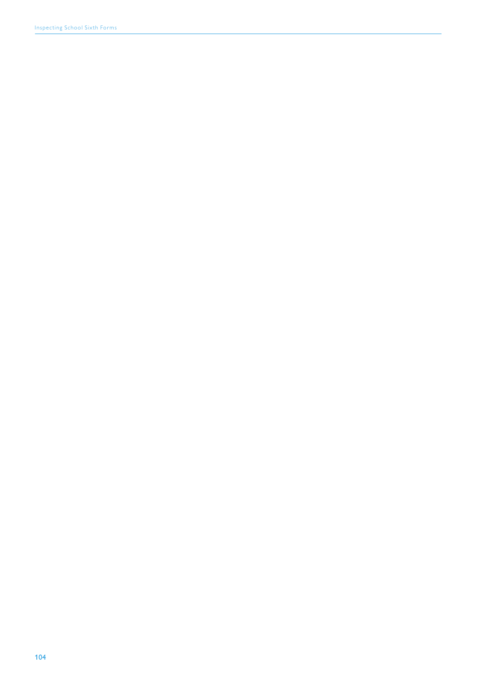Inspecting School Sixth Forms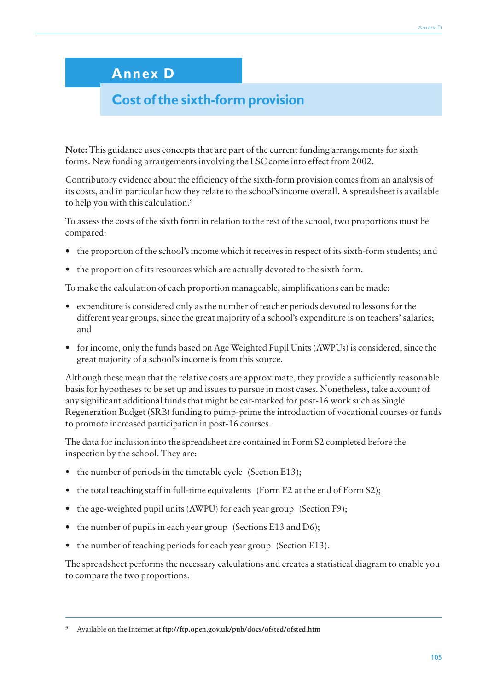**Annex D**

## **Cost of the sixth-form provision**

**Note:** This guidance uses concepts that are part of the current funding arrangements for sixth forms. New funding arrangements involving the LSC come into effect from 2002.

Contributory evidence about the efficiency of the sixth-form provision comes from an analysis of its costs, and in particular how they relate to the school's income overall. A spreadsheet is available to help you with this calculation.<sup>9</sup>

To assess the costs of the sixth form in relation to the rest of the school, two proportions must be compared:

- the proportion of the school's income which it receives in respect of its sixth-form students; and
- the proportion of its resources which are actually devoted to the sixth form.

To make the calculation of each proportion manageable, simplifications can be made:

- expenditure is considered only as the number of teacher periods devoted to lessons for the different year groups, since the great majority of a school's expenditure is on teachers' salaries; and
- for income, only the funds based on Age Weighted Pupil Units (AWPUs) is considered, since the great majority of a school's income is from this source.

Although these mean that the relative costs are approximate, they provide a sufficiently reasonable basis for hypotheses to be set up and issues to pursue in most cases. Nonetheless, take account of any significant additional funds that might be ear-marked for post-16 work such as Single Regeneration Budget (SRB) funding to pump-prime the introduction of vocational courses or funds to promote increased participation in post-16 courses.

The data for inclusion into the spreadsheet are contained in Form S2 completed before the inspection by the school. They are:

- the number of periods in the timetable cycle (Section E13);
- the total teaching staff in full-time equivalents (Form E2 at the end of Form  $S2$ );
- the age-weighted pupil units (AWPU) for each year group (Section F9);
- the number of pupils in each year group (Sections E13 and D6);
- the number of teaching periods for each year group (Section E13).

The spreadsheet performs the necessary calculations and creates a statistical diagram to enable you to compare the two proportions.

9 Available on the Internet at **ftp://ftp.open.gov.uk/pub/docs/ofsted/ofsted**.**htm**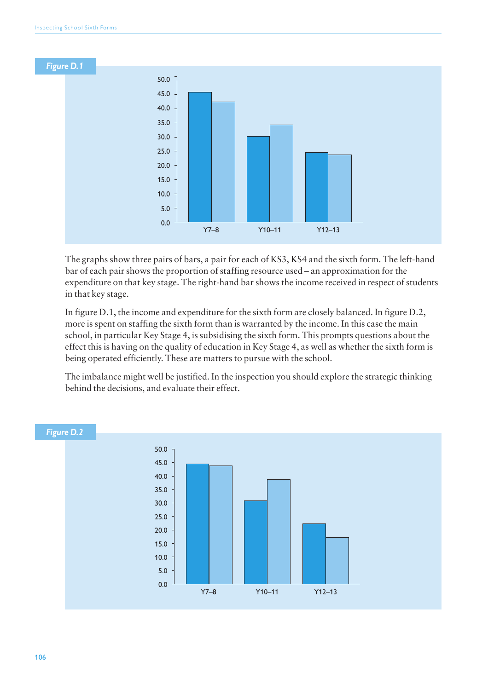

The graphs show three pairs of bars, a pair for each of KS3, KS4 and the sixth form. The left-hand bar of each pair shows the proportion of staffing resource used – an approximation for the expenditure on that key stage. The right-hand bar shows the income received in respect of students in that key stage.

In figure D.1, the income and expenditure for the sixth form are closely balanced. In figure D.2, more is spent on staffing the sixth form than is warranted by the income. In this case the main school, in particular Key Stage 4, is subsidising the sixth form. This prompts questions about the effect this is having on the quality of education in Key Stage 4, as well as whether the sixth form is being operated efficiently. These are matters to pursue with the school.

The imbalance might well be justified. In the inspection you should explore the strategic thinking behind the decisions, and evaluate their effect.

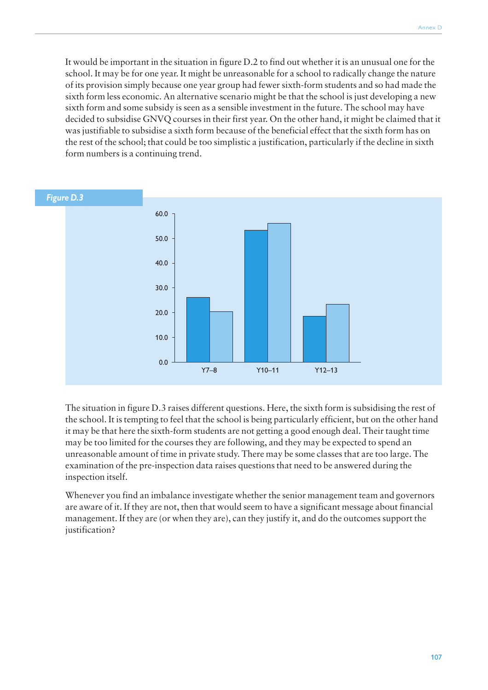It would be important in the situation in figure D.2 to find out whether it is an unusual one for the school. It may be for one year. It might be unreasonable for a school to radically change the nature of its provision simply because one year group had fewer sixth-form students and so had made the sixth form less economic. An alternative scenario might be that the school is just developing a new sixth form and some subsidy is seen as a sensible investment in the future. The school may have decided to subsidise GNVQ courses in their first year. On the other hand, it might be claimed that it was justifiable to subsidise a sixth form because of the beneficial effect that the sixth form has on the rest of the school; that could be too simplistic a justification, particularly if the decline in sixth form numbers is a continuing trend.



The situation in figure D.3 raises different questions. Here, the sixth form is subsidising the rest of the school. It is tempting to feel that the school is being particularly efficient, but on the other hand it may be that here the sixth-form students are not getting a good enough deal. Their taught time may be too limited for the courses they are following, and they may be expected to spend an unreasonable amount of time in private study. There may be some classes that are too large. The examination of the pre-inspection data raises questions that need to be answered during the inspection itself.

Whenever you find an imbalance investigate whether the senior management team and governors are aware of it. If they are not, then that would seem to have a significant message about financial management. If they are (or when they are), can they justify it, and do the outcomes support the justification?